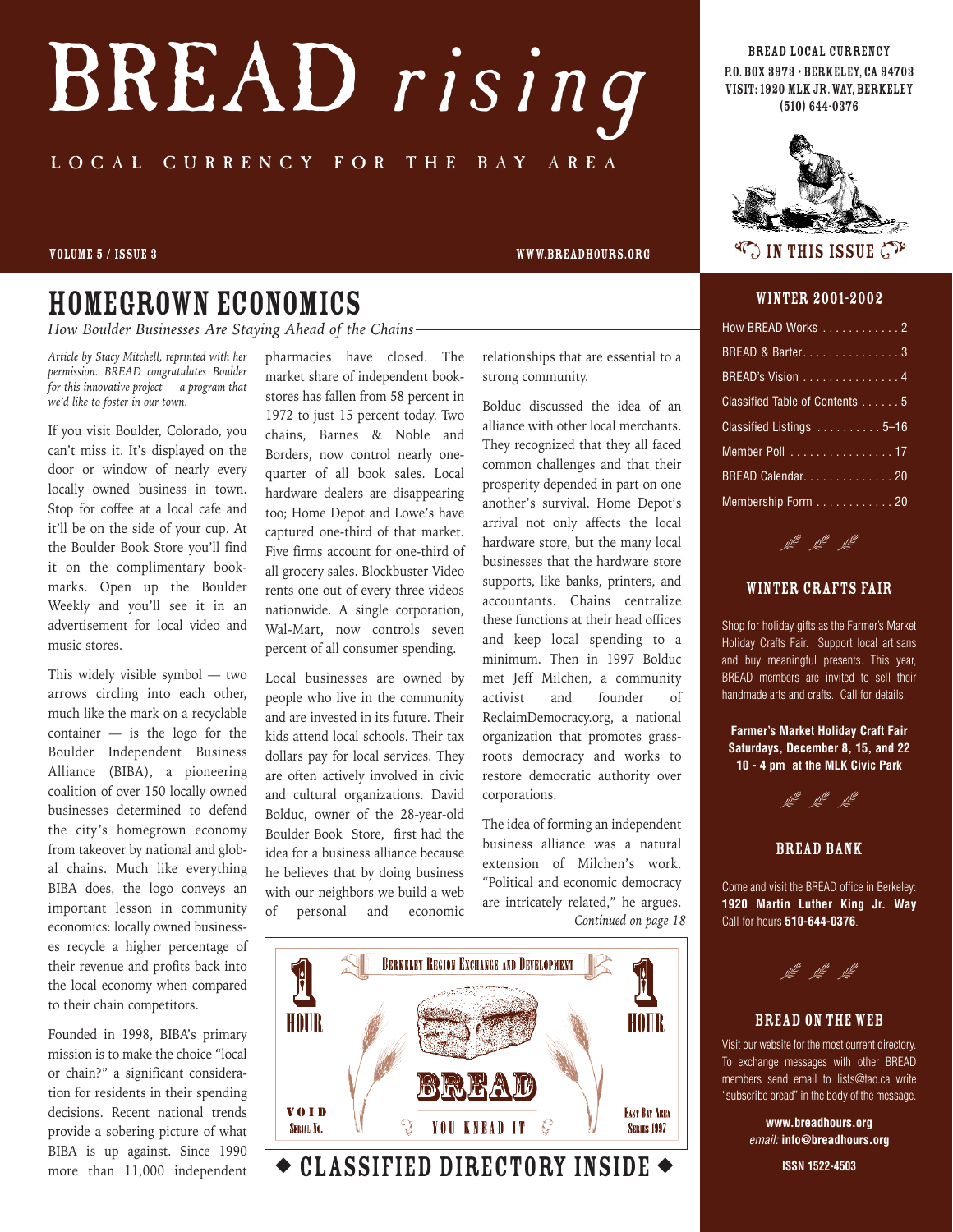# BREAD *rising* LOCAL CURRENCY FOR THE BAY AREA

#### volume 5 / issue 3 www.breadhours.org

### Homegrown economics

*How Boulder Businesses Are Staying Ahead of the Chains*

*Article by Stacy Mitchell, reprinted with her permission. BREAD congratulates Boulder for this innovative project — a program that we'd like to foster in our town.*

If you visit Boulder, Colorado, you can't miss it. It's displayed on the door or window of nearly every locally owned business in town. Stop for coffee at a local cafe and it'll be on the side of your cup. At the Boulder Book Store you'll find it on the complimentary bookmarks. Open up the Boulder Weekly and you'll see it in an advertisement for local video and music stores.

This widely visible symbol — two arrows circling into each other, much like the mark on a recyclable container — is the logo for the Boulder Independent Business Alliance (BIBA), a pioneering coalition of over 150 locally owned businesses determined to defend the city's homegrown economy from takeover by national and global chains. Much like everything BIBA does, the logo conveys an important lesson in community economics: locally owned businesses recycle a higher percentage of their revenue and profits back into the local economy when compared to their chain competitors.

Founded in 1998, BIBA's primary mission is to make the choice "local or chain?" a significant consideration for residents in their spending decisions. Recent national trends provide a sobering picture of what BIBA is up against. Since 1990 more than 11,000 independent

pharmacies have closed. The market share of independent bookstores has fallen from 58 percent in 1972 to just 15 percent today. Two chains, Barnes & Noble and Borders, now control nearly onequarter of all book sales. Local hardware dealers are disappearing too; Home Depot and Lowe's have captured one-third of that market. Five firms account for one-third of all grocery sales. Blockbuster Video rents one out of every three videos nationwide. A single corporation, Wal-Mart, now controls seven percent of all consumer spending.

Local businesses are owned by people who live in the community and are invested in its future. Their kids attend local schools. Their tax dollars pay for local services. They are often actively involved in civic and cultural organizations. David Bolduc, owner of the 28-year-old Boulder Book Store, first had the idea for a business alliance because he believes that by doing business with our neighbors we build a web of personal and economic

relationships that are essential to a strong community.

Bolduc discussed the idea of an alliance with other local merchants. They recognized that they all faced common challenges and that their prosperity depended in part on one another's survival. Home Depot's arrival not only affects the local hardware store, but the many local businesses that the hardware store supports, like banks, printers, and accountants. Chains centralize these functions at their head offices and keep local spending to a minimum. Then in 1997 Bolduc met Jeff Milchen, a community activist and founder of ReclaimDemocracy.org, a national organization that promotes grassroots democracy and works to restore democratic authority over corporations.

The idea of forming an independent business alliance was a natural extension of Milchen's work. "Political and economic democracy are intricately related," he argues. *Continued on page 18*



◆ CLASSIFIED DIRECTORY INSIDE ◆

BREAD local currency P.O.Box 3973 • Berkeley, CA 94703 visit: 1920 MLK Jr.WAY, Berkeley (510) 644-0376



 $\mathbb{C}$  in this issue  $\mathbb{C}^{\mathcal{V}}$ 

#### winter 2001-2002

| How BREAD Works 2              |
|--------------------------------|
| BREAD & Barter3                |
| BREAD's Vision 4               |
| Classified Table of Contents 5 |
| Classified Listings 5-16       |
| Member Poll 17                 |
| BREAD Calendar. 20             |
| Membership Form  20            |



#### winter crafts fair

Shop for holiday gifts as the Farmer's Market Holiday Crafts Fair. Support local artisans and buy meaningful presents. This year, BREAD members are invited to sell their handmade arts and crafts. Call for details.

**Farmer's Market Holiday Craft Fair Saturdays, December 8, 15, and 22 10 - 4 pm at the MLK Civic Park**



BREAD BANK

Come and visit the BREAD office in Berkeley: **1920 Martin Luther King Jr. Way** Call for hours **510-644-0376**.

<u>ve</u> ve ve

#### bread on the web

Visit our website for the most current directory. To exchange messages with other BREAD members send email to lists@tao.ca write "subscribe bread" in the body of the message.

> **www.breadhours.org** *email:* **info@breadhours.org**

> > **ISSN 1522-4503**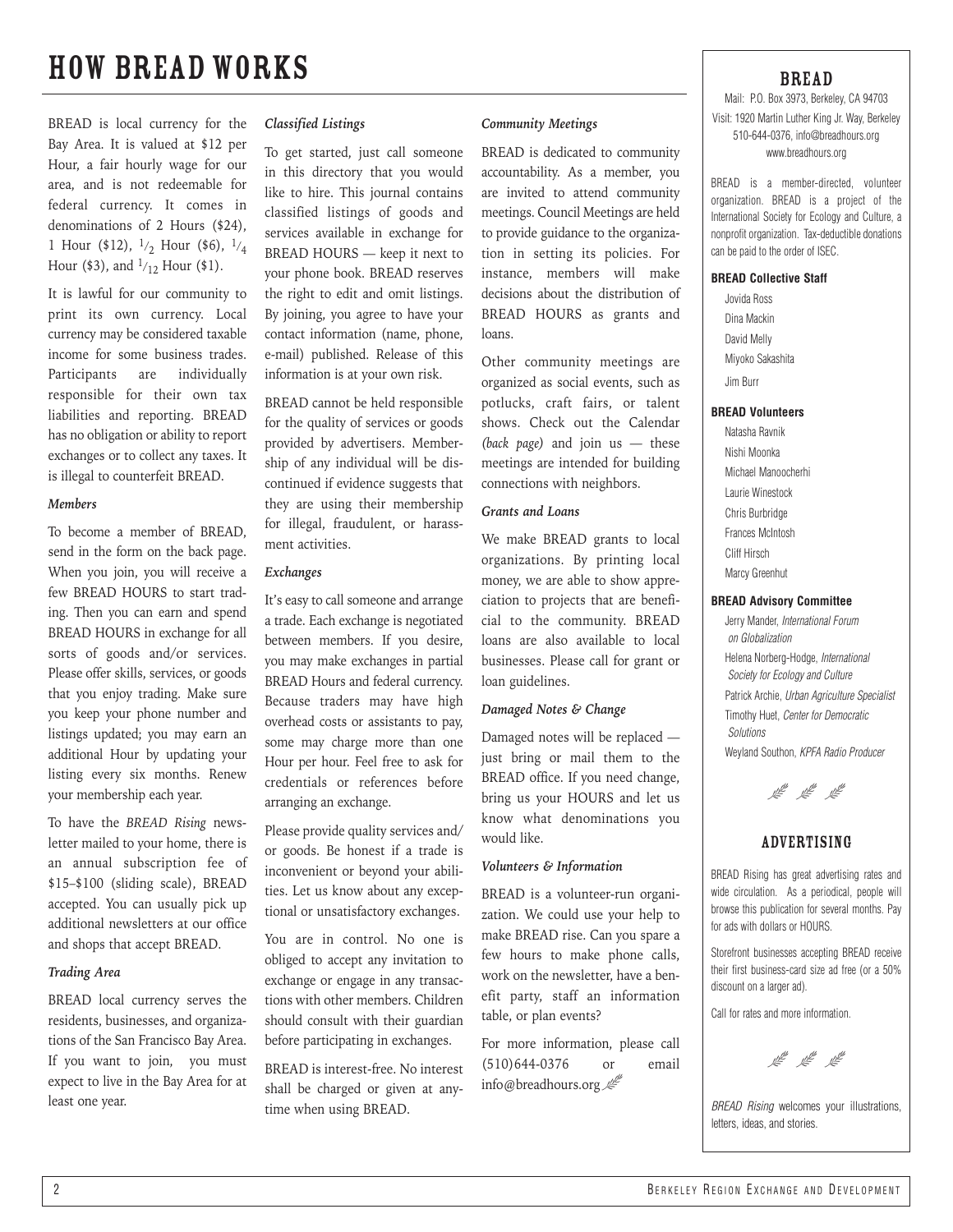### how bread works

BREAD is local currency for the Bay Area. It is valued at \$12 per Hour, a fair hourly wage for our area, and is not redeemable for federal currency. It comes in denominations of 2 Hours (\$24), 1 Hour (\$12),  $1/2$  Hour (\$6),  $1/4$ Hour (\$3), and  $1/12$  Hour (\$1).

It is lawful for our community to print its own currency. Local currency may be considered taxable income for some business trades. Participants are individually responsible for their own tax liabilities and reporting. BREAD has no obligation or ability to report exchanges or to collect any taxes. It is illegal to counterfeit BREAD.

#### *Members*

To become a member of BREAD, send in the form on the back page. When you join, you will receive a few BREAD HOURS to start trading. Then you can earn and spend BREAD HOURS in exchange for all sorts of goods and/or services. Please offer skills, services, or goods that you enjoy trading. Make sure you keep your phone number and listings updated; you may earn an additional Hour by updating your listing every six months. Renew your membership each year.

To have the *BREAD Rising* newsletter mailed to your home, there is an annual subscription fee of \$15–\$100 (sliding scale), BREAD accepted. You can usually pick up additional newsletters at our office and shops that accept BREAD.

#### *Trading Area*

BREAD local currency serves the residents, businesses, and organizations of the San Francisco Bay Area. If you want to join, you must expect to live in the Bay Area for at least one year.

#### *Classified Listings*

To get started, just call someone in this directory that you would like to hire. This journal contains classified listings of goods and services available in exchange for BREAD HOURS — keep it next to your phone book. BREAD reserves the right to edit and omit listings. By joining, you agree to have your contact information (name, phone, e-mail) published. Release of this information is at your own risk.

BREAD cannot be held responsible for the quality of services or goods provided by advertisers. Membership of any individual will be discontinued if evidence suggests that they are using their membership for illegal, fraudulent, or harassment activities.

#### *Exchanges*

It's easy to call someone and arrange a trade. Each exchange is negotiated between members. If you desire, you may make exchanges in partial BREAD Hours and federal currency. Because traders may have high overhead costs or assistants to pay, some may charge more than one Hour per hour. Feel free to ask for credentials or references before arranging an exchange.

Please provide quality services and/ or goods. Be honest if a trade is inconvenient or beyond your abilities. Let us know about any exceptional or unsatisfactory exchanges.

You are in control. No one is obliged to accept any invitation to exchange or engage in any transactions with other members. Children should consult with their guardian before participating in exchanges.

BREAD is interest-free. No interest shall be charged or given at anytime when using BREAD.

#### *Community Meetings*

BREAD is dedicated to community accountability. As a member, you are invited to attend community meetings. Council Meetings are held to provide guidance to the organization in setting its policies. For instance, members will make decisions about the distribution of BREAD HOURS as grants and loans.

Other community meetings are organized as social events, such as potlucks, craft fairs, or talent shows. Check out the Calendar *(back page)* and join us — these meetings are intended for building connections with neighbors.

### *Grants and Loans*

We make BREAD grants to local organizations. By printing local money, we are able to show appreciation to projects that are beneficial to the community. BREAD loans are also available to local businesses. Please call for grant or loan guidelines.

#### *Damaged Notes & Change*

Damaged notes will be replaced just bring or mail them to the BREAD office. If you need change, bring us your HOURS and let us know what denominations you would like.

#### *Volunteers & Information*

BREAD is a volunteer-run organization. We could use your help to make BREAD rise. Can you spare a few hours to make phone calls, work on the newsletter, have a benefit party, staff an information table, or plan events?

For more information, please call (510)644-0376 or email info@breadhours.org

### BREAD

Mail: P.O. Box 3973, Berkeley, CA 94703 Visit: 1920 Martin Luther King Jr. Way, Berkeley 510-644-0376, info@breadhours.org www.breadhours.org

BREAD is a member-directed, volunteer organization. BREAD is a project of the International Society for Ecology and Culture, a nonprofit organization. Tax-deductible donations can be paid to the order of ISEC.

#### **BREAD Collective Staff**

Jovida Ross Dina Mackin David Melly Miyoko Sakashita

Jim Burr

#### **BREAD Volunteers**

Natasha Ravnik Nishi Moonka Michael Manoocherhi Laurie Winestock Chris Burbridge Frances McIntosh Cliff Hirsch Marcy Greenhut

#### **BREAD Advisory Committee**

Jerry Mander, *International Forum on Globalization* Helena Norberg-Hodge, *International Society for Ecology and Culture* Patrick Archie, *Urban Agriculture Specialist* Timothy Huet, *Center for Democratic Solutions* Weyland Southon, *KPFA Radio Producer*



### **ADVERTISING**

BREAD Rising has great advertising rates and wide circulation. As a periodical, people will browse this publication for several months. Pay for ads with dollars or HOURS.

Storefront businesses accepting BREAD receive their first business-card size ad free (or a 50% discount on a larger ad).

Call for rates and more information.

<sup>the</sup> the the

*BREAD Rising* welcomes your illustrations, letters, ideas, and stories.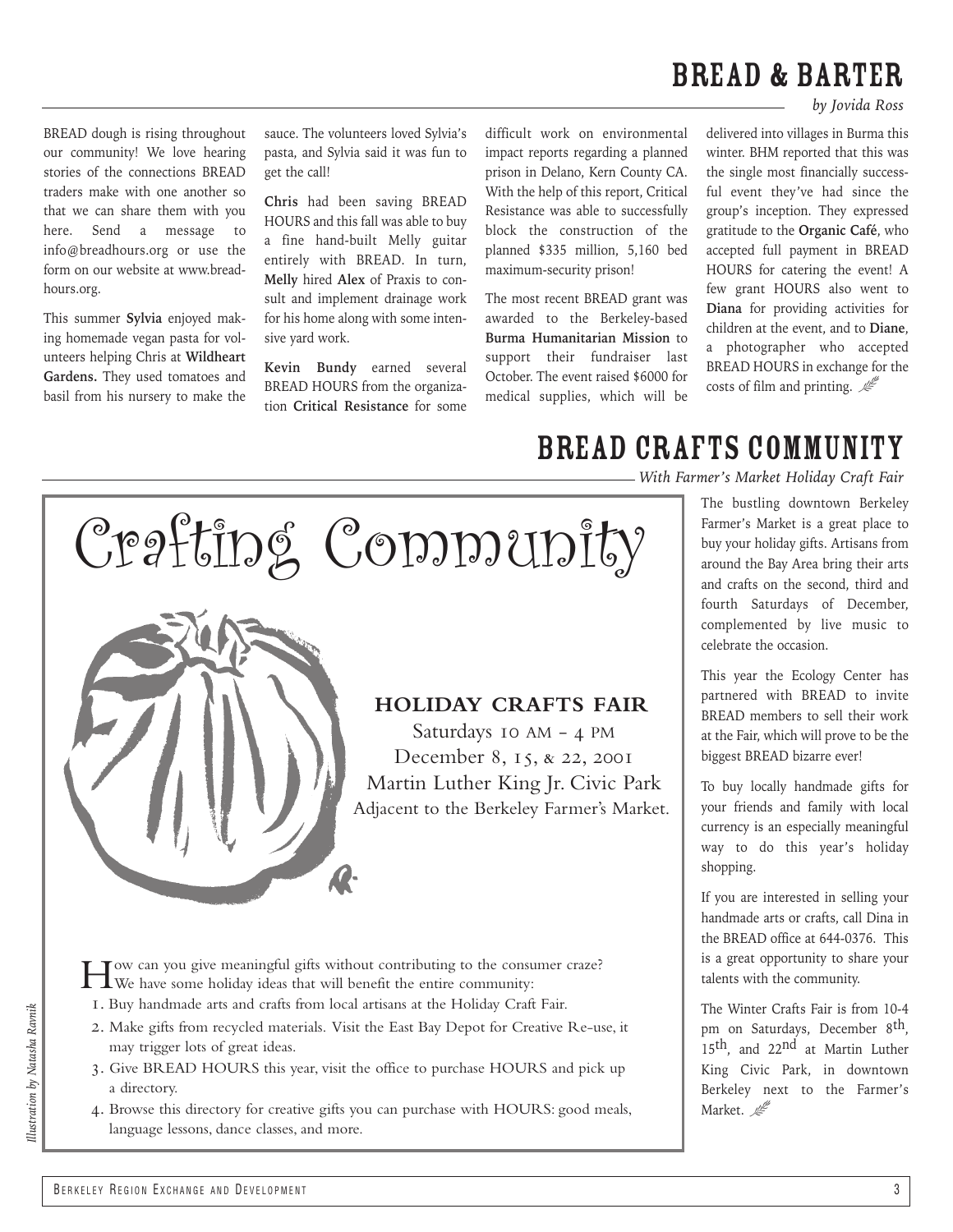### BREAD & BARTER

*by Jovida Ross*

BREAD dough is rising throughout our community! We love hearing stories of the connections BREAD traders make with one another so that we can share them with you here. Send a message to info@breadhours.org or use the form on our website at www.breadhours.org.

This summer **Sylvia** enjoyed making homemade vegan pasta for volunteers helping Chris at **Wildheart Gardens.** They used tomatoes and basil from his nursery to make the sauce. The volunteers loved Sylvia's pasta, and Sylvia said it was fun to get the call!

**Chris** had been saving BREAD HOURS and this fall was able to buy a fine hand-built Melly guitar entirely with BREAD. In turn, **Melly** hired **Alex** of Praxis to consult and implement drainage work for his home along with some intensive yard work.

**Kevin Bundy** earned several BREAD HOURS from the organization **Critical Resistance** for some difficult work on environmental impact reports regarding a planned prison in Delano, Kern County CA. With the help of this report, Critical Resistance was able to successfully block the construction of the planned \$335 million, 5,160 bed maximum-security prison!

The most recent BREAD grant was awarded to the Berkeley-based **Burma Humanitarian Mission** to support their fundraiser last October. The event raised \$6000 for medical supplies, which will be

delivered into villages in Burma this winter. BHM reported that this was the single most financially successful event they've had since the group's inception. They expressed gratitude to the **Organic Café**, who accepted full payment in BREAD HOURS for catering the event! A few grant HOURS also went to **Diana** for providing activities for children at the event, and to **Diane**, a photographer who accepted BREAD HOURS in exchange for the costs of film and printing.  $\mathcal{L}$ 

Crafting Community

### **HOLIDAY CRAFTS FAIR**

Saturdays 10 AM -  $4$  PM December 8, 15, & 22, 2001 Martin Luther King Jr. Civic Park Adjacent to the Berkeley Farmer's Market.

How can you give meaningful gifts without contributing to the consumer craze? We have some holiday ideas that will benefit the entire community:

. Buy handmade arts and crafts from local artisans at the Holiday Craft Fair.

- . Make gifts from recycled materials. Visit the East Bay Depot for Creative Re-use, it may trigger lots of great ideas.
- . Give BREAD HOURS this year, visit the office to purchase HOURS and pick up a directory.
- . Browse this directory for creative gifts you can purchase with HOURS: good meals, language lessons, dance classes, and more.

### BREAD CRAFTS community

*With Farmer's Market Holiday Craft Fair*

The bustling downtown Berkeley Farmer's Market is a great place to buy your holiday gifts. Artisans from around the Bay Area bring their arts and crafts on the second, third and fourth Saturdays of December, complemented by live music to celebrate the occasion.

This year the Ecology Center has partnered with BREAD to invite BREAD members to sell their work at the Fair, which will prove to be the biggest BREAD bizarre ever!

To buy locally handmade gifts for your friends and family with local currency is an especially meaningful way to do this year's holiday shopping.

If you are interested in selling your handmade arts or crafts, call Dina in the BREAD office at 644-0376. This is a great opportunity to share your talents with the community.

The Winter Crafts Fair is from 10-4 pm on Saturdays, December 8th, 15th, and 22nd at Martin Luther King Civic Park, in downtown Berkeley next to the Farmer's Market.  $\mathbb{Z}^{\mathbb{Z}}$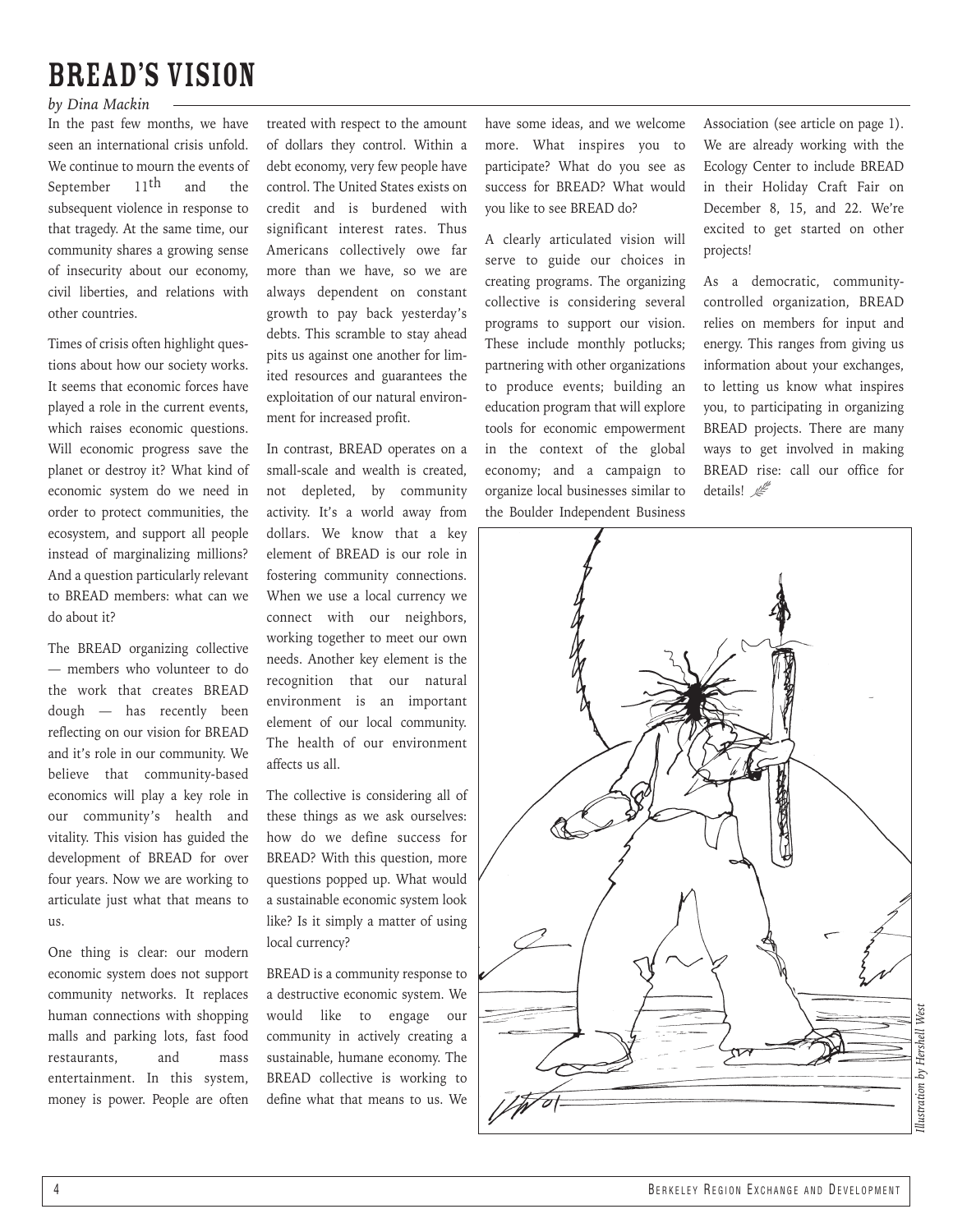### BREAD's Vision

### *by Dina Mackin*

In the past few months, we have seen an international crisis unfold. We continue to mourn the events of September  $11$ <sup>th</sup> and the subsequent violence in response to that tragedy. At the same time, our community shares a growing sense of insecurity about our economy, civil liberties, and relations with other countries.

Times of crisis often highlight questions about how our society works. It seems that economic forces have played a role in the current events, which raises economic questions. Will economic progress save the planet or destroy it? What kind of economic system do we need in order to protect communities, the ecosystem, and support all people instead of marginalizing millions? And a question particularly relevant to BREAD members: what can we do about it?

The BREAD organizing collective — members who volunteer to do the work that creates BREAD dough — has recently been reflecting on our vision for BREAD and it's role in our community. We believe that community-based economics will play a key role in our community's health and vitality. This vision has guided the development of BREAD for over four years. Now we are working to articulate just what that means to  $11<sup>°</sup>$ 

One thing is clear: our modern economic system does not support community networks. It replaces human connections with shopping malls and parking lots, fast food restaurants, and mass entertainment. In this system, money is power. People are often treated with respect to the amount of dollars they control. Within a debt economy, very few people have control. The United States exists on credit and is burdened with significant interest rates. Thus Americans collectively owe far more than we have, so we are always dependent on constant growth to pay back yesterday's debts. This scramble to stay ahead pits us against one another for limited resources and guarantees the exploitation of our natural environment for increased profit.

In contrast, BREAD operates on a small-scale and wealth is created, not depleted, by community activity. It's a world away from dollars. We know that a key element of BREAD is our role in fostering community connections. When we use a local currency we connect with our neighbors, working together to meet our own needs. Another key element is the recognition that our natural environment is an important element of our local community. The health of our environment affects us all.

The collective is considering all of these things as we ask ourselves: how do we define success for BREAD? With this question, more questions popped up. What would a sustainable economic system look like? Is it simply a matter of using local currency?

BREAD is a community response to a destructive economic system. We would like to engage our community in actively creating a sustainable, humane economy. The BREAD collective is working to define what that means to us. We

have some ideas, and we welcome more. What inspires you to participate? What do you see as success for BREAD? What would you like to see BREAD do?

A clearly articulated vision will serve to guide our choices in creating programs. The organizing collective is considering several programs to support our vision. These include monthly potlucks; partnering with other organizations to produce events; building an education program that will explore tools for economic empowerment in the context of the global economy; and a campaign to organize local businesses similar to the Boulder Independent Business

Association (see article on page 1). We are already working with the Ecology Center to include BREAD in their Holiday Craft Fair on December 8, 15, and 22. We're excited to get started on other projects!

As a democratic, communitycontrolled organization, BREAD relies on members for input and energy. This ranges from giving us information about your exchanges, to letting us know what inspires you, to participating in organizing BREAD projects. There are many ways to get involved in making BREAD rise: call our office for details!  $\mathbb{Z}^{\mathbb{Z}}$ 

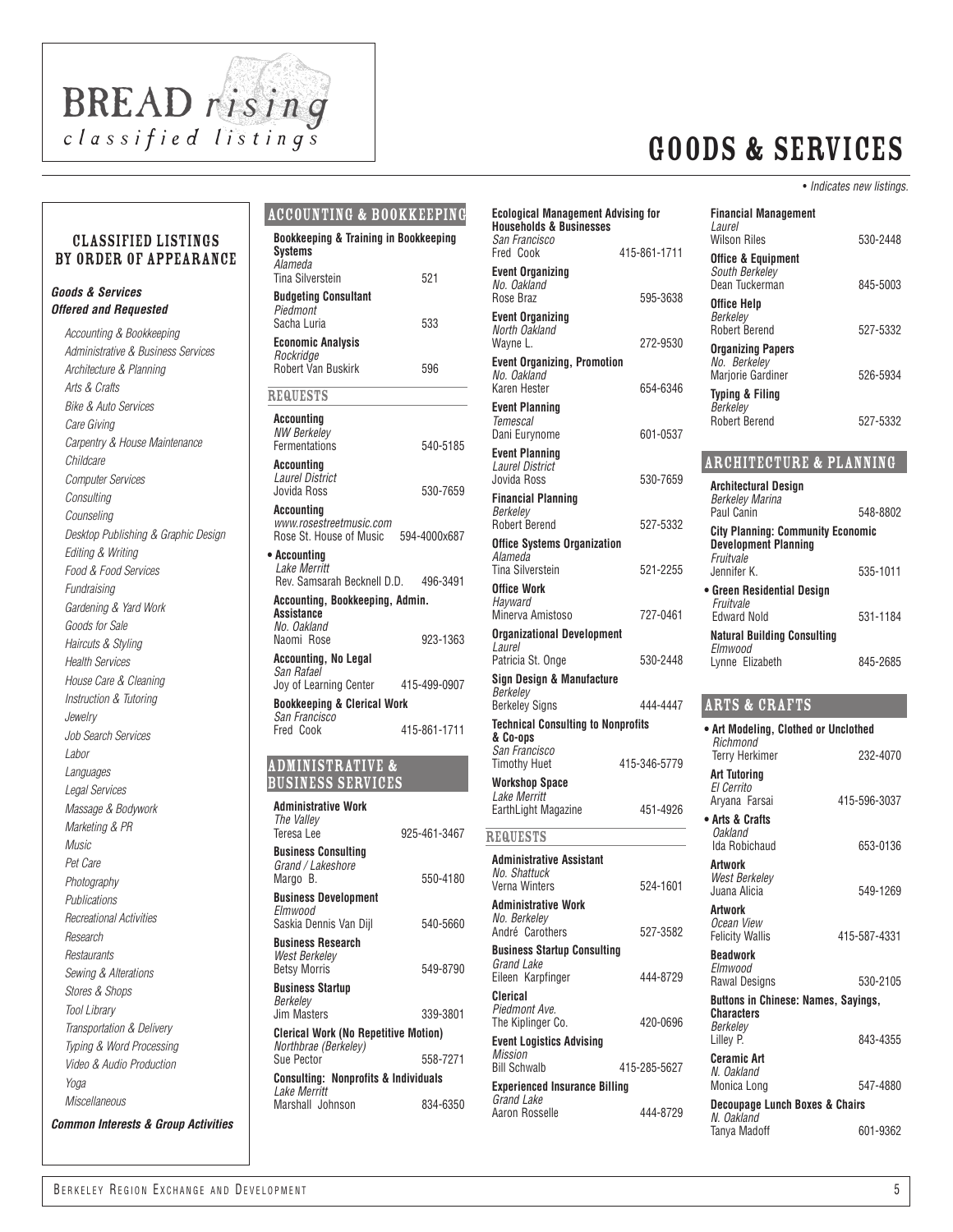

### *classified listings* Goods & Services

#### • *Indicates new listings.*

530-2448

#### classified Listings by order of appearance

#### *Goods & Services Offered and Requested*

*Accounting & Bookkeeping Administrative & Business Services Architecture & Planning Arts & Crafts Bike & Auto Services Care Giving Carpentry & House Maintenance Childcare Computer Services Consulting Counseling Desktop Publishing & Graphic Design Editing & Writing Food & Food Services Fundraising Gardening & Yard Work Goods for Sale Haircuts & Styling Health Services House Care & Cleaning Instruction & Tutoring Jewelry Job Search Services Labor Languages Legal Services Massage & Bodywork Marketing & PR Music Pet Care Photography Publications Recreational Activities Research Restaurants Sewing & Alterations Stores & Shops Tool Library Transportation & Delivery Typing & Word Processing Video & Audio Production Yoga Miscellaneous Common Interests & Group Activities*

### Accounting & Bookkeeping

| Bookkeeping & Training in Bookkeeping<br><b>Systems</b><br>Alameda  |              |
|---------------------------------------------------------------------|--------------|
| Tina Silverstein                                                    | 521          |
| <b>Budgeting Consultant</b><br>Piedmont                             |              |
| Sacha Luria                                                         | 533          |
| <b>Economic Analysis</b><br>Rockridge                               |              |
| <b>Robert Van Buskirk</b>                                           | 596          |
| <b>REQUESTS</b>                                                     |              |
| Accounting<br><b>NW Berkelev</b><br>Fermentations                   | 540-5185     |
| <b>Accounting</b><br><b>Laurel District</b><br>Jovida Ross          | 530-7659     |
| Accounting<br>www.rosestreetmusic.com<br>Rose St. House of Music    | 594-4000x687 |
| • Accounting<br>Lake Merritt<br>Rev. Samsarah Becknell D.D.         | 496-3491     |
| Accounting, Bookkeeping, Admin.<br><b>Assistance</b>                |              |
| No. Oakland<br>Naomi Rose                                           | 923-1363     |
| <b>Accounting, No Legal</b><br>San Rafael                           |              |
| Joy of Learning Center                                              | 415-499-0907 |
| <b>Bookkeeping &amp; Clerical Work</b><br>San Francisco             |              |
| Fred Cook                                                           | 415-861-1711 |
| <b>ADMINISTRATIVE &amp;</b><br><b>BUSINESS SERVICES</b>             |              |
| <b>Administrative Work</b><br>The Valley<br>Teresa Lee              | 925-461-3467 |
| Business Consulting<br>Grand / Lakeshore<br>Margo B.                | 550-4180     |
| <b>Business Development</b>                                         |              |
| Elmwood<br>Saskia Dennis Van Dijl                                   | 540-5660     |
| <b>Business Research</b><br>West Berkeley<br><b>Betsy Morris</b>    | 549-8790     |
| <b>Business Startup</b><br>Berkelev                                 |              |
| Jim Masters                                                         | 339-3801     |
| <b>Clerical Work (No Repetitive Motion)</b><br>Northbrae (Berkeley) |              |

| Rev. Samsarah Becknell D.D.                                         | 496-3491     | ,,,,               |
|---------------------------------------------------------------------|--------------|--------------------|
| Accounting, Bookkeeping, Admin.<br><b>Assistance</b>                |              | 0ffi<br>Hay<br>Min |
| No. Oakland<br>Naomi Rose                                           | 923-1363     | <b>Org</b><br>Lau  |
| Accounting, No Legal<br>San Rafael                                  |              | Patı               |
| Joy of Learning Center                                              | 415-499-0907 | Sig<br>Ber         |
| <b>Bookkeeping &amp; Clerical Work</b><br>San Francisco             |              | Berl               |
| Fred Cook                                                           | 415-861-1711 | Tec<br>& C<br>San  |
| <b>ADMINISTRATIVE &amp;</b>                                         |              | Tim                |
| <b>BUSINESS SERVICES</b>                                            |              | Woi<br>Lak         |
| <b>Administrative Work</b><br>The Valley                            |              | Eart               |
| Teresa Lee                                                          | 925-461-3467 | <b>REQ</b>         |
| <b>Business Consulting</b><br>Grand / Lakeshore<br>Margo B.         | 550-4180     | Adn<br>No.<br>Veri |
| <b>Business Development</b><br>Elmwood<br>Saskia Dennis Van Diil    | 540-5660     | Adn<br>No.<br>And  |
| <b>Business Research</b><br>West Berkelev<br><b>Betsy Morris</b>    | 549-8790     | Bus<br>Gra<br>Eile |
| <b>Business Startup</b>                                             |              | Cler               |
| Berkelev<br><b>Jim Masters</b>                                      | 339-3801     | Pier<br>The        |
| <b>Clerical Work (No Repetitive Motion)</b><br>Northbrae (Berkeley) |              | Eve                |
| Sue Pector                                                          | 558-7271     | Mis<br>Bill        |
| <b>Consulting: Nonprofits &amp; Individuals</b><br>Lake Merritt     |              | Exp                |
| Marshall Johnson                                                    | 834-6350     | Gra<br>Aar         |
|                                                                     |              |                    |
|                                                                     |              |                    |

| <b>Ecological Management Advising for</b><br><b>Households &amp; Businesses</b><br>San Francisco |              | <b>Financial Management</b><br>Laurel<br><b>Wilson Riles</b>    |
|--------------------------------------------------------------------------------------------------|--------------|-----------------------------------------------------------------|
| Fred Cook<br><b>Event Organizing</b>                                                             | 415-861-1711 | <b>Office &amp; Equipment</b><br>South Berkeley                 |
| No. Oakland<br>Rose Braz                                                                         | 595-3638     | Dean Tuckerman                                                  |
| <b>Event Organizing</b><br>North Oakland                                                         |              | Office Help<br>Berkelev<br><b>Robert Berend</b>                 |
| Wayne L.                                                                                         | 272-9530     | <b>Organizing Papers</b>                                        |
| <b>Event Organizing, Promotion</b><br>No. Oakland<br>Karen Hester                                | 654-6346     | No. Berkeley<br>Marjorie Gardiner                               |
| <b>Event Planning</b><br>Temescal                                                                |              | Typing & Filing<br>Berkelev<br><b>Robert Berend</b>             |
| Dani Eurynome                                                                                    | 601-0537     |                                                                 |
| <b>Event Planning</b><br><b>Laurel District</b><br>Jovida Ross                                   | 530-7659     | <b>ARCHITECTURE &amp;</b>                                       |
| <b>Financial Planning</b><br>Berkelev                                                            |              | Architectural Design<br><b>Berkeley Marina</b><br>Paul Canin    |
| Robert Berend                                                                                    | 527-5332     | <b>City Planning: Commun</b>                                    |
| <b>Office Systems Organization</b>                                                               |              | <b>Development Planning</b>                                     |
| Alameda<br><b>Tina Silverstein</b>                                                               | 521-2255     | Fruitvale<br>Jennifer K.                                        |
| Office Work                                                                                      |              | • Green Residential Desi                                        |
| Hayward<br>Minerva Amistoso                                                                      | 727-0461     | Fruitvale<br><b>Edward Nold</b>                                 |
| Organizational Development<br>Laurel<br>Patricia St. Onge                                        | 530-2448     | <b>Natural Building Consu</b><br>Elmwood<br>Lynne Elizabeth     |
| Sign Design & Manufacture                                                                        |              |                                                                 |
| Berkeley                                                                                         |              |                                                                 |
| <b>Berkeley Signs</b>                                                                            | 444-4447     | <b>ARTS &amp; CRAFTS</b>                                        |
| <b>Technical Consulting to Nonprofits</b><br>& Co-ops<br>San Francisco                           |              | • Art Modeling, Clothed<br>Richmond                             |
| Timothy Huet                                                                                     | 415-346-5779 | Terry Herkimer<br><b>Art Tutoring</b>                           |
| Workshop Space<br>Lake Merritt<br>EarthLight Magazine                                            | 451-4926     | El Cerrito<br>Arvana Farsai                                     |
|                                                                                                  |              | • Arts & Crafts                                                 |
| REQUESTS                                                                                         |              | Oakland<br>Ida Robichaud                                        |
| <b>Administrative Assistant</b>                                                                  |              | Artwork                                                         |
| No. Shattuck<br>Verna Winters                                                                    | 524-1601     | West Berkelev<br>Juana Alicia                                   |
| <b>Administrative Work</b><br>No. Berkelev<br>André Carothers                                    | 527-3582     | Artwork<br>Ocean View<br><b>Felicity Wallis</b>                 |
| <b>Business Startup Consulting</b>                                                               |              | <b>Beadwork</b>                                                 |
| Grand Lake<br>Eileen Karpfinger                                                                  | 444-8729     | Elmwood<br>Rawal Designs                                        |
| <b>Clerical</b><br>Piedmont Ave.<br>The Kiplinger Co.                                            | 420-0696     | <b>Buttons in Chinese: Nar</b><br><b>Characters</b><br>Berkelev |
| <b>Event Logistics Advising</b><br><b>Mission</b><br><b>Bill Schwalb</b>                         | 415-285-5627 | Lilley P.<br><b>Ceramic Art</b><br>N. Oakland                   |
| <b>Experienced Insurance Billing</b>                                                             |              | Monica Long                                                     |
| <b>Grand Lake</b><br>Aaron Rosselle                                                              | 444-8729     | <b>Decoupage Lunch Boxe</b><br>M Oskland                        |

| omog a cyanpingin<br>South Berkelev<br>Dean Tuckerman                                | 845-5003 |
|--------------------------------------------------------------------------------------|----------|
| Office Help<br>Berkelev                                                              |          |
| <b>Robert Berend</b><br><b>Organizing Papers</b><br>No. Berkeley                     | 527-5332 |
| Marjorie Gardiner                                                                    | 526-5934 |
| Typing & Filing<br>Berkelev<br>Robert Berend                                         | 527-5332 |
| <b>ARCHITECTURE &amp; PLANNING</b>                                                   |          |
| <b>Architectural Design</b><br><b>Berkelev Marina</b>                                |          |
| Paul Canin                                                                           | 548-8802 |
| <b>City Planning: Community Economic</b><br><b>Development Planning</b><br>Fruitvale |          |
| Jennifer K.                                                                          | 535-1011 |
| • Green Residential Design<br>Fruitvale                                              |          |
| <b>Fdward Nold</b>                                                                   | 531-1184 |
| <b>Natural Building Consulting</b><br>Flmwood                                        |          |
| Lynne Elizabeth                                                                      | 845-2685 |
| <b>ARTS &amp; CRAFTS</b>                                                             |          |
| • Art Modeling, Clothed or Unclothed                                                 |          |

| • Art Modeling, Clothed or Unclothed<br>Richmond |                                                                                          |              |
|--------------------------------------------------|------------------------------------------------------------------------------------------|--------------|
| 79                                               | <b>Terry Herkimer</b>                                                                    | 232-4070     |
| )26                                              | <b>Art Tutoring</b><br>El Cerrito<br>Aryana Farsai                                       | 415-596-3037 |
|                                                  | • Arts & Crafts<br>Oakland<br>Ida Robichaud                                              | 653-0136     |
| 501                                              | <b>Artwork</b><br>West Berkeley<br>Juana Alicia                                          | 549-1269     |
| 582                                              | Artwork<br>Ocean View<br><b>Felicity Wallis</b>                                          | 415-587-4331 |
| 729                                              | Beadwork<br>Elmwood<br><b>Rawal Designs</b>                                              | 530-2105     |
| 696                                              | <b>Buttons in Chinese: Names, Sayings,</b><br><b>Characters</b><br>Berkeley<br>Lilley P. | 843-4355     |
| 327                                              | Ceramic Art<br>N. Oakland<br>Monica Long                                                 | 547-4880     |
| 729                                              | <b>Decoupage Lunch Boxes &amp; Chairs</b><br>N. Oakland                                  | 601-9362     |
|                                                  | Tanya Madoff                                                                             |              |
|                                                  |                                                                                          |              |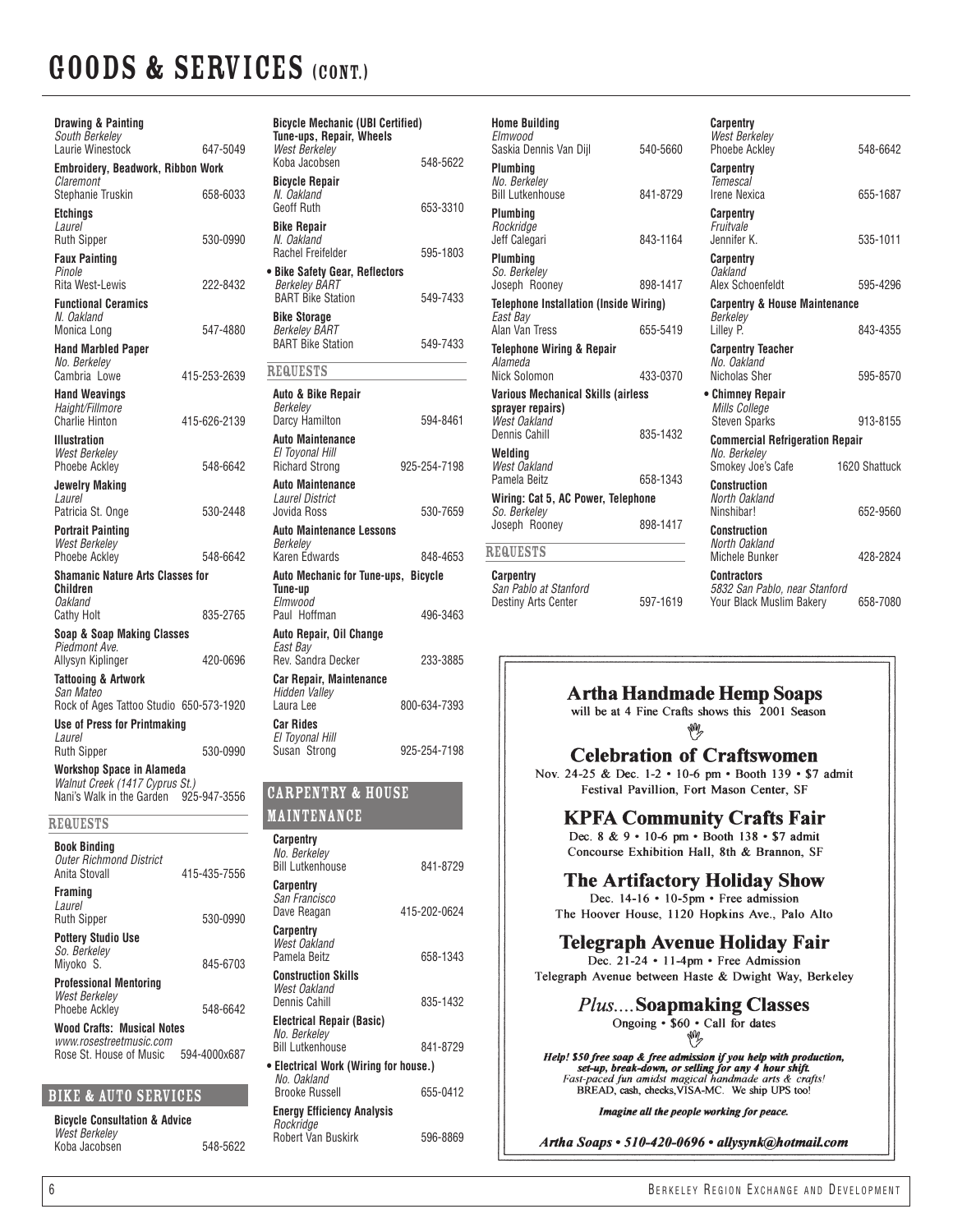| Drawing & Painting<br>South Berkeley<br>Laurie Winestock                                 | 647-5049     | Bicyd<br><b>Tune</b><br>West        |
|------------------------------------------------------------------------------------------|--------------|-------------------------------------|
| <b>Embroidery, Beadwork, Ribbon Work</b>                                                 |              | Koba                                |
| Claremont<br>Stephanie Truskin                                                           | 658-6033     | Bicy<br>N. Oi<br>Geof               |
| <b>Etchings</b><br>Laurel<br><b>Ruth Sipper</b>                                          | 530-0990     | <b>Bike</b><br>N. Oi<br>Rach        |
| <b>Faux Painting</b><br>Pinole<br>Rita West-Lewis                                        | 222-8432     | • Bike<br>Berk                      |
| <b>Functional Ceramics</b><br>N. Oakland<br>Monica Long                                  | 547-4880     | <b>BAR</b><br><b>Bike</b><br>Berk   |
| <b>Hand Marbled Paper</b><br>No. Berkeley                                                |              | BAR <sub>1</sub><br><b>REQU</b>     |
| Cambria Lowe                                                                             | 415-253-2639 |                                     |
| <b>Hand Weavings</b><br>Haight/Fillmore<br><b>Charlie Hinton</b>                         | 415-626-2139 | Auto<br>Berk<br>Darcy               |
| <b>Illustration</b><br><b>West Berkeley</b><br><b>Phoebe Ackley</b>                      | 548-6642     | Auto<br>El To<br>Richa              |
| <b>Jewelry Making</b><br>Laurel<br>Patricia St. Onge                                     | 530-2448     | Auto<br>Laun<br>Jovic               |
| <b>Portrait Painting</b><br><b>West Berkelev</b><br><b>Phoebe Ackley</b>                 | 548-6642     | Auto<br>Berk<br>Karer               |
| <b>Shamanic Nature Arts Classes for</b><br>Children<br>Oakland                           |              | Auto<br><b>Tune</b><br>Elmv         |
| <b>Cathy Holt</b>                                                                        | 835-2765     | Paul                                |
| Soap & Soap Making Classes<br>Piedmont Ave.<br>Allysyn Kiplinger                         | 420-0696     | Auto<br>East<br>Rev.                |
| <b>Tattooing &amp; Artwork</b><br>San Mateo<br>Rock of Ages Tattoo Studio 650-573-1920   |              | Car F<br>Hidd<br>Laura              |
| Use of Press for Printmaking                                                             |              | Car F                               |
| Laurel<br><b>Ruth Sipper</b>                                                             | 530-0990     | El To<br>Susa                       |
| Workshop Space in Alameda<br>Walnut Creek (1417 Cyprus St.)<br>Nani's Walk in the Garden | 925-947-3556 | CAR                                 |
| REQUESTS                                                                                 |              | <u>MAI</u>                          |
| <b>Book Binding</b><br><b>Outer Richmond District</b><br>Anita Stovall                   | 415-435-7556 | Carp<br>No. L<br><br>Bill L<br>Carp |
| <b>Framing</b><br>Laurel<br><b>Ruth Sipper</b>                                           | 530-0990     | San i<br>Dave                       |

**Pottery Studio Use** *So. Berkeley* Miyoko S. 845-6703

 $\overline{R}$ 

**Professional Mentoring** *West Berkeley* Phoebe Ackley 548-6642

**Wood Crafts: Musical Notes** *www.rosestreetmusic.com* Rose St. House of Music 594-4000x687

| BIKE & AUTO SERVICES |  |  |
|----------------------|--|--|
|                      |  |  |

**Bicycle Consultation & Advice** *West Berkeley* Koba Jacobsen 548-5622

| <b>Bicycle Mechanic (UBI Certified)</b><br>Tune-ups, Repair, Wheels<br><b>West Berkelev</b> |              |
|---------------------------------------------------------------------------------------------|--------------|
| Koba Jacobsen                                                                               | 548-5622     |
| <b>Bicycle Repair</b><br>N. Oakland<br><b>Geoff Ruth</b>                                    | 653-3310     |
| <b>Bike Repair</b><br>N. Oakland<br>Rachel Freifelder                                       | 595-1803     |
| · Bike Safety Gear, Reflectors<br><b>Berkeley BART</b><br><b>BART Bike Station</b>          | 549-7433     |
| <b>Bike Storage</b><br><b>Berkelev BART</b><br><b>BART Bike Station</b>                     | 549-7433     |
| <b>REQUESTS</b>                                                                             |              |
| <b>Auto &amp; Bike Repair</b>                                                               |              |
| Berkeley<br>Darcy Hamilton                                                                  | 594-8461     |
| <b>Auto Maintenance</b><br>El Toyonal Hill<br><b>Richard Strong</b>                         | 925-254-7198 |
| <b>Auto Maintenance</b><br><b>Laurel District</b><br>Jovida Ross                            | 530-7659     |
| <b>Auto Maintenance Lessons</b>                                                             |              |
| Berkelev<br>Karen Edwards                                                                   | 848-4653     |
| <b>Auto Mechanic for Tune-ups, Bicycle</b><br>Tune-up                                       |              |
| Elmwood<br>Paul Hoffman                                                                     | 496-3463     |
| Auto Repair, Oil Change<br>East Bay                                                         |              |
| Rev. Sandra Decker                                                                          | 233-3885     |
| <b>Car Repair, Maintenance</b><br>Hidden Valley<br>Laura Lee                                | 800-634-7393 |
| <b>Car Rides</b><br>El Toyonal Hill<br>Susan Strong                                         | 925-254-7198 |
| <b>CAPPENTDY &amp; HAHCP</b>                                                                |              |

### PENTRY & HOUSE

### NTENANCE

| Carpentry<br>No. Berkeley<br><b>Bill Lutkenhouse</b>                 | 841-8729     |
|----------------------------------------------------------------------|--------------|
| Carpentry<br>San Francisco<br>Dave Reagan                            | 415-202-0624 |
| Carpentry<br>West Oakland<br>Pamela Beitz                            | 658-1343     |
| <b>Construction Skills</b><br>West Oakland<br>Dennis Cahill          | 835-1432     |
| Electrical Repair (Basic)<br>No. Berkelev<br><b>Bill Lutkenhouse</b> | 841-8729     |
| • Electrical Work (Wiring for house.)<br>No. Oakland                 |              |
| Brooke Russell                                                       | 655-0412     |
| <b>Energy Efficiency Analysis</b><br>Rockridge                       |              |
| <b>Robert Van Buskirk</b>                                            | 596-8869     |
|                                                                      |              |

| <b>Home Building</b><br>Elmwood<br>Saskia Dennis Van Dijl                      | 540-5660 | <b>Carpentry</b><br><b>West Berkeley</b><br><b>Phoebe Ackley</b>                | 548-6642      |
|--------------------------------------------------------------------------------|----------|---------------------------------------------------------------------------------|---------------|
| Plumbing<br>No. Berkeley<br><b>Bill Lutkenhouse</b>                            | 841-8729 | <b>Carpentry</b><br><b>Temescal</b><br><b>Irene Nexica</b>                      | 655-1687      |
| Plumbing<br>Rockridge<br>Jeff Calegari                                         | 843-1164 | <b>Carpentry</b><br>Fruitvale<br>Jennifer K.                                    | 535-1011      |
| Plumbing<br>So. Berkelev<br>Joseph Rooney                                      | 898-1417 | Carpentry<br><b>Oakland</b><br>Alex Schoenfeldt                                 | 595-4296      |
| <b>Telephone Installation (Inside Wiring)</b><br>East Bay<br>Alan Van Tress    | 655-5419 | <b>Carpentry &amp; House Maintenance</b><br>Berkeley<br>Lilley P.               | 843-4355      |
| <b>Telephone Wiring &amp; Repair</b><br>Alameda<br>Nick Solomon                | 433-0370 | <b>Carpentry Teacher</b><br>No. Oakland<br>Nicholas Sher                        | 595-8570      |
| <b>Various Mechanical Skills (airless)</b><br>sprayer repairs)<br>West Oakland |          | • Chimney Repair<br><b>Mills College</b><br><b>Steven Sparks</b>                | 913-8155      |
| Dennis Cahill                                                                  | 835-1432 | <b>Commercial Refrigeration Repair</b>                                          |               |
| Welding<br>West Oakland<br>Pamela Beitz                                        | 658-1343 | No. Berkeley<br>Smokey Joe's Cafe                                               | 1620 Shattuck |
| Wiring: Cat 5, AC Power, Telephone<br>So. Berkelev                             |          | Construction<br>North Oakland<br>Ninshibar!                                     | 652-9560      |
| Joseph Rooney<br><b>REQUESTS</b>                                               | 898-1417 | Construction<br>North Oakland                                                   |               |
|                                                                                |          | <b>Michele Bunker</b>                                                           | 428-2824      |
| Carpentry<br>San Pablo at Stanford<br><b>Destiny Arts Center</b>               | 597-1619 | <b>Contractors</b><br>5832 San Pablo, near Stanford<br>Your Black Muslim Bakery | 658-7080      |

### **Artha Handmade Hemp Soaps**

will be at 4 Fine Crafts shows this 2001 Season

W

**Celebration of Craftswomen** 

Nov. 24-25 & Dec. 1-2 . 10-6 pm . Booth 139 . \$7 admit Festival Pavillion, Fort Mason Center, SF

### **KPFA Community Crafts Fair**

Dec. 8 & 9 · 10-6 pm · Booth 138 · \$7 admit Concourse Exhibition Hall, 8th & Brannon, SF

### **The Artifactory Holiday Show**

Dec. 14-16 • 10-5pm • Free admission The Hoover House, 1120 Hopkins Ave., Palo Alto

### Telegraph Avenue Holiday Fair

Dec. 21-24 • 11-4pm • Free Admission Telegraph Avenue between Haste & Dwight Way, Berkeley

> *Plus....* Soapmaking Classes Ongoing • \$60 • Call for dates fm

Help! \$50 free soap & free admission if you help with production,<br>set-up, break-down, or selling for any 4 hour shift.<br>Fast-paced fun amidst magical handmade arts & crafts! BREAD, cash, checks, VISA-MC. We ship UPS too!

Imagine all the people working for peace.

Artha Soaps · 510-420-0696 · allysynk@hotmail.com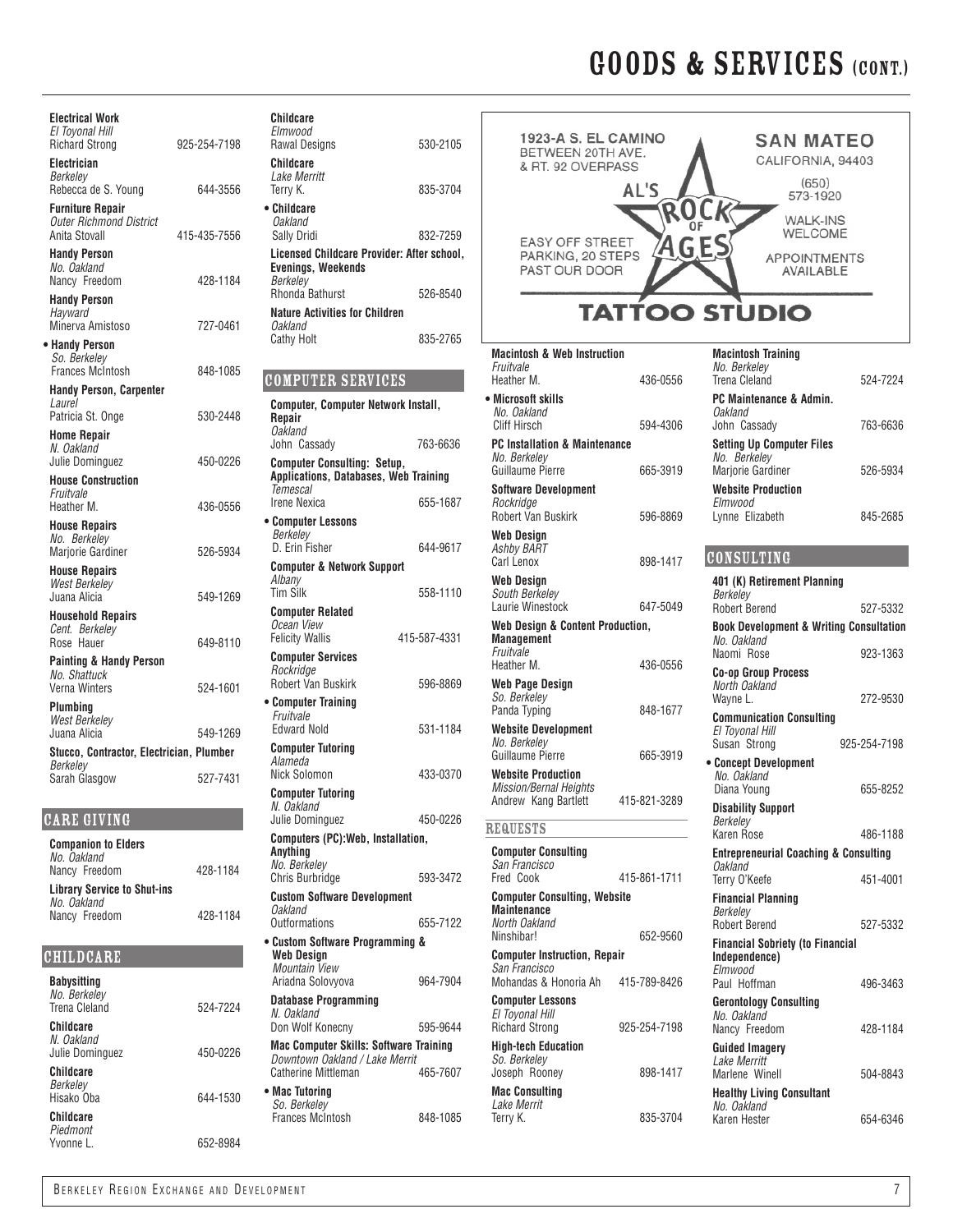| <b>Electrical Work</b><br>El Toyonal Hill<br><b>Richard Strong</b>               | 925-254-7198 | Childcare<br>Elmwood<br>Rawal Desi                      |
|----------------------------------------------------------------------------------|--------------|---------------------------------------------------------|
| Electrician<br>Berkeley<br>Rebecca de S. Young                                   | 644-3556     | Childcare<br>Lake Merri<br>Terry K.                     |
| <b>Furniture Repair</b><br><b>Outer Richmond District</b><br>Anita Stovall       | 415-435-7556 | • Childcare<br><b>Oakland</b><br>Sally Dridi            |
| <b>Handy Person</b><br>No. Oakland<br>Nancy Freedom                              | 428-1184     | Licensed (<br>Evenings,<br>Berkeley                     |
| <b>Handy Person</b><br>Hayward<br>Minerva Amistoso                               | 727-0461     | Rhonda Ba<br><b>Nature Act</b><br>Oakland               |
| • Handy Person<br>So. Berkelev                                                   |              | Cathy Holt                                              |
| <b>Frances McIntosh</b><br><b>Handy Person, Carpenter</b>                        | 848-1085     | <b>COMPUT</b>                                           |
| Laurel<br>Patricia St. Onge<br>Home Repair                                       | 530-2448     | Computer,<br>Repair<br><b>Oakland</b>                   |
| N. Oakland<br>Julie Dominguez                                                    | 450-0226     | John Cass<br>Computer<br><b>Application</b>             |
| <b>House Construction</b><br>Fruitvale<br>Heather M.                             | 436-0556     | Temescal<br><b>Irene Nexio</b>                          |
| <b>House Repairs</b><br>No. Berkeley<br><b>Mariorie Gardiner</b>                 | 526-5934     | • Computer<br>Berkelev<br>D. Erin Fis                   |
| <b>House Repairs</b><br><b>West Berkeley</b><br>Juana Alicia                     | 549-1269     | Computer<br>Albanv<br><b>Tim Silk</b>                   |
| <b>Household Repairs</b><br>Cent. Berkeley                                       |              | Computer<br>Ocean View<br>Felicity Wa                   |
| Rose Hauer<br><b>Painting &amp; Handy Person</b><br>No. Shattuck                 | 649-8110     | Computer<br>Rockridge                                   |
| Verna Winters<br>Plumbina                                                        | 524-1601     | <b>Robert Var</b><br>• Computer<br>Fruitvale            |
| <b>West Berkelev</b><br>Juana Alicia<br>Stucco, Contractor, Electrician, Plumber | 549-1269     | <b>Edward No</b><br><b>Computer</b>                     |
| Berkeley<br>Sarah Glasgow                                                        | 527-7431     | Alameda<br>Nick Solon                                   |
| <b>CARE GIVING</b>                                                               |              | <b>Computer</b><br>N. Oakland<br>Julie Domi             |
| <b>Companion to Elders</b><br>No. Oakland<br>Nancy Freedom                       | 428-1184     | Computers<br>Anything<br>No. Berkel                     |
| <b>Library Service to Shut-ins</b><br>No. Oakland                                |              | <b>Chris Burb</b><br><b>Custom So</b><br><b>Oakland</b> |
| Nancy Freedom                                                                    | 428-1184     | Outformati<br>• Custom So                               |
| <b>CHILDCARE</b><br><b>Babysitting</b>                                           |              | <b>Web Desir</b><br>Mountain<br>Ariadna So              |
| No. Berkelev<br>Trena Cleland                                                    | 524-7224     | Database I<br>N. Oakland                                |

| Trena Cleland                              |  |
|--------------------------------------------|--|
| Childcare<br>N. Oakland<br>Julie Dominguez |  |
| Childcare<br>Berkeley<br>Hisako Oba        |  |
| Childcare<br>Piedmont                      |  |

Yvonne L.

| Childcare                                                                   |              |
|-----------------------------------------------------------------------------|--------------|
| Elmwood<br><b>Rawal Designs</b>                                             | 530-2105     |
| Childcare<br>Lake Merritt                                                   |              |
| Terry K.                                                                    | 835-3704     |
| • Childcare<br><b>Oakland</b><br>Sally Dridi                                | 832-7259     |
| Licensed Childcare Provider: After school,                                  |              |
| <b>Evenings, Weekends</b><br>Berkelev                                       |              |
| Rhonda Bathurst<br><b>Nature Activities for Children</b>                    | 526-8540     |
| Oakland<br><b>Cathy Holt</b>                                                | 835-2765     |
|                                                                             |              |
| <b>COMPUTER SERVICES</b>                                                    |              |
| Computer, Computer Network Install,<br>Repair                               |              |
| Oakland<br>John Cassady                                                     | 763-6636     |
| <b>Computer Consulting: Setup,</b><br>Applications, Databases, Web Training |              |
| Temescal<br><b>Irene Nexica</b>                                             | 655-1687     |
| • Computer Lessons<br>Berkelev                                              |              |
| D. Erin Fisher                                                              | 644-9617     |
| <b>Computer &amp; Network Support</b><br>Albany<br><b>Tim Silk</b>          | 558-1110     |
| <b>Computer Related</b><br>Ocean View                                       |              |
| <b>Felicity Wallis</b>                                                      | 415-587-4331 |
| <b>Computer Services</b><br>Rockridge<br><b>Robert Van Buskirk</b>          | 596-8869     |
| • Computer Training<br>Fruitvale                                            |              |
| <b>Edward Nold</b>                                                          | 531-1184     |
| <b>Computer Tutoring</b><br>Alameda                                         |              |
| Nick Solomon<br><b>Computer Tutoring</b>                                    | 433-0370     |
| N. Oakland<br>Julie Dominguez                                               | 450-0226     |
| Computers (PC): Web, Installation,<br>Anything                              |              |
| No. Berkeley<br><b>Chris Burbridge</b>                                      | 593-3472     |
| <b>Custom Software Development</b><br>Oakland                               |              |
| Outformations<br>• Custom Software Programming &                            | 655-7122     |
| Web Design<br>Mountain View                                                 |              |
| Ariadna Solovyova                                                           | 964-7904     |
| <b>Database Programming</b>                                                 |              |

| HOUSE REDAITS<br>West Berkeley<br>Juana Alicia                     | 549-1269 | compator a nothern cappoin<br>Albany<br><b>Tim Silk</b>                                                | 558-1110     | <b>Web Design</b><br>South Berkeley<br>Laurie Winestock                            | 647-5049     | 401 (K) Retirement Planning<br>Berkelev<br><b>Robert Berend</b>                     | 527-5332       |
|--------------------------------------------------------------------|----------|--------------------------------------------------------------------------------------------------------|--------------|------------------------------------------------------------------------------------|--------------|-------------------------------------------------------------------------------------|----------------|
| <b>Household Repairs</b><br>Cent. Berkeley<br>Rose Hauer           | 649-8110 | <b>Computer Related</b><br>Ocean View<br><b>Felicity Wallis</b>                                        | 415-587-4331 | Web Design & Content Production,<br><b>Management</b>                              |              | <b>Book Development &amp; Writing Consultation</b><br>No. Oakland                   |                |
| <b>Painting &amp; Handy Person</b><br>No. Shattuck                 |          | <b>Computer Services</b><br>Rockridge<br>Robert Van Buskirk                                            | 596-8869     | Fruitvale<br>Heather M.<br><b>Web Page Design</b>                                  | 436-0556     | Naomi Rose<br><b>Co-op Group Process</b><br>North Oakland                           | 923-1363       |
| Verna Winters<br>Plumbing<br><b>West Berkelev</b>                  | 524-1601 | • Computer Training<br>Fruitvale                                                                       |              | So. Berkeley<br>Panda Typing                                                       | 848-1677     | Wavne L.<br><b>Communication Consulting</b>                                         | 272-9530       |
| Juana Alicia<br>Stucco, Contractor, Electrician, Plumber           | 549-1269 | <b>Edward Nold</b><br><b>Computer Tutoring</b>                                                         | 531-1184     | <b>Website Development</b><br>No. Berkelev<br>Guillaume Pierre                     | 665-3919     | El Tovonal Hill<br>Susan Strong                                                     | 925-254-7198   |
| Berkelev<br>Sarah Glasgow                                          | 527-7431 | Alameda<br>Nick Solomon<br><b>Computer Tutoring</b><br>N. Oakland                                      | 433-0370     | <b>Website Production</b><br><b>Mission/Bernal Heights</b><br>Andrew Kang Bartlett | 415-821-3289 | • Concept Development<br>No. Oakland<br>Diana Young<br><b>Disability Support</b>    | 655-8252       |
| ARE GIVING                                                         |          | Julie Dominguez                                                                                        | 450-0226     | <b>REQUESTS</b>                                                                    |              | Berkeley<br>Karen Rose                                                              | 486-1188       |
| <b>Companion to Elders</b><br>No. Oakland<br>Nancy Freedom         | 428-1184 | Computers (PC): Web, Installation,<br>Anything<br>No. Berkeley<br>Chris Burbridge                      | 593-3472     | <b>Computer Consulting</b><br>San Francisco<br>Fred Cook                           | 415-861-1711 | <b>Entrepreneurial Coaching &amp; Consulting</b><br><b>Oakland</b><br>Terry O'Keefe | 451-4001       |
| <b>Library Service to Shut-ins</b><br>No. Oakland<br>Nancy Freedom | 428-1184 | <b>Custom Software Development</b><br><b>Oakland</b><br><b>Outformations</b>                           | 655-7122     | <b>Computer Consulting, Website</b><br><b>Maintenance</b><br>North Oakland         |              | <b>Financial Planning</b><br>Berkeley<br><b>Robert Berend</b>                       | 527-5332       |
| HILDCARE                                                           |          | • Custom Software Programming &<br><b>Web Design</b><br>Mountain View                                  |              | Ninshibar!<br><b>Computer Instruction, Repair</b><br>San Francisco                 | 652-9560     | <b>Financial Sobriety (to Financial</b><br>Independence)<br>Elmwood                 |                |
| Babysitting<br>No. Berkelev                                        |          | Ariadna Solovyova                                                                                      | 964-7904     | Mohandas & Honoria Ah                                                              | 415-789-8426 | Paul Hoffman                                                                        | 496-3463       |
| Trena Cleland<br>Childcare                                         | 524-7224 | <b>Database Programming</b><br>N. Oakland<br>Don Wolf Konecny                                          | 595-9644     | <b>Computer Lessons</b><br>El Toyonal Hill<br><b>Richard Strong</b>                | 925-254-7198 | <b>Gerontology Consulting</b><br>No. Oakland<br>Nancy Freedom                       | 428-1184       |
| N. Oakland<br>Julie Dominguez<br>Childcare                         | 450-0226 | <b>Mac Computer Skills: Software Training</b><br>Downtown Oakland / Lake Merrit<br>Catherine Mittleman | 465-7607     | <b>High-tech Education</b><br>So. Berkelev<br>Joseph Rooney                        | 898-1417     | <b>Guided Imagery</b><br>Lake Merritt<br>Marlene Winell                             | 504-8843       |
| Berkeley<br>Hisako Oba                                             | 644-1530 | • Mac Tutoring<br>So. Berkeley                                                                         |              | <b>Mac Consulting</b><br>Lake Merrit                                               |              | <b>Healthy Living Consultant</b><br>No. Oakland                                     |                |
| Childcare<br>Piedmont<br>Yvonne L.                                 | 652-8984 | Frances McIntosh                                                                                       | 848-1085     | Terry K.                                                                           | 835-3704     | Karen Hester                                                                        | 654-6346       |
| BERKELEY REGION EXCHANGE AND DEVELOPMENT                           |          |                                                                                                        |              |                                                                                    |              |                                                                                     | $\overline{7}$ |

| 1923-A S. EL CAMINO<br>BETWEEN 20TH AVE.<br>& RT. 92 OVERPASS<br>AL'S | <b>SAN MATEO</b><br>CALIFORNIA, 94403<br>(650)<br>573-1920     |  |  |  |
|-----------------------------------------------------------------------|----------------------------------------------------------------|--|--|--|
| <b>EASY OFF STREET</b><br>PARKING, 20 STEPS<br>PAST OUR DOOR          | <b>WALK-INS</b><br>WELCOME<br><b>APPOINTMENTS</b><br>AVAILABLE |  |  |  |
| <b>TATTOO STUDIO</b>                                                  |                                                                |  |  |  |

| <b>Macintosh &amp; Web Instruction</b><br>Fruitvale<br>Heather M.  | 436-0556     | <b>Macintosh Training</b><br>No. Berkeley<br>Trena Cleland                      | 524-7224     |
|--------------------------------------------------------------------|--------------|---------------------------------------------------------------------------------|--------------|
| • Microsoft skills                                                 |              | PC Maintenance & Admin.                                                         |              |
| No. Oakland<br>Cliff Hirsch                                        | 594-4306     | <b>Oakland</b><br>John Cassady                                                  | 763-6636     |
| <b>PC Installation &amp; Maintenance</b><br>No. Berkeley           |              | <b>Setting Up Computer Files</b><br>No. Berkelev                                |              |
| Guillaume Pierre<br><b>Software Development</b>                    | 665-3919     | <b>Marjorie Gardiner</b><br><b>Website Production</b>                           | 526-5934     |
| Rockridae<br><b>Robert Van Buskirk</b>                             | 596-8869     | Elmwood<br>Lynne Elizabeth                                                      | 845-2685     |
| Web Design                                                         |              |                                                                                 |              |
| Ashby BART<br>Carl Lenox                                           | 898-1417     | <b>CONSULTING</b>                                                               |              |
| Web Design<br>South Berkeley                                       |              | 401 (K) Retirement Planning<br>Berkeley                                         |              |
| Laurie Winestock                                                   | 647-5049     | Robert Berend                                                                   | 527-5332     |
| Web Design & Content Production,<br><b>Management</b><br>Fruitvale |              | <b>Book Development &amp; Writing Consultation</b><br>No. Oakland<br>Naomi Rose |              |
| Heather M.                                                         | 436-0556     |                                                                                 | 923-1363     |
| Web Page Design<br>So. Berkeley                                    |              | <b>Co-op Group Process</b><br>North Oakland<br>Wayne L.                         | 272-9530     |
| Panda Typing                                                       | 848-1677     |                                                                                 |              |
| <b>Website Development</b>                                         |              | <b>Communication Consulting</b><br>El Toyonal Hill                              |              |
| No. Berkeley                                                       |              | Susan Strong                                                                    | 925-254-7198 |
| Guillaume Pierre                                                   | 665-3919     | • Concept Development                                                           |              |
| <b>Website Production</b><br><b>Mission/Bernal Heights</b>         |              | No. Oakland<br>Diana Young                                                      | 655-8252     |
| Andrew Kang Bartlett                                               | 415-821-3289 | <b>Disability Support</b>                                                       |              |
| REQUESTS                                                           |              | Berkeley<br>Karen Rose                                                          | 486-1188     |
| <b>Computer Consulting</b>                                         |              | <b>Entrepreneurial Coaching &amp; Consulting</b>                                |              |
| San Francisco                                                      |              | Oakland                                                                         |              |
| Fred Cook                                                          | 415-861-1711 | Terry O'Keefe                                                                   | 451-4001     |
| <b>Computer Consulting, Website</b><br><b>Maintenance</b>          |              | <b>Financial Planning</b>                                                       |              |
| North Oakland                                                      |              | Berkelev<br>Robert Berend                                                       | 527-5332     |
| Ninshibar!                                                         | 652-9560     |                                                                                 |              |
| <b>Computer Instruction, Repair</b>                                |              | <b>Financial Sobriety (to Financial</b><br>Independence)                        |              |
| San Francisco                                                      |              | Elmwood                                                                         |              |
| Mohandas & Honoria Ah                                              | 415-789-8426 | Paul Hoffman                                                                    | 496-3463     |
| <b>Computer Lessons</b>                                            |              | <b>Gerontology Consulting</b>                                                   |              |
| El Toyonal Hill<br><b>Richard Strong</b>                           | 925-254-7198 | No. Oakland<br>Nancy Freedom                                                    | 428-1184     |
| <b>High-tech Education</b>                                         |              | <b>Guided Imagery</b>                                                           |              |
| So. Berkeley<br>Joseph Rooney                                      | 898-1417     | Lake Merritt<br>Marlene Winell                                                  | 504-8843     |
| <b>Mac Consulting</b>                                              |              |                                                                                 |              |
| Lake Merrit                                                        |              | <b>Healthy Living Consultant</b><br>No. Oakland                                 |              |
| Terry K.                                                           | 835-3704     | Karen Hester                                                                    | 654-6346     |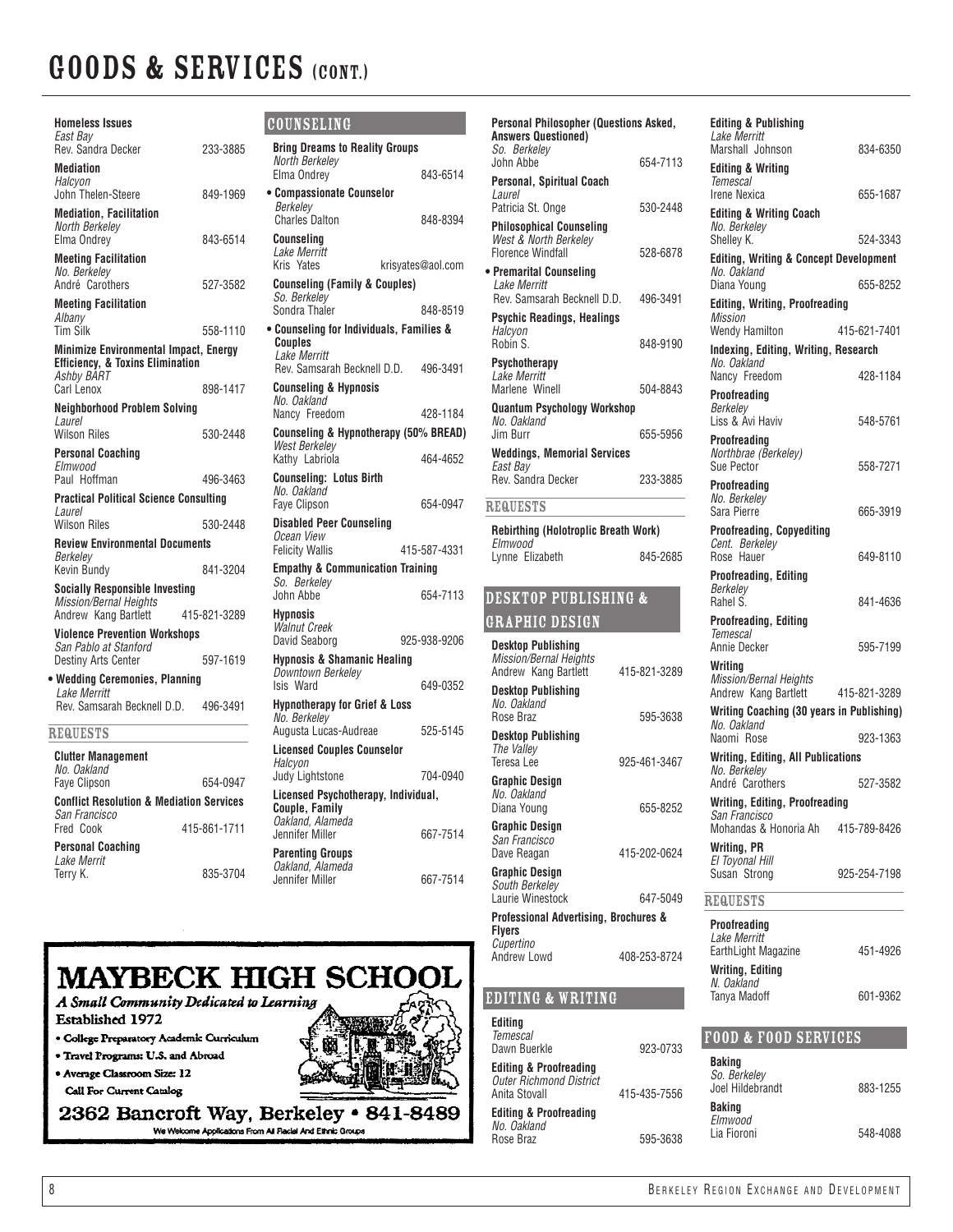| <b>Homeless Issues</b><br>East Bay                                                          |              |
|---------------------------------------------------------------------------------------------|--------------|
| Rev. Sandra Decker<br><b>Mediation</b>                                                      | 233-3885     |
| Halcyon<br>John Thelen-Steere                                                               | 849-1969     |
| <b>Mediation, Facilitation</b><br>North Berkelev<br>Elma Ondrey                             | 843-6514     |
| <b>Meeting Facilitation</b><br>No. Berkeley<br>André Carothers                              | 527-3582     |
| <b>Meeting Facilitation</b><br>Albany<br><b>Tim Silk</b>                                    | 558-1110     |
| <b>Minimize Environmental Impact, Energy</b><br><b>Efficiency, &amp; Toxins Elimination</b> |              |
| Ashby BART<br>Carl Lenox                                                                    | 898-1417     |
| <b>Neighborhood Problem Solving</b>                                                         |              |
| Laurel<br><b>Wilson Riles</b>                                                               | 530-2448     |
| Personal Coaching<br>Elmwood                                                                |              |
| Paul Hoffman                                                                                | 496-3463     |
| <b>Practical Political Science Consulting</b><br>Laurel                                     |              |
| Wilson Riles                                                                                | 530-2448     |
| <b>Review Environmental Documents</b><br>Berkelev                                           |              |
| <b>Kevin Bundy</b>                                                                          | 841-3204     |
| <b>Socially Responsible Investing</b><br>Mission/Bernal Heights                             |              |
| Andrew Kang Bartlett                                                                        | 415-821-3289 |
| <b>Violence Prevention Workshops</b><br>San Pablo at Stanford                               |              |
| <b>Destiny Arts Center</b>                                                                  | 597-1619     |
| • Wedding Ceremonies, Planning<br>Lake Merritt                                              |              |
| Rev. Samsarah Becknell D.D. 496-3491                                                        |              |
| <b>REQUESTS</b>                                                                             |              |
| <b>Clutter Management</b><br>No. Oakland                                                    |              |
| Faye Clipson                                                                                | 654-0947     |
| <b>Conflict Resolution &amp; Mediation Services</b><br>San Francisco                        |              |
| Fred Cook                                                                                   | 415-861-1711 |
| Personal Coaching                                                                           |              |

| COUNSELING                                                           |                   |
|----------------------------------------------------------------------|-------------------|
| <b>Bring Dreams to Reality Groups</b>                                |                   |
| North Berkeley<br>Elma Ondrey                                        | 843-6514          |
| • Compassionate Counselor                                            |                   |
| Berkelev<br><b>Charles Dalton</b>                                    | 848-8394          |
| Counselina                                                           |                   |
| Lake Merritt<br>Kris<br>Yates                                        | krisvates@aol.com |
| <b>Counseling (Family &amp; Couples)</b><br>So. Berkelev             |                   |
| Sondra Thaler                                                        | 848-8519          |
| • Counseling for Individuals, Families &<br>Couples<br>Lake Merritt  |                   |
| Rev. Samsarah Becknell D.D.<br><b>Counseling &amp; Hypnosis</b>      | 496-3491          |
| No. Oakland                                                          |                   |
| Nancy Freedom<br>Counseling & Hypnotherapy (50% BREAD)               | 428-1184          |
| <b>West Berkeley</b>                                                 |                   |
| Kathy Labriola                                                       | 464-4652          |
| <b>Counseling: Lotus Birth</b><br>No. Oakland<br><b>Fave Clipson</b> | 654-0947          |
| <b>Disabled Peer Counseling</b>                                      |                   |
| Ocean View<br><b>Felicity Wallis</b>                                 | 415-587-4331      |
| <b>Empathy &amp; Communication Training</b><br>So. Berkeley          |                   |
| John Abbe                                                            | 654-7113          |
| Hypnosis<br><b>Walnut Creek</b>                                      |                   |
| David Seaborg                                                        | 925-938-9206      |
| <b>Hypnosis &amp; Shamanic Healing</b><br>Downtown Berkelev          |                   |
| Isis Ward                                                            | 649-0352          |
| <b>Hypnotherapy for Grief &amp; Loss</b><br>No. Berkeley             |                   |
| Augusta Lucas-Audreae                                                | 525-5145          |
| <b>Licensed Couples Counselor</b><br>Halcyon                         |                   |
| Judy Lightstone                                                      | 704-0940          |
| Licensed Psychotherapy, Individual,<br>Couple, Family                |                   |
| Oakland, Alameda<br>Jennifer Miller                                  | 667-7514          |
| <b>Parenting Groups</b>                                              |                   |
| Oakland, Alameda                                                     |                   |

Jennifer Miller 667-7514

| MAYBECK HIGH SCHOOL                       |  |
|-------------------------------------------|--|
| A Small Community Dedicated to Learning   |  |
| Established 1972                          |  |
| · College Preparatory Academic Curriculum |  |
| · Travel Programs: U.S. and Abroad        |  |
| • Average Classroom Size: 12              |  |
|                                           |  |

Call For Current Catalog

Terry K. 835-3704

*Lake Merrit*

2362 Bancroft Way, Berkeley • 841-8489

| Personal Philosopher (Questions Asked,                                               |              | <b>Editing &amp; Publishing</b>                                  |              |
|--------------------------------------------------------------------------------------|--------------|------------------------------------------------------------------|--------------|
| <b>Answers Questioned)</b><br>So. Berkelev                                           |              | Lake Merritt<br>Marshall Johnson                                 | 834-6350     |
| John Abbe<br>Personal, Spiritual Coach                                               | 654-7113     | <b>Editing &amp; Writing</b><br><b>Temescal</b>                  |              |
| Laurel                                                                               |              | Irene Nexica                                                     | 655-1687     |
| Patricia St. Onge                                                                    | 530-2448     | <b>Editing &amp; Writing Coach</b>                               |              |
| <b>Philosophical Counseling</b><br>West & North Berkeley<br><b>Florence Windfall</b> | 528-6878     | No. Berkelev<br>Shelley K.                                       | 524-3343     |
| • Premarital Counseling                                                              |              | <b>Editing, Writing &amp; Concept Development</b><br>No. Oakland |              |
| Lake Merritt<br>Rev. Samsarah Becknell D.D.                                          | 496-3491     | Diana Young                                                      | 655-8252     |
| <b>Psychic Readings, Healings</b>                                                    |              | <b>Editing, Writing, Proofreading</b><br>Mission                 |              |
| Halcyon                                                                              |              | Wendy Hamilton                                                   | 415-621-7401 |
| Robin S.                                                                             | 848-9190     | Indexing, Editing, Writing, Research                             |              |
| Psychotherapy<br>Lake Merritt                                                        |              | No. Oakland<br>Nancy Freedom                                     | 428-1184     |
| Marlene Winell                                                                       | 504-8843     | <b>Proofreading</b>                                              |              |
| <b>Quantum Psychology Workshop</b>                                                   |              | Berkeley                                                         |              |
| No. Oakland<br>Jim Burr                                                              | 655-5956     | Liss & Avi Haviv                                                 | 548-5761     |
| <b>Weddings, Memorial Services</b>                                                   |              | Proofreading<br>Northbrae (Berkeley)                             |              |
| East Bay                                                                             |              | Sue Pector                                                       | 558-7271     |
| Rev. Sandra Decker                                                                   | 233-3885     | Proofreading                                                     |              |
| <b>REQUESTS</b>                                                                      |              | No. Berkelev<br>Sara Pierre                                      | 665-3919     |
| Rebirthing (Holotroplic Breath Work)                                                 |              | <b>Proofreading, Copyediting</b>                                 |              |
| Elmwood                                                                              |              | Cent. Berkelev                                                   |              |
| Lynne Elizabeth                                                                      | 845-2685     | Rose Hauer                                                       | 649-8110     |
|                                                                                      |              | <b>Proofreading, Editing</b><br>Berkeley                         |              |
| <b>DESKTOP PUBLISHING &amp;</b>                                                      |              | Rahel S.                                                         | 841-4636     |
| <b>GRAPHIC DESIGN</b>                                                                |              | <b>Proofreading, Editing</b><br>Temescal                         |              |
| <b>Desktop Publishing</b>                                                            |              | Annie Decker                                                     | 595-7199     |
| <b>Mission/Bernal Heights</b><br>Andrew Kang Bartlett                                | 415-821-3289 | Writing                                                          |              |
| <b>Desktop Publishing</b>                                                            |              | Mission/Bernal Heights<br>Andrew Kang Bartlett                   | 415-821-3289 |
| No. Oakland                                                                          |              | Writing Coaching (30 years in Publishing)                        |              |
| Rose Braz                                                                            | 595-3638     | No. Oakland                                                      |              |
| <b>Desktop Publishing</b><br>The Vallev                                              |              | Naomi Rose                                                       | 923-1363     |
| Teresa Lee                                                                           | 925-461-3467 | Writing, Editing, All Publications<br>No. Berkelev               |              |
| <b>Graphic Design</b>                                                                |              | André Carothers                                                  | 527-3582     |
| No. Oakland<br>Diana Young                                                           | 655-8252     | <b>Writing, Editing, Proofreading</b>                            |              |
| Graphic Design                                                                       |              | San Francisco<br>Mohandas & Honoria Ah                           | 415-789-8426 |
| San Francisco                                                                        |              | <b>Writing, PR</b>                                               |              |
| Dave Reagan                                                                          | 415-202-0624 | El Toyonal Hill                                                  |              |
| <b>Graphic Design</b><br>South Berkeley                                              |              | Susan Strong                                                     | 925-254-7198 |
| Laurie Winestock                                                                     | 647-5049     | <b>REQUESTS</b>                                                  |              |
| Professional Advertising, Brochures &                                                |              | Proofreading                                                     |              |
| <b>Flyers</b><br>Cupertino                                                           |              | Lake Merritt<br>EarthLight Magazine                              |              |
| Andrew Lowd                                                                          | 408-253-8724 |                                                                  | 451-4926     |
|                                                                                      |              | <b>Writing, Editing</b><br>N. Oakland                            |              |
| EDITING & WRITING                                                                    |              | Tanva Madoff                                                     | 601-9362     |
| Editing<br><b>Temescal</b>                                                           |              | <b>FOOD &amp; FOOD SERVICES</b>                                  |              |
| Dawn Buerkle                                                                         | 923-0733     |                                                                  |              |
| <b>Editing &amp; Proofreading</b>                                                    |              | <b>Baking</b><br>So. Berkeley                                    |              |
| <b>Outer Richmond District</b><br>Anita Stovall                                      | 415-435-7556 | Joel Hildebrandt                                                 | 883-1255     |
| <b>Editing &amp; Proofreading</b>                                                    |              | <b>Baking</b>                                                    |              |
| No. Oakland                                                                          |              | Elmwood<br>Lia Fioroni                                           | 548-4088     |
| Rose Braz                                                                            | 595-3638     |                                                                  |              |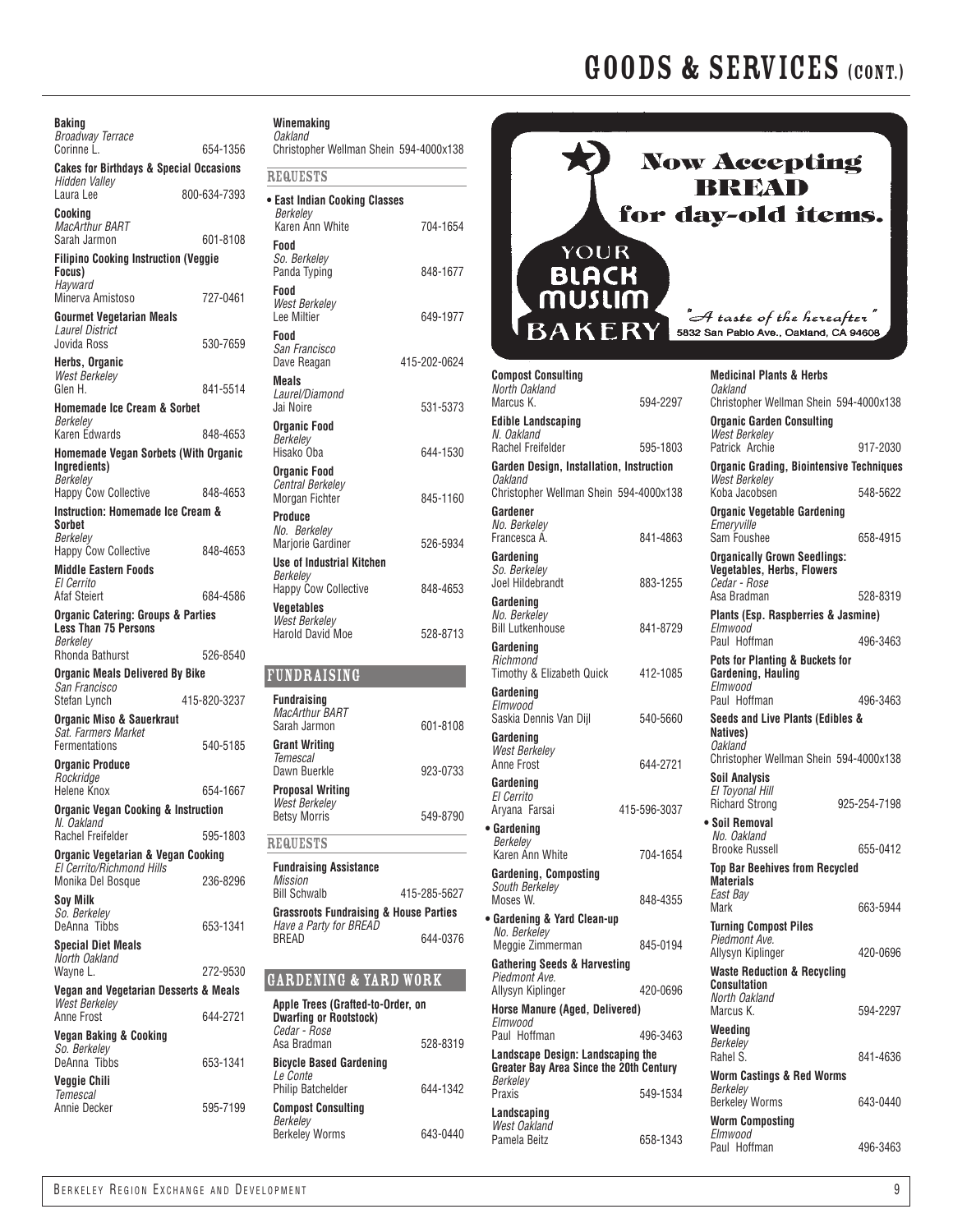| Baking<br>Broadway Terrace                                              |              |
|-------------------------------------------------------------------------|--------------|
| Corinne L.<br><b>Cakes for Birthdays &amp; Special Occasions</b>        | 654-1356     |
| Hidden Valley<br>Laura Lee                                              | 800-634-7393 |
| Cookina<br>MacArthur BART                                               |              |
| Sarah Jarmon<br><b>Filipino Cooking Instruction (Veggie</b>             | 601-8108     |
| Focus)                                                                  |              |
| Hayward<br>Minerva Amistoso                                             | 727-0461     |
| <b>Gourmet Vegetarian Meals</b><br><b>Laurel District</b>               |              |
| Jovida Ross                                                             | 530-7659     |
| Herbs, Organic<br><b>West Berkelev</b>                                  |              |
| Glen H.                                                                 | 841-5514     |
| Homemade Ice Cream & Sorbet<br>Berkelev                                 |              |
| Karen Edwards                                                           | 848-4653     |
| <b>Homemade Vegan Sorbets (With Organic</b><br>Inaredients)<br>Berkelev |              |
| <b>Happy Cow Collective</b>                                             | 848-4653     |
| <b>Instruction: Homemade Ice Cream &amp;</b><br>Sorbet                  |              |
| Berkelev<br><b>Happy Cow Collective</b>                                 | 848-4653     |
| <b>Middle Eastern Foods</b>                                             |              |
| El Cerrito<br><b>Afaf Steiert</b>                                       | 684-4586     |
| <b>Organic Catering: Groups &amp; Parties</b>                           |              |
| <b>Less Than 75 Persons</b><br>Berkeley                                 |              |
| Rhonda Bathurst                                                         | 526-8540     |
| Organic Meals Delivered By Bike<br>San Francisco                        |              |
| Stefan Lynch                                                            | 415-820-3237 |
| Organic Miso & Sauerkraut<br>Sat. Farmers Market                        |              |
| Fermentations                                                           | 540-5185     |
| Organic Produce<br>Rockridge                                            |              |
| <b>Helene Knox</b>                                                      | 654-1667     |
| <b>Organic Vegan Cooking &amp; Instruction</b><br>N. Oakland            |              |
| Rachel Freifelder                                                       | 595-1803     |
| Organic Vegetarian & Vegan Cooking<br>El Cerrito/Richmond Hills         |              |
| Monika Del Bosque                                                       | 236-8296     |
| Soy Milk<br>So. Berkelev                                                |              |
| DeAnna Tibbs                                                            | 653-1341     |
| <b>Special Diet Meals</b><br>North Oakland                              |              |
| Wayne L.<br>Vegan and Vegetarian Desserts & Meals                       | 272-9530     |
| <b>West Berkeley</b>                                                    |              |
| Anne Frost<br>Vegan Baking & Cooking                                    | 644-2721     |
| So. Berkeley                                                            |              |
| DeAnna Tibbs<br>Veggie Chili                                            | 653-1341     |
| <b>Temescal</b>                                                         |              |
| Annie Decker                                                            | 595-7199     |

#### **Winemaking** *Oakland*

| Vanialiu<br>Christopher Wellman Shein 594-4000x138 |  |
|----------------------------------------------------|--|
| <b>REQUESTS</b>                                    |  |

| • East Indian Cooking Classes<br>Berkelev                                   |              |
|-----------------------------------------------------------------------------|--------------|
| Karen Ann White                                                             | 704-1654     |
| Food<br>So. Berkeley<br>Panda Typing                                        | 848-1677     |
| Food<br><b>West Berkelev</b><br>Lee Miltier                                 | 649-1977     |
| Food<br>San Francisco<br>Dave Reagan                                        | 415-202-0624 |
| Meals<br>Laurel/Diamond<br>Jai Noire                                        | 531-5373     |
| <b>Organic Food</b><br>Berkeley<br>Hisako Oba                               | 644-1530     |
| <b>Organic Food</b><br><b>Central Berkeley</b><br>Morgan Fichter            | 845-1160     |
| Produce<br>No. Berkelev<br>Marjorie Gardiner                                | 526-5934     |
| <b>Use of Industrial Kitchen</b><br>Berkelev<br><b>Happy Cow Collective</b> | 848-4653     |
| <b>Vegetables</b><br><b>West Berkeley</b><br><b>Harold David Moe</b>        | 528-8713     |
|                                                                             |              |
| <b>FUNDRAISING</b>                                                          |              |
| <b>Fundraising</b><br><b>MacArthur BART</b><br>Sarah Jarmon                 | 601-8108     |

| <b>Grant Writing</b><br>Temescal<br>Dawn Buerkle                | 923-0733     |
|-----------------------------------------------------------------|--------------|
| <b>Proposal Writing</b><br>West Berkelev<br><b>Betsy Morris</b> | 549-8790     |
| <b>REQUESTS</b>                                                 |              |
| <b>Fundraising Assistance</b><br>Mission<br><b>Bill Schwalb</b> | 415-285-5627 |
| <b>Grassroots Fundraising &amp; House Parties</b>               |              |

### Gardening & Yard Work

BREAD 644-0376

*Have a Party for BREAD*

| Apple Trees (Grafted-to-Order, on<br><b>Dwarfing or Rootstock)</b><br>Cedar - Rose<br>Asa Bradman | 528-8319 |
|---------------------------------------------------------------------------------------------------|----------|
| <b>Bicycle Based Gardening</b><br>I e Conte<br><b>Philip Batchelder</b>                           | 644-1342 |
| <b>Compost Consulting</b><br>Berkeley<br><b>Berkeley Worms</b>                                    | 643-0440 |



| <b>Compost Consulting</b><br>North Oakland<br>Marcus K.  | 594-2297     | <b>Medicinal Plants &amp; Herbs</b><br>Oakland<br>Christopher Wellman Shein 594-4000x138 |              |
|----------------------------------------------------------|--------------|------------------------------------------------------------------------------------------|--------------|
| <b>Edible Landscaping</b><br>N. Oakland                  |              | <b>Organic Garden Consulting</b><br>West Berkelev                                        |              |
| Rachel Freifelder                                        | 595-1803     | Patrick Archie                                                                           | 917-2030     |
| Garden Design, Installation, Instruction                 |              | <b>Organic Grading, Biointensive Techniques</b>                                          |              |
| <b>Oakland</b><br>Christopher Wellman Shein 594-4000x138 |              | <b>West Berkelev</b><br>Koba Jacobsen                                                    | 548-5622     |
| Gardener<br>No. Berkelev<br>Francesca A.                 | 841-4863     | <b>Organic Vegetable Gardening</b><br>Emervville<br>Sam Foushee                          | 658-4915     |
| Gardening<br>So. Berkeley<br>Joel Hildebrandt            | 883-1255     | <b>Organically Grown Seedlings:</b><br><b>Vegetables, Herbs, Flowers</b><br>Cedar - Rose |              |
| Gardening                                                |              | Asa Bradman                                                                              | 528-8319     |
| No. Berkeley<br><b>Bill Lutkenhouse</b>                  | 841-8729     | Plants (Esp. Raspberries & Jasmine)<br>Elmwood                                           |              |
| Gardening                                                |              | Paul Hoffman                                                                             | 496-3463     |
| Richmond<br>Timothy & Elizabeth Quick                    | 412-1085     | Pots for Planting & Buckets for<br>Gardening, Hauling                                    |              |
| Gardening                                                |              | Elmwood<br>Paul Hoffman                                                                  | 496-3463     |
| Elmwood<br>Saskia Dennis Van Dijl                        | 540-5660     | Seeds and Live Plants (Edibles &                                                         |              |
| Gardening<br>West Berkeley                               |              | Natives)<br>Oakland                                                                      |              |
| Anne Frost                                               | 644-2721     | Christopher Wellman Shein 594-4000x138                                                   |              |
| Gardening<br>El Cerrito                                  |              | <b>Soil Analysis</b><br>El Toyonal Hill<br>Richard Strong                                | 925-254-7198 |
| Aryana Farsai                                            | 415-596-3037 | • Soil Removal                                                                           |              |
| • Gardening<br>Berkelev                                  |              | No. Oakland<br><b>Brooke Russell</b>                                                     | 655-0412     |
| Karen Ann White<br>Gardening, Composting                 | 704-1654     | <b>Top Bar Beehives from Recycled</b>                                                    |              |
| South Berkeley                                           |              | <b>Materials</b>                                                                         |              |
| Moses W.                                                 | 848-4355     | East Bav<br>Mark                                                                         | 663-5944     |
| • Gardening & Yard Clean-up<br>No. Berkelev              |              | <b>Turning Compost Piles</b>                                                             |              |
| Meggie Zimmerman                                         | 845-0194     | Piedmont Ave.<br>Allysyn Kiplinger                                                       | 420-0696     |
| <b>Gathering Seeds &amp; Harvesting</b>                  |              | <b>Waste Reduction &amp; Recycling</b>                                                   |              |
| Piedmont Ave.<br>Allysyn Kiplinger                       | 420-0696     | <b>Consultation</b>                                                                      |              |
| Horse Manure (Aged, Delivered)                           |              | North Oakland<br>Marcus K.                                                               | 594-2297     |
| Elmwood                                                  |              | Weeding                                                                                  |              |
| Paul Hoffman<br>Landscape Design: Landscaping the        | 496-3463     | Berkeley<br>Rahel S.                                                                     | 841-4636     |
| Greater Bay Area Since the 20th Century                  |              | Worm Castings & Red Worms                                                                |              |
| Berkeley<br>Praxis                                       | 549-1534     | Berkeley                                                                                 |              |
| Landscaping                                              |              | <b>Berkeley Worms</b>                                                                    | 643-0440     |
| West Oakland                                             |              | <b>Worm Composting</b><br>Elmwood                                                        |              |
| Pamela Beitz                                             | 658-1343     |                                                                                          | 100.0100     |

Paul Hoffman 496-3463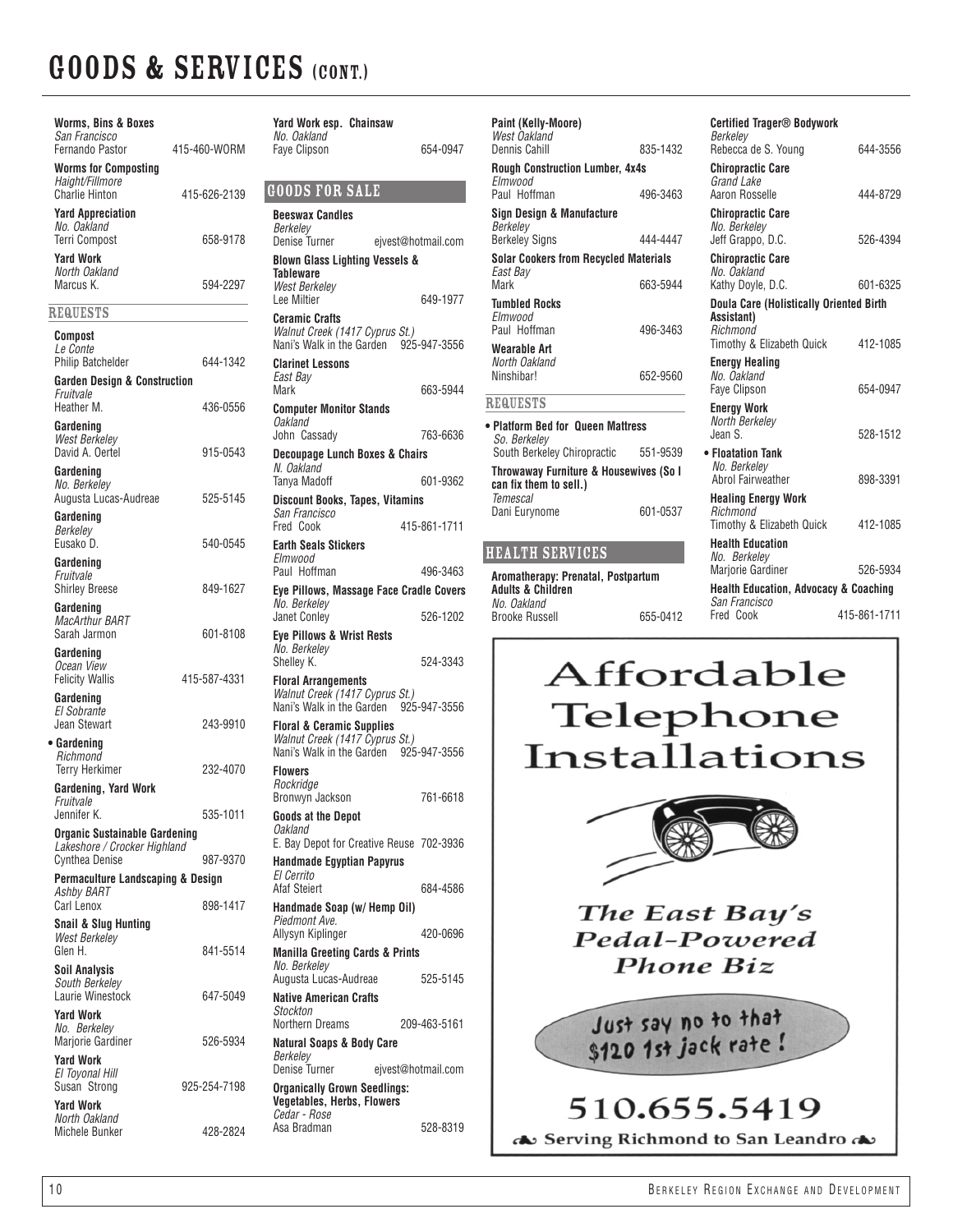| <b>Worms, Bins &amp; Boxes</b><br>San Francisco<br>Fernando Pastor                         | 415-460-WORM | Yard Work<br>No. Oakland<br>Faye Clipsor                    |
|--------------------------------------------------------------------------------------------|--------------|-------------------------------------------------------------|
| <b>Worms for Composting</b><br>Haight/Fillmore                                             |              |                                                             |
| <b>Charlie Hinton</b>                                                                      | 415-626-2139 | <b>GOODSF</b>                                               |
| <b>Yard Appreciation</b><br>No. Oakland<br><b>Terri Compost</b>                            | 658-9178     | Beeswax Ca<br>Berkelev<br><b>Denise Turn</b>                |
| <b>Yard Work</b><br>North Oakland<br>Marcus K.                                             | 594-2297     | <b>Blown Glas</b><br>Tableware<br>West Berke<br>Lee Miltier |
| <b>REQUESTS</b>                                                                            |              | <b>Ceramic Cr.</b>                                          |
| Compost<br><i>Le Conte</i>                                                                 |              | <b>Walnut Cree</b><br>Nani's Walk                           |
| <b>Philip Batchelder</b><br><b>Garden Design &amp; Construction</b><br>Fruitvale           | 644-1342     | <b>Clarinet Les</b><br>East Bay<br>Mark                     |
| Heather M.<br>Gardening<br>West Berkeley                                                   | 436-0556     | Computer N<br>Oakland<br>John Cassa                         |
| David A. Oertel<br>Gardening                                                               | 915-0543     | Decoupage<br>N. Oakland<br>Tanya Madc                       |
| No. Berkeley<br>Augusta Lucas-Audreae<br>Gardening                                         | 525-5145     | <b>Discount Bo</b><br>San Francis<br>Fred Cook              |
| Berkelev<br>Eusako D.<br>Gardening                                                         | 540-0545     | <b>Earth Seals</b><br>Elmwood                               |
| Fruitvale<br><b>Shirley Breese</b>                                                         | 849-1627     | Paul Hoffm<br><b>Eve Pillows</b><br>No. Berkele             |
| Gardening<br>MacArthur BART<br>Sarah Jarmon                                                | 601-8108     | Janet Conle<br><b>Eve Pillows</b>                           |
| Gardening<br>Ocean View<br><b>Felicity Wallis</b>                                          | 415-587-4331 | No. Berkele<br>Shelley K.<br><b>Floral Arrai</b>            |
| Gardening<br><b>El Sobrante</b>                                                            |              | <b>Walnut Cree</b><br>Nani's Walk                           |
| Jean Stewart<br>• Gardening<br>Richmond                                                    | 243-9910     | <b>Floral &amp; Ce</b><br><b>Walnut Cree</b><br>Nani's Walk |
| <b>Terry Herkimer</b><br>Gardening, Yard Work                                              | 232-4070     | <b>Flowers</b><br>Rockridge<br>Bronwyn Ja                   |
| Fruitvale<br>Jennifer K.<br><b>Organic Sustainable Gardening</b>                           | 535-1011     | Goods at th<br>Oakland<br>E. Bay Depo                       |
| Lakeshore / Crocker Highland<br><b>Cynthea Denise</b><br>Permaculture Landscaping & Design | 987-9370     | Handmade<br>El Cerrito                                      |
| Ashby BART<br><b>Carl Lenox</b>                                                            | 898-1417     | Afaf Steiert<br>Handmade<br>Piedmont A                      |
| <b>Snail &amp; Slug Hunting</b><br><b>West Berkeley</b><br>Glen H.                         | 841-5514     | Allysyn Kipl<br><b>Manilla Gre</b>                          |
| Soil Analysis<br>South Berkeley<br>Laurie Winestock                                        | 647-5049     | No. Berkele<br>Augusta Lu                                   |
| <b>Yard Work</b><br>No. Berkeley                                                           |              | Native Ame<br>Stockton<br>Northern Dr                       |
| Marjorie Gardiner<br><b>Yard Work</b>                                                      | 526-5934     | Natural Soa<br>Berkeley<br>Denise Turn                      |
| El Toyonal Hill<br>Susan Strong<br><b>Yard Work</b>                                        | 925-254-7198 | <b>Organically</b><br>Vegetables                            |
| North Oakland<br><b>Michele Bunker</b>                                                     | 428-2824     | Cedar - Ros<br>Asa Bradma                                   |

| Yard Work esp. Chainsaw                                                  |                    |
|--------------------------------------------------------------------------|--------------------|
| No. Oakland<br><b>Fave Clipson</b>                                       | 654-0947           |
|                                                                          |                    |
| <b>GOODS FOR SALE</b>                                                    |                    |
| <b>Beeswax Candles</b>                                                   |                    |
| Berkelev<br>Denise Turner                                                | ejvest@hotmail.com |
| <b>Blown Glass Lighting Vessels &amp;</b>                                |                    |
| Tableware<br>West Berkelev                                               |                    |
| Lee Miltier                                                              | 649-1977           |
| <b>Ceramic Crafts</b>                                                    |                    |
| Walnut Creek (1417 Cyprus St.)<br>Nani's Walk in the Garden 925-947-3556 |                    |
| <b>Clarinet Lessons</b>                                                  |                    |
| East Bay<br>Mark                                                         | 663-5944           |
| <b>Computer Monitor Stands</b>                                           |                    |
| Oakland<br>John Cassady                                                  | 763-6636           |
| <b>Decoupage Lunch Boxes &amp; Chairs</b>                                |                    |
| N. Oakland<br>Tanya Madoff                                               | 601-9362           |
| <b>Discount Books, Tapes, Vitamins</b>                                   |                    |
| San Francisco<br>Fred Cook                                               | 415-861-1711       |
| <b>Earth Seals Stickers</b>                                              |                    |
| Elmwood<br>Paul Hoffman                                                  | 496-3463           |
| Eye Pillows, Massage Face Cradle Covers                                  |                    |
| No. Berkeley                                                             | 526-1202           |
| <b>Janet Conley</b><br>Eye Pillows & Wrist Rests                         |                    |
| No. Berkeley                                                             |                    |
| Shelley K.<br><b>Floral Arrangements</b>                                 | 524-3343           |
| Walnut Creek (1417 Cyprus St.)                                           |                    |
| Nani's Walk in the Garden<br><b>Floral &amp; Ceramic Supplies</b>        | 925-947-3556       |
| Walnut Creek (1417 Cyprus St.)                                           |                    |
| Nani's Walk in the Garden 925-947-3556<br><b>Flowers</b>                 |                    |
| Rockridge                                                                |                    |
| Bronwyn Jackson                                                          | 761-6618           |
| <b>Goods at the Depot</b><br>Oakland                                     |                    |
| E. Bay Depot for Creative Reuse 702-3936                                 |                    |
| <b>Handmade Egyptian Papyrus</b><br>El Cerrito                           |                    |
| Afaf Steiert                                                             | 684-4586           |
| Handmade Soap (w/ Hemp Oil)<br>Piedmont Ave.                             |                    |
| Allysyn Kiplinger                                                        | 420-0696           |
| <b>Manilla Greeting Cards &amp; Prints</b><br>No. Berkeley               |                    |
| Augusta Lucas-Audreae                                                    | 525-5145           |
| <b>Native American Crafts</b><br>Stockton                                |                    |
| <b>Northern Dreams</b>                                                   | 209-463-5161       |
| Natural Soaps & Body Care<br>Berkeley                                    |                    |
| <b>Denise Turner</b>                                                     | ejvest@hotmail.com |
| <b>Organically Grown Seedlings:</b><br><b>Vegetables, Herbs, Flowers</b> |                    |
| Cedar - Rose                                                             |                    |
| Asa Bradman                                                              | 528-8319           |

| Paint (Kelly-Moore)<br>West Oakland<br>Dennis Cahill                                            | 835-1432 | <b>Certified Trager<sup>®</sup> Bodywork</b><br>Berkeley<br>Rebecca de S. Young               | 644-3556             |
|-------------------------------------------------------------------------------------------------|----------|-----------------------------------------------------------------------------------------------|----------------------|
| <b>Rough Construction Lumber, 4x4s</b><br>Flmwood<br>Paul Hoffman                               | 496-3463 | <b>Chiropractic Care</b><br>Grand Lake<br>Aaron Rosselle                                      | 444-8729             |
| Sign Design & Manufacture<br>Berkeley<br><b>Berkeley Signs</b>                                  | 444-4447 | <b>Chiropractic Care</b><br>No. Berkeley<br>Jeff Grappo, D.C.                                 | 526-4394             |
| <b>Solar Cookers from Recycled Materials</b><br>East Bay<br>Mark                                | 663-5944 | <b>Chiropractic Care</b><br>No. Oakland<br>Kathy Doyle, D.C.                                  | 601-6325             |
| <b>Tumbled Rocks</b><br>Elmwood<br>Paul Hoffman                                                 | 496-3463 | <b>Doula Care (Holistically Oriented Birth</b><br>Assistant)<br>Richmond                      |                      |
| Wearable Art<br>North Oakland<br>Ninshibar!                                                     | 652-9560 | Timothy & Elizabeth Quick<br><b>Energy Healing</b><br>No. Oakland<br><b>Fave Clipson</b>      | 412-1085<br>654-0947 |
| <b>REQUESTS</b>                                                                                 |          | <b>Energy Work</b><br>North Berkeley                                                          |                      |
| • Platform Bed for Queen Mattress<br>So. Berkeley                                               |          | Jean S.                                                                                       | 528-1512             |
| South Berkeley Chiropractic<br>Throwaway Furniture & Housewives (So I<br>can fix them to sell.) | 551-9539 | • Floatation Tank<br>No. Berkeley<br><b>Abrol Fairweather</b>                                 | 898-3391             |
| <b>Temescal</b><br>Dani Eurynome                                                                | 601-0537 | <b>Healing Energy Work</b><br>Richmond<br>Timothy & Elizabeth Quick                           | 412-1085             |
| <b>HEALTH SERVICES</b>                                                                          |          | <b>Health Education</b><br>No. Berkeley                                                       |                      |
| Aromatherapy: Prenatal, Postpartum<br><b>Adults &amp; Children</b><br>No. Oakland               |          | <b>Marjorie Gardiner</b><br><b>Health Education, Advocacy &amp; Coaching</b><br>San Francisco | 526-5934             |
| Brooke Russell                                                                                  | 655-0412 | Fred Cook                                                                                     | 415-861-1711         |

### Affordable Telephone Installations

Fred Cook 415-861-1711

Brooke Russell 655-0412



The East Bay's Pedal-Powered **Phone Biz** 

Just say no to that \$120 1st jack rate !

### 510.655.5419

Serving Richmond to San Leandro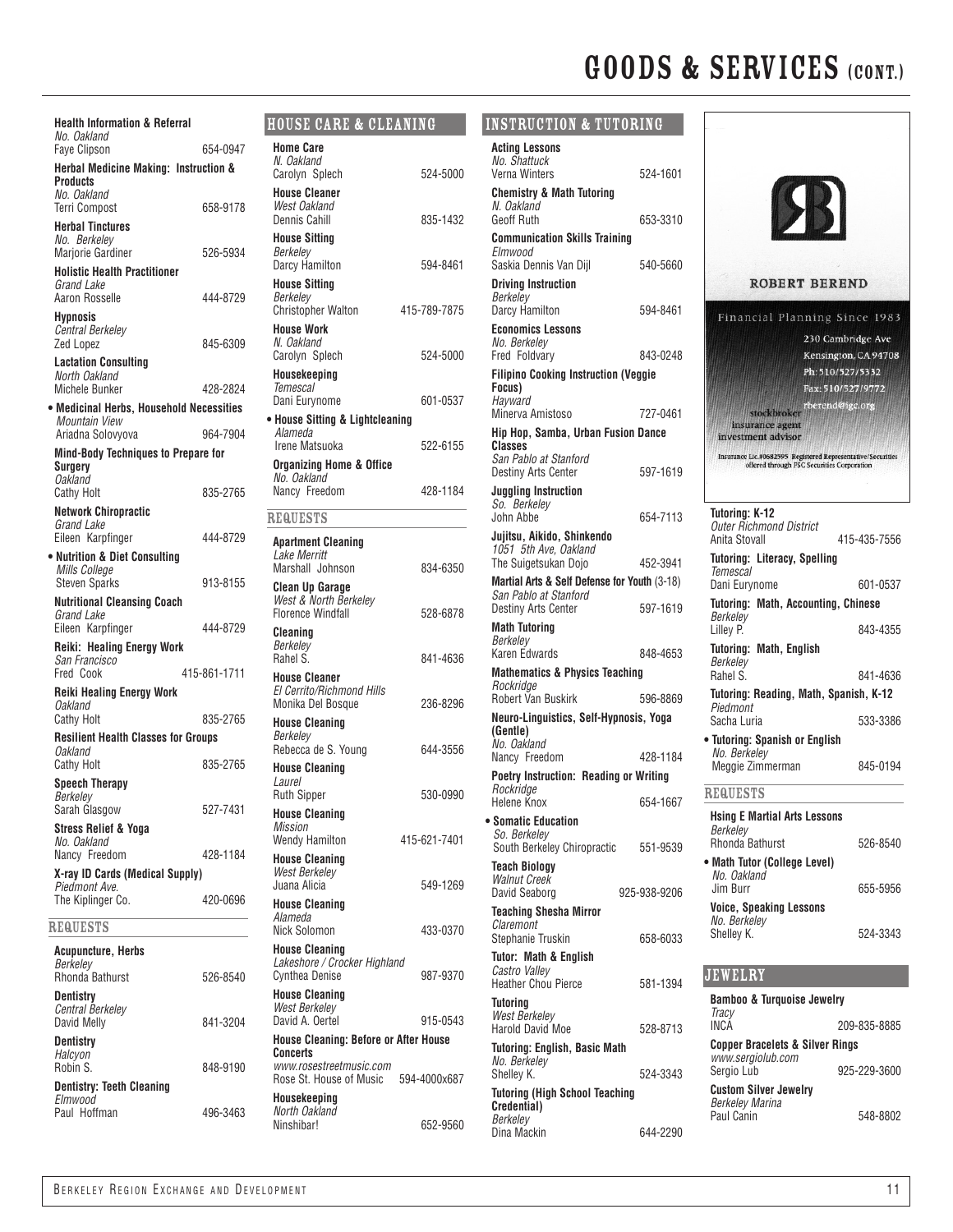| <b>Health Information &amp; Referral</b>                  | H <sub>0</sub>        |
|-----------------------------------------------------------|-----------------------|
| No. Oakland<br>Faye Clipson                               | Ho<br>654-0947        |
| <b>Herbal Medicine Making: Instruction &amp;</b>          | N.<br>Ca              |
| <b>Products</b><br>No. Oakland                            | Ha                    |
| <b>Terri Compost</b>                                      | W<br>658-9178<br>De   |
| <b>Herbal Tinctures</b><br>No. Berkelev                   | Ha                    |
| <b>Marjorie Gardiner</b>                                  | Вe<br>526-5934<br>Da  |
| <b>Holistic Health Practitioner</b><br>Grand Lake         | Ha                    |
| Aaron Rosselle                                            | Вe<br>444-8729<br>Сh  |
| <b>Hypnosis</b><br><b>Central Berkelev</b>                | Ho                    |
| Zed Lopez                                                 | N.<br>845-6309        |
| <b>Lactation Consulting</b><br>North Oakland              | Cа<br>Ha              |
| <b>Michele Bunker</b>                                     | Тe<br>428-2824        |
| • Medicinal Herbs, Household Necessities<br>Mountain View | Da<br>$\bullet$ Ho    |
| Ariadna Solovyova                                         | Al<br>964-7904        |
| <b>Mind-Body Techniques to Prepare for</b><br>Suraerv     | lre<br>0r             |
| <b>Oakland</b>                                            | Νc                    |
| <b>Cathy Holt</b>                                         | Na<br>835-2765        |
| <b>Network Chiropractic</b><br>Grand Lake                 | RE                    |
| Eileen Karpfinger                                         | 444-8729<br>An<br>La  |
| • Nutrition & Diet Consulting<br>Mills College            | Μa                    |
| <b>Steven Sparks</b>                                      | 913-8155<br>Clo<br>W  |
| <b>Nutritional Cleansing Coach</b><br>Grand Lake          | Flc                   |
| Eileen Karpfinger                                         | 444-8729<br>Clo<br>Вe |
| <b>Reiki: Healing Energy Work</b><br>San Francisco        | Ra                    |
| Fred Cook<br>415-861-1711                                 | Ha<br>ΕI              |
| <b>Reiki Healing Energy Work</b><br><b>Oakland</b>        | Мo                    |
| <b>Cathy Holt</b>                                         | 835-2765<br>Ha<br>Вe  |
| <b>Resilient Health Classes for Groups</b><br>Oakland     | Re                    |
| <b>Cathy Holt</b>                                         | 835-2765<br>Ha<br>La  |
| <b>Speech Therapy</b><br>Berkeley                         | Ru                    |
| Sarah Glasgow                                             | 527-7431<br>Ha        |
| Stress Relief & Yoga<br>No. Oakland                       | Mi<br>WΘ              |
| Nancy Freedom                                             | 428-1184<br>Ho        |
| X-ray ID Cards (Medical Supply)<br>Piedmont Ave.          | W<br>Ju               |
| The Kiplinger Co.                                         | 420-0696<br>Ho        |
| <b>REQUESTS</b>                                           | Ali<br>Nio            |
| Acupuncture, Herbs                                        | Ho<br>La              |
| Berkeley<br><b>Rhonda Bathurst</b>                        | Сy<br>526-8540        |
| Dentistry                                                 | Ho<br>W               |
| Central Berkelev<br>David Melly                           | Da<br>841-3204        |
| Dentistry                                                 | Ho                    |
| Halcyon<br>Robin S.                                       | Сo<br>WV<br>848-9190  |
| <b>Dentistry: Teeth Cleaning</b>                          | Ro                    |
| Elmwood<br>Paul Hoffman                                   | Ho<br>Νc<br>496-3463  |

### House Care & Cleaning

| Home Care                                         |              |
|---------------------------------------------------|--------------|
| N. Oakland<br>Carolyn Splech                      | 524-5000     |
| <b>House Cleaner</b>                              |              |
| West Oakland<br>Dennis Cahill                     | 835-1432     |
| <b>House Sitting</b>                              |              |
| Berkeley<br>Darcy Hamilton                        | 594-8461     |
| <b>House Sitting</b>                              |              |
| Berkeley<br><b>Christopher Walton</b>             | 415-789-7875 |
| <b>House Work</b>                                 |              |
| N. Oakland<br>Carolyn Splech                      | 524-5000     |
| Housekeeping                                      |              |
| Temescal<br>Dani Eurynome                         | 601-0537     |
| • House Sitting & Lightcleaning                   |              |
| Alameda<br>Irene Matsuoka                         | 522-6155     |
| <b>Organizing Home &amp; Office</b>               |              |
| No. Oakland<br>Nancy Freedom                      | 428-1184     |
| <b>REQUESTS</b>                                   |              |
|                                                   |              |
| <b>Apartment Cleaning</b><br>Lake Merritt         |              |
| Marshall Johnson                                  | 834-6350     |
| <b>Clean Up Garage</b><br>West & North Berkeley   |              |
| <b>Florence Windfall</b>                          | 528-6878     |
| Cleaning<br>Berkeley                              |              |
| Rahel S.                                          | 841-4636     |
| <b>House Cleaner</b><br>El Cerrito/Richmond Hills |              |
| Monika Del Bosque                                 | 236-8296     |
| House Cleaning<br>Berkeley                        |              |
| Rebecca de S. Young                               | 644-3556     |
| <b>House Cleaning</b><br>Laurel                   |              |
| <b>Ruth Sipper</b>                                | 530-0990     |
| <b>House Cleaning</b><br><b>Mission</b>           |              |
| <b>Wendy Hamilton</b>                             | 415-621-7401 |
| <b>House Cleaning</b><br><b>West Berkeley</b>     |              |
| Juana Alicia                                      | 549-1269     |
| <b>House Cleaning</b><br>Alameda                  |              |
| Nick Solomon                                      | 433-0370     |
| House Cleaning<br>Lakeshore / Crocker Highland    |              |
| <b>Cynthea Denise</b>                             | 987-9370     |
| <b>House Cleaning</b><br><b>West Berkeley</b>     |              |
| David A. Oertel                                   | 915-0543     |
| House Cleaning: Before or After House<br>Concerts |              |
| www.rosestreetmusic.com                           |              |
| Rose St. House of Music<br>Housekeeping           | 594-4000x687 |
| North Oakland                                     |              |
| Ninshibar!                                        | 652-9560     |

| INSTRUCTION & TUTORING                                                          |              |
|---------------------------------------------------------------------------------|--------------|
| <b>Actina Lessons</b><br>No. Shattuck                                           |              |
| Verna Winters<br><b>Chemistry &amp; Math Tutoring</b>                           | 524-1601     |
| N. Oakland<br>Geoff Ruth                                                        | 653-3310     |
| <b>Communication Skills Training</b><br>Elmwood                                 |              |
| Saskia Dennis Van Dijl<br><b>Driving Instruction</b><br>Berkeley                | 540-5660     |
| Darcy Hamilton<br><b>Economics Lessons</b>                                      | 594-8461     |
| No. Berkeley<br>Fred Foldvary                                                   | 843-0248     |
| <b>Filipino Cooking Instruction (Veggie</b><br>Focus)<br>Hayward                |              |
| Minerva Amistoso                                                                | 727-0461     |
| Hip Hop, Samba, Urban Fusion Dance<br>Classes<br>San Pablo at Stanford          |              |
| <b>Destiny Arts Center</b><br><b>Juggling Instruction</b>                       | 597-1619     |
| So. Berkeley<br>John Abbe                                                       | 654-7113     |
| Jujitsu, Aikido, Shinkendo<br>1051 5th Ave, Oakland<br>The Suigetsukan Dojo     | 452-3941     |
| Martial Arts & Self Defense for Youth (3-18)                                    |              |
| San Pablo at Stanford<br>Destiny Arts Center                                    | 597-1619     |
| <b>Math Tutoring</b><br>Berkeley<br><b>Karen Edwards</b>                        | 848-4653     |
| <b>Mathematics &amp; Physics Teaching</b>                                       |              |
| Rockridge<br><b>Robert Van Buskirk</b>                                          | 596-8869     |
| Neuro-Linguistics, Self-Hypnosis, Yoga                                          |              |
| (Gentle)<br>No. Oakland<br>Nancy Freedom                                        | 428-1184     |
| <b>Poetry Instruction: Reading or Writing</b>                                   |              |
| Rockridge<br>Helene Knox                                                        | 654-1667     |
| • Somatic Education<br>So. Berkeley<br>South Berkeley Chiropractic              | 551-9539     |
| <b>Teach Biology</b><br><b>Walnut Creek</b>                                     |              |
| David Seaborg<br><b>Teaching Shesha Mirror</b>                                  | 925-938-9206 |
| Claremont<br>Stephanie Truskin                                                  | 658-6033     |
| <b>Tutor: Math &amp; English</b><br>Castro Valley<br><b>Heather Chou Pierce</b> | 581-1394     |
| Tutoring<br>West Berkelev<br><b>Harold David Moe</b>                            | 528-8713     |
| Tutoring: English, Basic Math<br>No. Berkelev                                   |              |
| Shelley K.<br><b>Tutoring (High School Teaching</b>                             | 524-3343     |
| Credential)<br>Berkeley                                                         |              |
| Dina Mackin                                                                     | 644-2290     |

|                                                                                                                | <b>ROBERT BEREND</b>                                                                                                                  |
|----------------------------------------------------------------------------------------------------------------|---------------------------------------------------------------------------------------------------------------------------------------|
| stockbroker<br>insurance agent<br>investment advisor                                                           | Financial Planning Since 1983<br>230 Cambridge Ave<br>Kensington, CA 94708<br>Ph: 510/527/5332<br>Fax: 510/527/9772<br>rberend@igc.or |
|                                                                                                                | Insurance Lic.#0682595 Registered Representative/Securities<br>offered through FSC Securities Corporation                             |
| Tutoring: K-12<br><b>Outer Richmond District</b><br>Anita Stovall                                              | 415-435-7556                                                                                                                          |
| <b>Tutoring: Literacy, Spelling</b><br>Temescal<br>Dani Eurynome<br><b>Tutoring: Math, Accounting, Chinese</b> | 601-0537                                                                                                                              |
| Berkelev<br>Lilley P.<br><b>Tutoring: Math, English</b>                                                        | 843-4355                                                                                                                              |
| Berkelev<br>Rahel S.<br>Tutoring: Reading, Math, Spanish, K-12                                                 | 841-4636                                                                                                                              |
| Piedmont<br>Sacha Luria                                                                                        | 533-3386                                                                                                                              |
| · Tutoring: Spanish or English<br>No. Berkelev<br>Meggie Zimmerman                                             | 845-0194                                                                                                                              |
| <b>REQUESTS</b>                                                                                                |                                                                                                                                       |
| <b>Hsing E Martial Arts Lessons</b><br>Berkelev<br>Rhonda Bathurst                                             | 526-8540                                                                                                                              |
| • Math Tutor (College Level)<br>No. Oakland<br>Jim Burr                                                        | 655-5956                                                                                                                              |
| Voice, Speaking Lessons<br>No. Berkeley<br>Shelley K.                                                          | 524-3343                                                                                                                              |
| JEWELRY                                                                                                        |                                                                                                                                       |
| <b>Bamboo &amp; Turquoise Jewelry</b>                                                                          |                                                                                                                                       |
| Tracy<br><b>INCA</b>                                                                                           | 209-835-8885                                                                                                                          |

| Iracy<br><b>INCA</b>                                            | 209-835-8885 |
|-----------------------------------------------------------------|--------------|
| <b>Copper Bracelets &amp; Silver Rings</b><br>www.sergiolub.com |              |
| Sergio Lub                                                      | 925-229-3600 |
| <b>Custom Silver Jewelry</b><br><b>Berkeley Marina</b>          |              |
| Paul Canin                                                      | 548-8802     |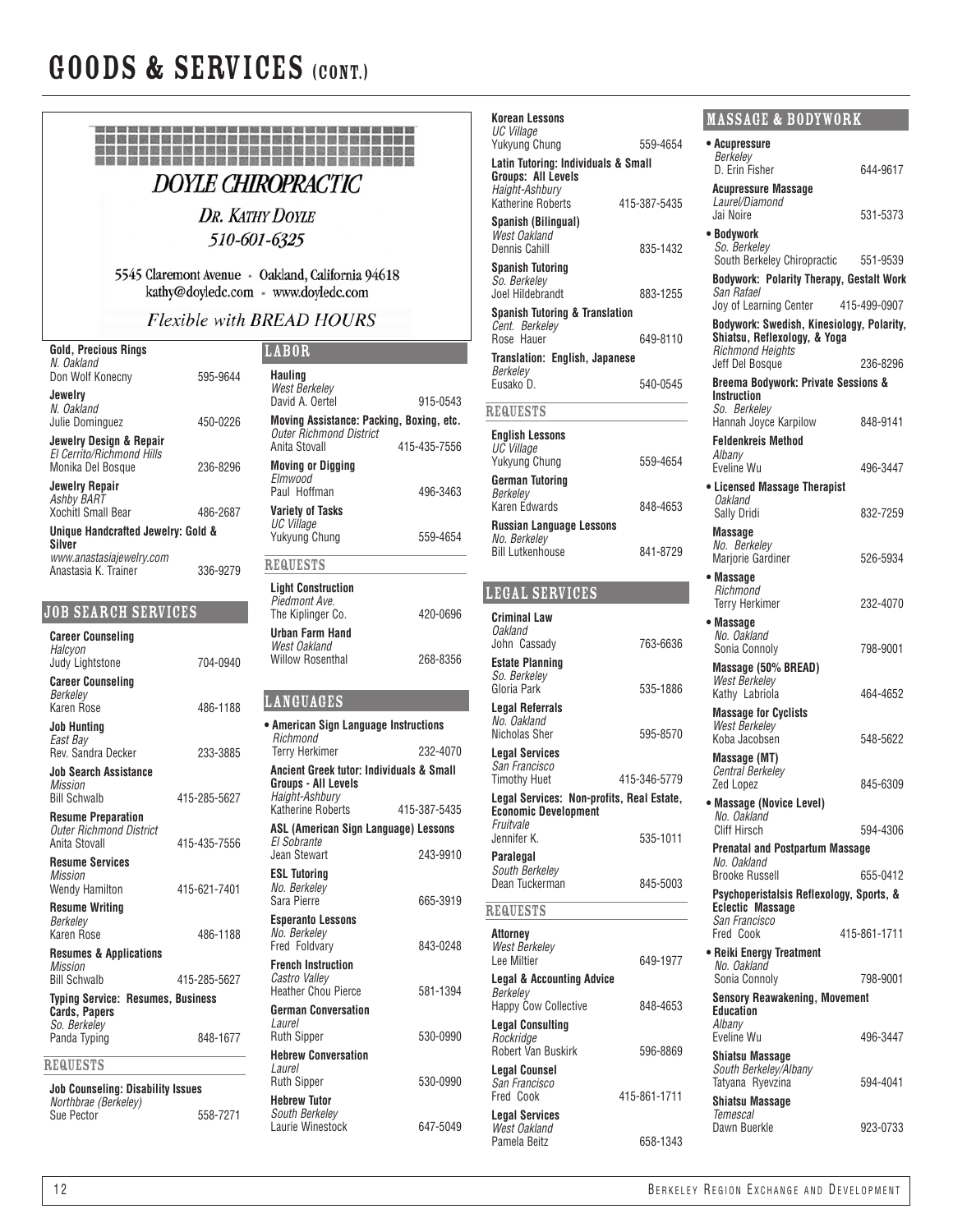

| Korean Lessons                                    |              | <b>MASSAGE &amp; BODYWORK</b>                                 |              |
|---------------------------------------------------|--------------|---------------------------------------------------------------|--------------|
| UC Village<br>Yukyung Chung                       | 559-4654     | • Acupressure                                                 |              |
| Latin Tutoring: Individuals & Small               |              | Berkeley                                                      |              |
| <b>Groups: All Levels</b>                         |              | D. Erin Fisher                                                | 644-9617     |
| Haight-Ashbury<br><b>Katherine Roberts</b>        | 415-387-5435 | <b>Acupressure Massage</b><br>Laurel/Diamond                  |              |
| Spanish (Bilingual)                               |              | Jai Noire                                                     | 531-5373     |
| West Oakland                                      |              | • Bodywork                                                    |              |
| Dennis Cahill                                     | 835-1432     | So. Berkelev                                                  |              |
| <b>Spanish Tutoring</b>                           |              | South Berkeley Chiropractic                                   | 551-9539     |
| So. Berkeley<br>Joel Hildebrandt                  | 883-1255     | <b>Bodywork: Polarity Therapy, Gestalt Work</b><br>San Rafael |              |
| Spanish Tutoring & Translation                    |              | Joy of Learning Center                                        | 415-499-0907 |
| Cent. Berkeley                                    |              | Bodywork: Swedish, Kinesiology, Polarity,                     |              |
| Rose Hauer                                        | 649-8110     | Shiatsu, Reflexology, & Yoga<br><b>Richmond Heights</b>       |              |
| <b>Translation: English, Japanese</b><br>Berkeley |              | Jeff Del Bosque                                               | 236-8296     |
| Eusako D.                                         | 540-0545     | Breema Bodywork: Private Sessions &                           |              |
|                                                   |              | Instruction<br>So. Berkeley                                   |              |
| <b>REQUESTS</b>                                   |              | Hannah Joyce Karpilow                                         | 848-9141     |
| <b>English Lessons</b>                            |              | <b>Feldenkreis Method</b>                                     |              |
| UC Village<br><b>Yukyung Chung</b>                | 559-4654     | Albany                                                        |              |
| <b>German Tutoring</b>                            |              | Eveline Wu                                                    | 496-3447     |
| Berkeley                                          |              | • Licensed Massage Therapist<br>Oakland                       |              |
| Karen Edwards                                     | 848-4653     | Sally Dridi                                                   | 832-7259     |
| Russian Language Lessons<br>No. Berkeley          |              | <b>Massage</b>                                                |              |
| <b>Bill Lutkenhouse</b>                           | 841-8729     | No. Berkeley<br>Marjorie Gardiner                             |              |
|                                                   |              |                                                               | 526-5934     |
| LEGAL SERVICES                                    |              | • Massage<br>Richmond                                         |              |
|                                                   |              | <b>Terry Herkimer</b>                                         | 232-4070     |
| <b>Criminal Law</b><br><b>Oakland</b>             |              | • Massage                                                     |              |
| John Cassady                                      | 763-6636     | No. Oakland<br>Sonia Connoly                                  | 798-9001     |
| <b>Estate Planning</b>                            |              | Massage (50% BREAD)                                           |              |
| So. Berkeley<br>Gloria Park                       | 535-1886     | <b>West Berkeley</b>                                          |              |
|                                                   |              | Kathy Labriola                                                | 464-4652     |
| <b>Legal Referrals</b><br>No. Oakland             |              | <b>Massage for Cyclists</b><br><b>West Berkelev</b>           |              |
| Nicholas Sher                                     | 595-8570     | Koba Jacobsen                                                 | 548-5622     |
| <b>Legal Services</b>                             |              | Massage (MT)                                                  |              |
| San Francisco<br><b>Timothy Huet</b>              | 415-346-5779 | Central Berkeley                                              |              |
| Legal Services: Non-profits, Real Estate,         |              | Zed Lopez                                                     | 845-6309     |
| <b>Economic Development</b>                       |              | • Massage (Novice Level)<br>No. Oakland                       |              |
| Fruitvale<br>Jennifer K.                          | 535-1011     | <b>Cliff Hirsch</b>                                           | 594-4306     |
| Paralegal                                         |              | <b>Prenatal and Postpartum Massage</b>                        |              |
| South Berkeley                                    |              | No. Oakland<br><b>Brooke Russell</b>                          | 655-0412     |
| Dean Tuckerman                                    | 845-5003     | Psychoperistalsis Reflexology, Sports, &                      |              |
| <b>REQUESTS</b>                                   |              | <b>Eclectic Massage</b>                                       |              |
|                                                   |              | San Francisco<br>Fred Cook                                    |              |
| Attorney<br>West Berkeley                         |              |                                                               | 415-861-1711 |
| Lee Miltier                                       | 649-1977     | • Reiki Energy Treatment<br>No. Oakland                       |              |
| <b>Legal &amp; Accounting Advice</b>              |              | Sonia Connoly                                                 | 798-9001     |
| Berkeley<br><b>Happy Cow Collective</b>           | 848-4653     | <b>Sensory Reawakening, Movement</b>                          |              |
| <b>Legal Consulting</b>                           |              | <b>Education</b><br>Albany                                    |              |
| Rockridge                                         |              | Eveline Wu                                                    | 496-3447     |
| Robert Van Buskirk                                | 596-8869     | Shiatsu Massage                                               |              |
| <b>Legal Counsel</b>                              |              | South Berkeley/Albany                                         |              |
| San Francisco<br>Fred Cook                        | 415-861-1711 | Tatyana Ryevzina                                              | 594-4041     |
| <b>Legal Services</b>                             |              | Shiatsu Massage<br>Temescal                                   |              |
| West Oakland                                      |              | Dawn Buerkle                                                  | 923-0733     |
| Pamela Beitz                                      | 658-1343     |                                                               |              |
|                                                   |              |                                                               |              |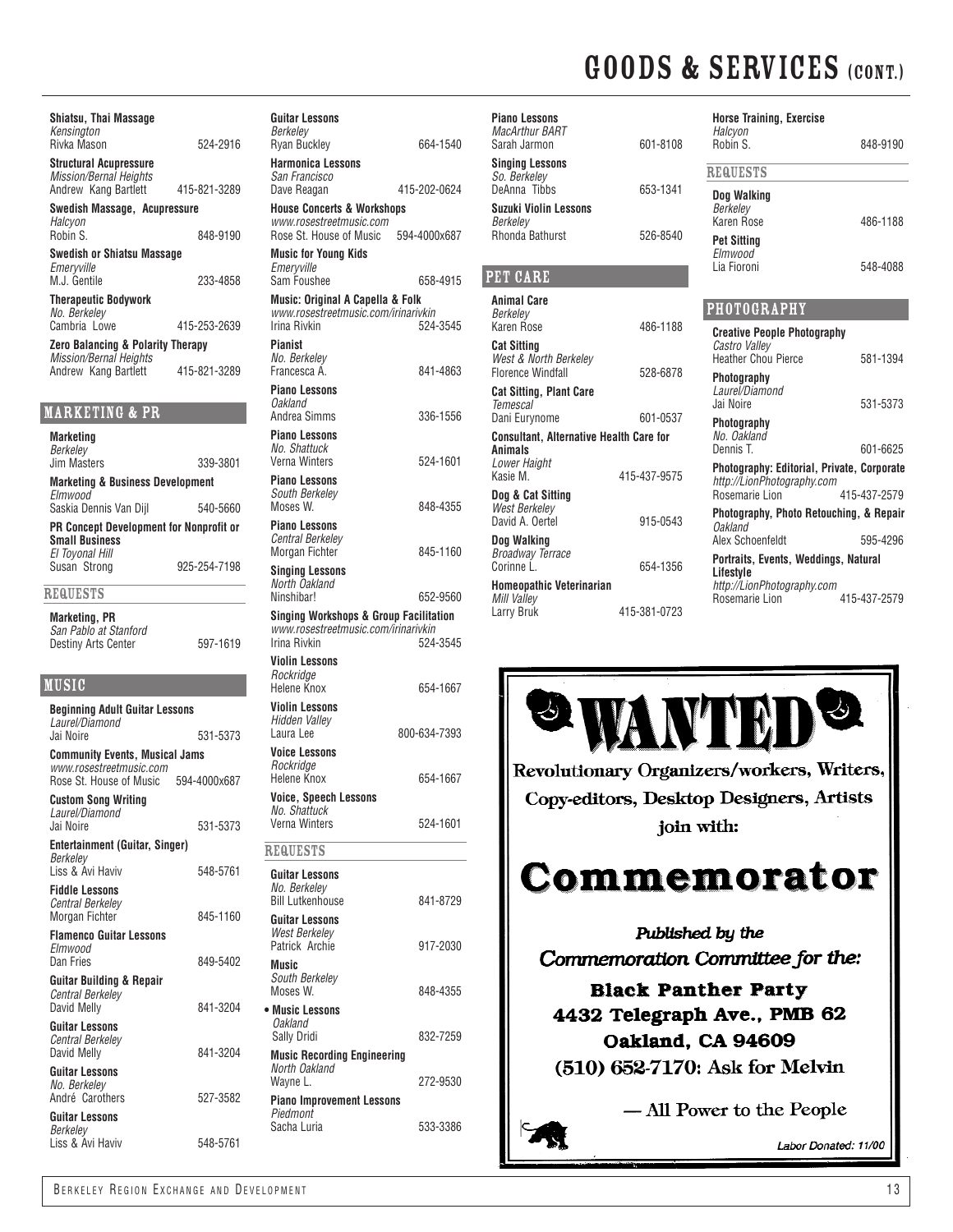| Shiatsu, Thai Massage<br>Kensington<br>Rivka Mason                                         | 524-2916     | Gu<br>Be.<br>Ry         |
|--------------------------------------------------------------------------------------------|--------------|-------------------------|
| <b>Structural Acupressure</b><br><b>Mission/Bernal Heights</b><br>Andrew Kang Bartlett     | 415-821-3289 | Ha<br>Sa<br>Da          |
| Swedish Massage, Acupressure<br>Halcyon                                                    |              | Ho<br>WV                |
| Robin S.<br><b>Swedish or Shiatsu Massage</b>                                              | 848-9190     | Ro<br>Mυ                |
| Emeryville<br>M.J. Gentile                                                                 | 233-4858     | Еn<br>Sai               |
| <b>Therapeutic Bodywork</b><br>No. Berkeley                                                |              | Mυ<br>WV                |
| Cambria Lowe<br><b>Zero Balancing &amp; Polarity Therapy</b>                               | 415-253-2639 | Irir<br>Pia             |
| Mission/Bernal Heights<br>Andrew Kang Bartlett                                             | 415-821-3289 | No<br>Fra<br>Pia        |
| MARKETING & PR                                                                             |              | Оa<br>An                |
| Marketing<br>Berkelev                                                                      |              | Pia<br>No               |
| <b>Jim Masters</b>                                                                         | 339-3801     | Vei<br>Pia              |
| <b>Marketing &amp; Business Development</b><br>Elmwood<br>Saskia Dennis Van Dijl           | 540-5660     | So<br>Мc                |
| <b>PR Concept Development for Nonprofit or</b><br><b>Small Business</b><br>El Toyonal Hill |              | Pia<br>Ce.<br>Мc        |
| Susan Strong                                                                               | 925-254-7198 | Sir<br>No               |
| <b>REQUESTS</b>                                                                            |              | Nir                     |
| <b>Marketing, PR</b><br>San Pablo at Stanford<br><b>Destiny Arts Center</b>                | 597-1619     | Sir<br>WV<br>Irir       |
| MUSIC                                                                                      |              | Vic<br>Ro<br>He         |
| <b>Beginning Adult Guitar Lessons</b>                                                      |              | Vic<br>Hio              |
| Laurel/Diamond<br>Jai Noire                                                                | 531-5373     | Lai                     |
| <b>Community Events, Musical Jams</b><br>www.rosestreetmusic.com                           |              | Vo<br>Ro                |
| Rose St. House of Music<br><b>Custom Song Writing</b>                                      | 594-4000x687 | He<br>Vo                |
| Laurel/Diamond<br>Jai Noire                                                                | 531-5373     | Νo<br>Vei               |
| Entertainment (Guitar, Singer)<br>Berkelev                                                 |              | RE(                     |
| Liss & Avi Haviv<br><b>Fiddle Lessons</b>                                                  | 548-5761     | Gu<br>No<br>Bill        |
| Central Berkeley<br>Morgan Fichter                                                         | 845-1160     | Gu                      |
| <b>Flamenco Guitar Lessons</b><br>Elmwood<br>Dan Fries                                     | 849-5402     | Wε<br>Pai<br>Mυ         |
| Guitar Building & Repair<br><b>Central Berkeley</b><br>David Melly                         | 841-3204     | So<br>Mc<br>$\bullet$ M |
| <b>Guitar Lessons</b><br>Central Berkeley<br>David Melly                                   | 841-3204     | Оâ<br>Sa<br>Mυ          |
| <b>Guitar Lessons</b><br>No. Berkeley<br>André Carothers                                   | 527-3582     | No<br>Wa<br>Pia         |
| <b>Guitar Lessons</b>                                                                      |              | Piε                     |

| <b>Guitar Lessons</b>                                                                    |              |
|------------------------------------------------------------------------------------------|--------------|
| Berkelev<br><b>Ryan Buckley</b>                                                          | 664-1540     |
| <b>Harmonica Lessons</b><br>San Francisco                                                |              |
| Dave Reagan                                                                              | 415-202-0624 |
| <b>House Concerts &amp; Workshops</b><br>www.rosestreetmusic.com                         |              |
| Rose St. House of Music                                                                  | 594-4000x687 |
| <b>Music for Young Kids</b><br>Emeryville                                                |              |
| Sam Foushee                                                                              | 658-4915     |
| Music: Original A Capella & Folk<br>www.rosestreetmusic.com/irinarivkin<br>Irina Rivkin  | 524-3545     |
| <b>Pianist</b><br>No. Berkeley<br>Francesca A.                                           | 841-4863     |
| <b>Piano Lessons</b><br>Oakland<br>Andrea Simms                                          | 336-1556     |
| <b>Piano Lessons</b>                                                                     |              |
| No. Shattuck<br>Verna Winters                                                            | 524-1601     |
| <b>Piano Lessons</b><br>South Berkelev                                                   |              |
| Moses W.<br><b>Piano Lessons</b>                                                         | 848-4355     |
| <b>Central Berkelev</b><br>Morgan Fichter                                                | 845-1160     |
| <b>Singing Lessons</b><br>North Oakland                                                  |              |
| Ninshibar!                                                                               | 652-9560     |
| <b>Singing Workshops &amp; Group Facilitation</b><br>www.rosestreetmusic.com/irinarivkin |              |
| Irina Rivkin                                                                             | 524-3545     |
| <b>Violin Lessons</b><br>Rockridge                                                       |              |
| Helene Knox                                                                              | 654-1667     |
| Violin Lessons<br>Hidden Valley                                                          |              |
| Laura Lee                                                                                | 800-634-7393 |
| <b>Voice Lessons</b><br>Rockridge                                                        |              |
| Helene Knox                                                                              | 654-1667     |
| Voice, Speech Lessons<br>ічо. эпаписк                                                    |              |
| Verna Winters                                                                            | 524-1601     |
| <b>REQUESTS</b>                                                                          |              |
| Guitar Lessons<br>No. Berkeley                                                           |              |
| <b>Bill Lutkenhouse</b>                                                                  | 841-8729     |
| <b>Guitar Lessons</b><br><b>West Berkelev</b>                                            |              |
| Patrick Archie                                                                           | 917-2030     |
| Music<br>South Berkelev<br>Moses W.                                                      | 848-4355     |
| • Music Lessons                                                                          |              |
| <i><b>Oakland</b></i><br>Sally Dridi                                                     | 832-7259     |
| <b>Music Recording Engineering</b><br>North Oakland                                      |              |
| Wayne L.                                                                                 | 272-9530     |
| <b>Piano Improvement Lessons</b><br>Piedmont                                             |              |
| Sacha Luria                                                                              | 533-3386     |
|                                                                                          |              |

| <b>Piano Lessons</b><br>MacArthur BART<br>Sarah Jarmon           | 601-8108     | <b>Horse Training, Exercise</b><br>Halcyon<br>Robin S. |
|------------------------------------------------------------------|--------------|--------------------------------------------------------|
| <b>Singing Lessons</b><br>So. Berkelev                           |              | <b>REQUESTS</b>                                        |
| DeAnna Tibbs<br>Suzuki Violin Lessons                            | 653-1341     | Dog Walking<br>Berkeley                                |
| Berkeley<br>Rhonda Bathurst                                      | 526-8540     | Karen Rose<br><b>Pet Sitting</b><br>Elmwood            |
| PET CARE                                                         |              | Lia Fioroni                                            |
| <b>Animal Care</b><br>Berkeley                                   |              | <b>PHOTOGRAPHY</b>                                     |
| Karen Rose                                                       | 486-1188     | <b>Creative People Photogra</b>                        |
| <b>Cat Sitting</b><br>West & North Berkeley                      |              | Castro Valley<br><b>Heather Chou Pierce</b>            |
| <b>Florence Windfall</b>                                         | 528-6878     | Photography                                            |
| <b>Cat Sitting, Plant Care</b><br>Temescal                       |              | Laurel/Diamond<br>Jai Noire                            |
| Dani Eurynome                                                    | 601-0537     | Photography                                            |
| <b>Consultant, Alternative Health Care for</b><br><b>Animals</b> |              | No. Oakland<br>Dennis T.                               |
| Lower Haight<br>Kasie M.                                         | 415-437-9575 | Photography: Editorial, P<br>http://LionPhotography.co |
| Dog & Cat Sitting                                                |              | Rosemarie Lion                                         |
| West Berkeley<br>David A. Oertel                                 | 915-0543     | Photography, Photo Reto<br>Oakland                     |
| Dog Walking                                                      |              | Alex Schoenfeldt                                       |
| <b>Broadway Terrace</b><br>Corinne L.                            | 654-1356     | Portraits, Events, Weddi<br>Lifestyle                  |
| <b>Homeopathic Veterinarian</b><br>Mill Valley                   |              | http://LionPhotography.co<br>Rosemarie Lion            |
| Larry Bruk                                                       | 415-381-0723 |                                                        |

| Robin S.                                                                 | 848-9190     |
|--------------------------------------------------------------------------|--------------|
| <b>REQUESTS</b>                                                          |              |
| Dog Walking<br>Berkeley                                                  |              |
| Karen Rose                                                               | 486-1188     |
| <b>Pet Sitting</b><br>Flmwood                                            |              |
| Lia Fioroni                                                              | 548-4088     |
|                                                                          |              |
| <b>PHOTOGRAPHY</b>                                                       |              |
| <b>Creative People Photography</b>                                       |              |
| Castro Valley<br><b>Heather Chou Pierce</b>                              | 581-1394     |
| Photography<br>Laurel/Diamond<br>Jai Noire                               | 531-5373     |
| Photography<br>No. Oakland                                               |              |
| Dennis T.                                                                | 601-6625     |
| Photography: Editorial, Private, Corporate<br>http://LionPhotography.com |              |
| Rosemarie Lion                                                           | 415-437-2579 |
| Photography, Photo Retouching, & Repair<br>Oakland                       |              |
| Alex Schoenfeldt                                                         | 595-4296     |
| Portraits, Events, Weddings, Natural<br>Lifestyle                        |              |
| http://LionPhotography.com<br>Rosemarie Lion                             | 415-437-2579 |



Liss & Avi Haviv 548-5761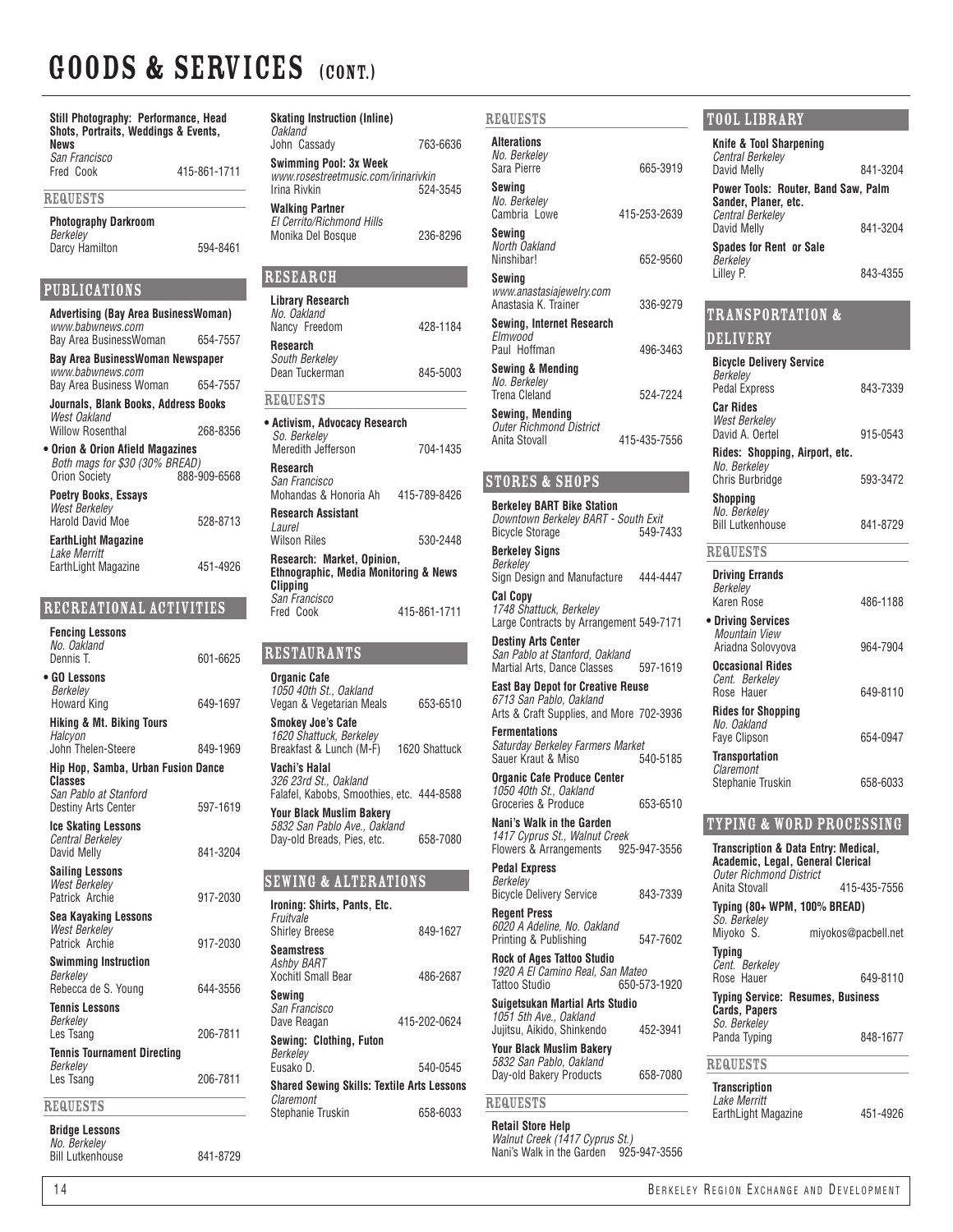| Still Photography: Performance, Head<br>Shots, Portraits, Weddings & Events,<br>News |              |  |
|--------------------------------------------------------------------------------------|--------------|--|
| San Francisco<br>Fred Cook                                                           | 415-861-1711 |  |
| <b>REQUESTS</b>                                                                      |              |  |
| <b>Photography Darkroom</b><br>Berkelev                                              |              |  |
| Darcy Hamilton                                                                       | 594-8461     |  |
| PUBLICATIONS                                                                         |              |  |
| <b>Advertising (Bay Area BusinessWoman)</b><br>www.babwnews.com                      |              |  |
| Bav Area BusinessWoman                                                               | 654-7557     |  |
| Bay Area BusinessWoman Newspaper<br>www.babwnews.com                                 |              |  |
| Bay Area Business Woman                                                              | 654-7557     |  |
| Journals, Blank Books, Address Books<br>West Oakland                                 |              |  |
| <b>Willow Rosenthal</b>                                                              | 268-8356     |  |
| • Orion & Orion Afield Magazines<br>Both mags for \$30 (30% BREAD)                   |              |  |
| <b>Orion Society</b>                                                                 | 888-909-6568 |  |
| <b>Poetry Books, Essays</b>                                                          |              |  |
| <b>West Berkelev</b><br>Harold David Moe                                             | 528-8713     |  |
| <b>EarthLight Magazine</b>                                                           |              |  |
| Lake Merritt<br>EarthLight Magazine                                                  | 451-4926     |  |
| RECREATIONAL ACTIVITIES                                                              |              |  |
| <b>Fencing Lessons</b>                                                               |              |  |
| No. Oakland<br>Dennis T.                                                             | 601-6625     |  |
| • GO Lessons                                                                         |              |  |
| Berkelev<br>Howard King                                                              | 649-1697     |  |
| <b>Hiking &amp; Mt. Biking Tours</b>                                                 |              |  |
| Halcyon<br>John Thelen-Steere                                                        | 849-1969     |  |
| Hip Hop, Samba, Urban Fusion Dance                                                   |              |  |
| <b>Classes</b><br>San Pablo at Stanford                                              |              |  |
| <b>Destiny Arts Center</b>                                                           | 597-1619     |  |
| <b>Ice Skating Lessons</b><br><b>Central Berkeley</b>                                |              |  |
| David Melly                                                                          | 841-3204     |  |
| Sailing Lessons<br><b>West Berkeley</b>                                              |              |  |
| Patrick Archie                                                                       | 917-2030     |  |
| <b>Sea Kayaking Lessons</b><br><b>West Berkeley</b>                                  |              |  |
| Patrick Archie                                                                       | 917-2030     |  |
| <b>Swimming Instruction</b><br><b>Berkeley</b>                                       |              |  |
| Rebecca de S. Young                                                                  | 644-3556     |  |
| <b>Tennis Lessons</b><br>Berkelev                                                    |              |  |
| Les Tsang                                                                            | 206-7811     |  |
| <b>Tennis Tournament Directing</b><br>Berkelev                                       |              |  |
| Les Tsang                                                                            | 206-7811     |  |
|                                                                                      |              |  |

### **REQUESTS**

**Bridge Lessons** *No. Berkeley*

Bill Lutkenhouse 841-8729

| <b>Skating Instruction (Inline)</b><br>Oakland      |               |
|-----------------------------------------------------|---------------|
| John Cassady                                        | 763-6636      |
| <b>Swimming Pool: 3x Week</b>                       |               |
| www.rosestreetmusic.com/irinarivkin<br>Irina Rivkin | 524-3545      |
| <b>Walking Partner</b>                              |               |
| El Cerrito/Richmond Hills<br>Monika Del Bosque      | 236-8296      |
|                                                     |               |
| RESEARCH                                            |               |
| <b>Library Research</b>                             |               |
| No. Oakland<br>Nancy Freedom                        | 428-1184      |
| <b>Research</b>                                     |               |
| South Berkeley<br>Dean Tuckerman                    | 845-5003      |
| <b>REQUESTS</b>                                     |               |
| • Activism, Advocacy Research                       |               |
| So. Berkelev<br>Meredith Jefferson                  | 704-1435      |
| <b>Research</b>                                     |               |
| San Francisco<br>Mohandas & Honoria Ah 415-789-8426 |               |
| <b>Research Assistant</b>                           |               |
| Laurel<br>Wilson Riles                              | 530-2448      |
| Research: Market, Opinion,                          |               |
| Ethnographic, Media Monitoring & News<br>Clipping   |               |
| San Francisco<br>Fred Cook                          | 415-861-1711  |
|                                                     |               |
| <b>RESTAURANTS</b>                                  |               |
| <b>Organic Cafe</b>                                 |               |
| 1050 40th St., Oakland<br>Vegan & Vegetarian Meals  | 653-6510      |
| <b>Smokey Joe's Cafe</b>                            |               |
| 1620 Shattuck, Berkeley<br>Breakfast & Lunch (M-F)  | 1620 Shattuck |

 $ST$ 

*326 23rd St., Oakland* Falafel, Kabobs, Smoothies, etc. 444-8588 **Your Black Muslim Bakery** *5832 San Pablo Ave., Oakland* Day-old Breads, Pies, etc. 658-7080

#### Sewing & Alterations

**Vachi's Halal**

| Ironing: Shirts, Pants, Etc.<br>Fruitvale<br><b>Shirley Breese</b> | 849-1627     |
|--------------------------------------------------------------------|--------------|
| <b>Seamstress</b><br>Ashby BART<br><b>Xochitl Small Bear</b>       | 486-2687     |
| Sewing<br>San Francisco<br>Dave Reagan                             | 415-202-0624 |
| Sewing: Clothing, Futon<br>Berkelev<br>Fusako D.                   | 540-0545     |
| <b>Shared Sewing Skills: Textile Arts Lessons</b>                  |              |
| Claremont<br>Stephanie Truskin                                     | 658-6033     |

| <b>REQUESTS</b>                                                                                                 | <b>TOOL LIBRARY</b>                                                                                         |
|-----------------------------------------------------------------------------------------------------------------|-------------------------------------------------------------------------------------------------------------|
| <b>Alterations</b><br>No. Berkeley<br>Sara Pierre<br>665-3919                                                   | <b>Knife &amp; Tool Sharpening</b><br>Central Berkelev<br>David Melly<br>841-3204                           |
| Sewing<br>No. Berkeley                                                                                          | Power Tools: Router, Band Saw, Palm<br>Sander, Planer, etc.                                                 |
| Cambria Lowe<br>415-253-2639                                                                                    | <b>Central Berkeley</b><br>David Melly<br>841-3204                                                          |
| Sewing<br>North Oakland                                                                                         | <b>Spades for Rent or Sale</b>                                                                              |
| Ninshibar!<br>652-9560<br>Sewing                                                                                | Berkeley<br>Lillev P.<br>843-4355                                                                           |
| www.anastasiajewelry.com<br>Anastasia K. Trainer<br>336-9279                                                    |                                                                                                             |
| Sewing, Internet Research<br>Elmwood                                                                            | <b>TRANSPORTATION &amp;</b>                                                                                 |
| Paul Hoffman<br>496-3463                                                                                        | <b>DELIVERY</b>                                                                                             |
| <b>Sewing &amp; Mending</b><br>No. Berkeley<br><b>Trena Cleland</b><br>524-7224                                 | <b>Bicycle Delivery Service</b><br>Berkeley<br><b>Pedal Express</b><br>843-7339                             |
| Sewing, Mending<br><b>Outer Richmond District</b>                                                               | <b>Car Rides</b><br><b>West Berkeley</b><br>David A. Oertel<br>915-0543                                     |
| Anita Stovall<br>415-435-7556                                                                                   | Rides: Shopping, Airport, etc.                                                                              |
| <b>STORES &amp; SHOPS</b>                                                                                       | No. Berkelev<br>Chris Burbridge<br>593-3472                                                                 |
| <b>Berkeley BART Bike Station</b><br>Downtown Berkeley BART - South Exit<br><b>Bicycle Storage</b><br>549-7433  | <b>Shopping</b><br>No. Berkeley<br><b>Bill Lutkenhouse</b><br>841-8729                                      |
| <b>Berkeley Signs</b>                                                                                           | <b>REQUESTS</b>                                                                                             |
| Berkeley<br>Sign Design and Manufacture<br>444-4447<br><b>Cal Copy</b>                                          | <b>Driving Errands</b><br>Berkeley<br>Karen Rose<br>486-1188                                                |
| 1748 Shattuck, Berkeley<br>Large Contracts by Arrangement 549-7171                                              | • Driving Services<br>Mountain View                                                                         |
| <b>Destiny Arts Center</b><br>San Pablo at Stanford, Oakland<br>Martial Arts, Dance Classes<br>597-1619         | Ariadna Solovyova<br>964-7904<br><b>Occasional Rides</b>                                                    |
| <b>East Bay Depot for Creative Reuse</b><br>6713 San Pablo, Oakland<br>Arts & Craft Supplies, and More 702-3936 | Cent. Berkeley<br>Rose Hauer<br>649-8110<br><b>Rides for Shopping</b>                                       |
| <b>Fermentations</b><br>Saturday Berkeley Farmers Market                                                        | No. Oakland<br><b>Faye Clipson</b><br>654-0947                                                              |
| Sauer Kraut & Miso<br>540-5185<br><b>Organic Cafe Produce Center</b>                                            | <b>Transportation</b><br>Claremont<br>Stephanie Truskin<br>658-6033                                         |
| 1050 40th St., Oakland<br>Groceries & Produce<br>653-6510                                                       |                                                                                                             |
| Nani's Walk in the Garden<br>1417 Cyprus St., Walnut Creek                                                      | <b>TYPING &amp; WORD PROCESSING</b>                                                                         |
| Flowers & Arrangements<br>925-947-3556<br><b>Pedal Express</b>                                                  | Transcription & Data Entry: Medical,<br>Academic, Legal, General Clerical<br><b>Outer Richmond District</b> |
| Berkeley<br><b>Bicycle Delivery Service</b><br>843-7339                                                         | Anita Stovall<br>415-435-7556                                                                               |
| <b>Regent Press</b><br>6020 A Adeline, No. Oakland<br>547-7602                                                  | Typing (80+ WPM, 100% BREAD)<br>So. Berkeley<br>Miyoko S.<br>miyokos@pacbell.net                            |
| Printing & Publishing<br><b>Rock of Ages Tattoo Studio</b><br>1920 A El Camino Real, San Mateo                  | Typing<br>Cent. Berkeley<br>Rose Hauer<br>649-8110                                                          |
| Tattoo Studio<br>650-573-1920<br>Suigetsukan Martial Arts Studio                                                | <b>Typing Service: Resumes, Business</b>                                                                    |
| 1051 5th Ave., Oakland                                                                                          | <b>Cards, Papers</b><br>So. Berkelev                                                                        |
| Jujitsu, Aikido, Shinkendo<br>452-3941<br><b>Your Black Muslim Bakery</b>                                       | Panda Typing<br>848-1677                                                                                    |
| 5832 San Pablo, Oakland<br>Day-old Bakery Products<br>658-7080                                                  | <b>REQUESTS</b>                                                                                             |
| <b>REQUESTS</b>                                                                                                 | <b>Transcription</b><br>Lake Merritt                                                                        |
|                                                                                                                 | EarthLight Magazine<br>451-4926                                                                             |

**Retail Store Help** *Walnut Creek (1417 Cyprus St.)* Nani's Walk in the Garden 925-947-3556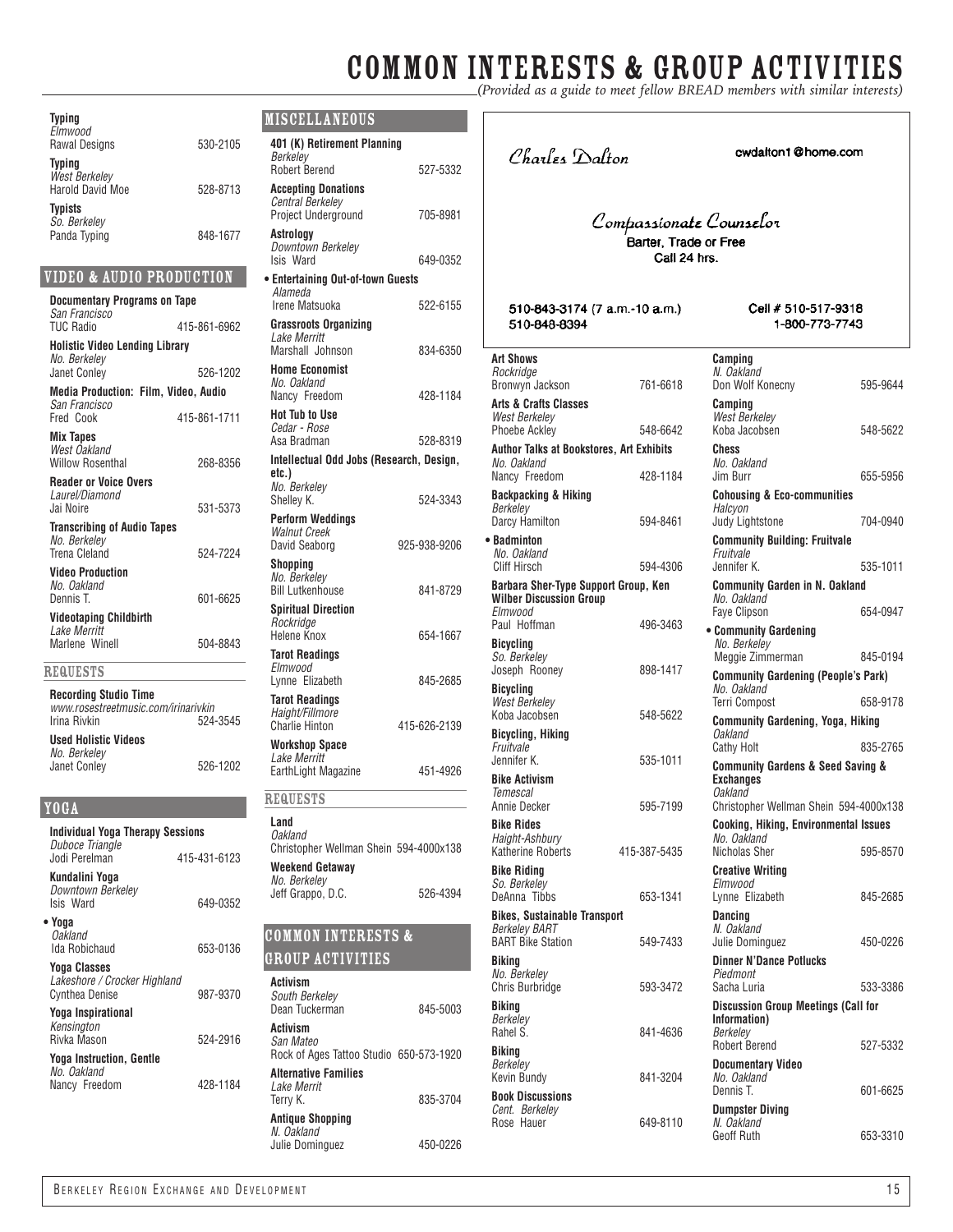# **COMMON INTERESTS & GROUP ACTIVITIES**

| Typing<br>Elmwood                                   |              | <b>MISCELLANEOUS</b>                                |
|-----------------------------------------------------|--------------|-----------------------------------------------------|
| <b>Rawal Designs</b>                                | 530-2105     | 401 (K) Retirement Planning                         |
| Typing                                              |              | Berkeley<br><b>Robert Berend</b>                    |
| <b>West Berkeley</b><br><b>Harold David Moe</b>     | 528-8713     | <b>Accepting Donations</b>                          |
| Typists                                             |              | Central Berkeley<br>Project Underground             |
| So. Berkeley<br>Panda Typing                        | 848-1677     | Astrology<br>Downtown Berkeley<br>Isis Ward         |
| VIDEO & AUDIO PRODUCTION                            |              | • Entertaining Out-of-town Guests                   |
| <b>Documentary Programs on Tape</b>                 |              | Alameda<br>Irene Matsuoka                           |
| San Francisco<br><b>TUC Radio</b>                   | 415-861-6962 | <b>Grassroots Organizing</b>                        |
| <b>Holistic Video Lending Library</b>               |              | Lake Merritt<br>Marshall Johnson                    |
| No. Berkelev<br><b>Janet Conley</b>                 | 526-1202     | <b>Home Economist</b>                               |
| Media Production: Film, Video, Audio                |              | No. Oakland<br>Nancy Freedom                        |
| San Francisco<br>Fred Cook                          | 415-861-1711 | <b>Hot Tub to Use</b>                               |
| <b>Mix Tapes</b>                                    |              | Cedar - Rose<br>Asa Bradman                         |
| West Oakland<br><b>Willow Rosenthal</b>             | 268-8356     | Intellectual Odd Jobs (Research,                    |
| <b>Reader or Voice Overs</b>                        |              | etc.)<br>No. Berkeley                               |
| Laurel/Diamond<br>Jai Noire                         | 531-5373     | Shelley K.                                          |
| <b>Transcribing of Audio Tapes</b>                  |              | <b>Perform Weddinas</b>                             |
| No. Berkelev                                        |              | <b>Walnut Creek</b><br>David Seaborg<br>$925 -$     |
| <b>Trena Cleland</b><br><b>Video Production</b>     | 524-7224     | Shopping                                            |
| No. Oakland                                         |              | No. Berkelev<br><b>Bill Lutkenhouse</b>             |
| Dennis T.                                           | 601-6625     | <b>Spiritual Direction</b>                          |
| <b>Videotaping Childbirth</b><br>Lake Merritt       |              | Rockridae<br>Helene Knox                            |
| Marlene Winell                                      | 504-8843     | <b>Tarot Readings</b>                               |
| <b>REQUESTS</b>                                     |              | Elmwood<br>Lynne Elizabeth                          |
| <b>Recording Studio Time</b>                        |              | <b>Tarot Readings</b>                               |
| www.rosestreetmusic.com/irinarivkin<br>Irina Rivkin | 524-3545     | Haight/Fillmore<br><b>Charlie Hinton</b><br>$415 -$ |
| <b>Used Holistic Videos</b>                         |              | <b>Workshop Space</b>                               |
| No. Berkeley<br>Janet Conley                        | 526-1202     | Lake Merritt<br>EarthLight Magazine                 |
|                                                     |              |                                                     |
| YOGA                                                |              | <b>REQUESTS</b>                                     |
| Individual Yoga Therapy Sessions                    |              | Land<br>Oakland                                     |
| Duboce Triangle<br>Jodi Perelman                    | 415-431-6123 | Christopher Wellman Shein 594-                      |
| Kundalini Yoga                                      |              | Weekend Getaway<br>No. Berkeley                     |
| Downtown Berkeley<br>Isis Ward                      | 649-0352     | Jeff Grappo, D.C.                                   |
| • Yoga                                              |              |                                                     |
| <b>Oakland</b><br>Ida Robichaud                     |              | <b>COMMON INTERESTS &amp;</b>                       |
| <b>Yoga Classes</b>                                 | 653-0136     | <b>GROUP ACTIVITIES</b>                             |
| Lakeshore / Crocker Highland                        |              | Activism                                            |
| <b>Cynthea Denise</b>                               | 987-9370     | South Berkeley<br>Dean Tuckerman                    |
| Yoga Inspirational<br>Kensington                    |              | Activism                                            |
| Rivka Mason                                         | 524-2916     | San Mateo                                           |

**Yoga Instruction, Gentle** *No. Oakland* Nancy Freedom 428-1184

| MISCELLANEOUS                                                                |              |  |
|------------------------------------------------------------------------------|--------------|--|
| 401 (K) Retirement Planning<br>Berkelev                                      |              |  |
| <b>Robert Berend</b>                                                         | 527-5332     |  |
| <b>Accepting Donations</b><br><b>Central Berkeley</b><br>Project Underground | 705-8981     |  |
| Astrology<br>Downtown Berkeley<br>Isis Ward                                  | 649-0352     |  |
| · Entertaining Out-of-town Guests<br>Alameda                                 |              |  |
| Irene Matsuoka                                                               | 522-6155     |  |
| Grassroots Organizing<br>Lake Merritt<br>Marshall Johnson                    | 834-6350     |  |
| <b>Home Economist</b><br>No. Oakland<br>Nancy Freedom                        | 428-1184     |  |
| <b>Hot Tub to Use</b><br>Cedar - Rose                                        |              |  |
| Asa Bradman                                                                  | 528-8319     |  |
| Intellectual Odd Jobs (Research, Design,<br>etc.)                            |              |  |
| No. Berkeley<br>Shelley K.                                                   | 524-3343     |  |
| <b>Perform Weddings</b><br><b>Walnut Creek</b><br>David Seaborg              | 925-938-9206 |  |
| Shopping<br>No. Berkelev<br><b>Bill Lutkenhouse</b>                          | 841-8729     |  |
| <b>Spiritual Direction</b><br>Rockridge<br>Helene Knox                       | 654-1667     |  |
| <b>Tarot Readings</b><br>Elmwood<br>Lynne Elizabeth                          | 845-2685     |  |
| <b>Tarot Readings</b><br>Haight/Fillmore<br><b>Charlie Hinton</b>            | 415-626-2139 |  |
| <b>Workshop Space</b>                                                        |              |  |
| Lake Merritt<br>EarthLight Magazine                                          | 451-4926     |  |
| <b>REQUESTS</b>                                                              |              |  |
| Land<br>Oakland<br>Christopher Wellman Shein 594-4000x138<br>Weekend Getawav |              |  |
| No. Berkelev<br>Jeff Grappo, D.C.                                            | 526-4394     |  |
| <b>COMMON INTERESTS &amp;</b>                                                |              |  |
| <u>GROUP ACTIVITIES</u>                                                      |              |  |
| Activism<br>South Berkelev<br>Dean Tuckerman                                 | 845-5003     |  |
| Activism<br>San Mateo<br>Rock of Ages Tattoo Studio 650-573-1920             |              |  |
| <b>Alternative Families</b><br>Lake Merrit                                   |              |  |
| Terry K.                                                                     | 835-3704     |  |

**Antique Shopping** *N. Oakland* Julie Dominguez 450-0226 Charles Dalton

cwdalton1@home.com

### Compassionate Counselor ,<br>Barter, Trade or Free Call 24 hrs.

510-843-3174 (7 a.m.-10 a.m.) 510-848-8394

Cell # 510-517-9318 1-800-773-7743

| <b>Art Shows</b><br>Rockridge<br>Bronwyn Jackson                                        | 761-6618     | Camping<br>N. Oakland<br>Don Wolf Konecny                                   | 595-9644 |
|-----------------------------------------------------------------------------------------|--------------|-----------------------------------------------------------------------------|----------|
| <b>Arts &amp; Crafts Classes</b><br>West Berkelev<br><b>Phoebe Ackley</b>               | 548-6642     | Camping<br><b>West Berkeley</b><br>Koba Jacobsen                            | 548-5622 |
| <b>Author Talks at Bookstores, Art Exhibits</b>                                         |              | <b>Chess</b>                                                                |          |
| No. Oakland<br>Nancy Freedom                                                            | 428-1184     | No. Oakland<br>Jim Burr                                                     | 655-5956 |
| <b>Backpacking &amp; Hiking</b><br>Berkeley<br>Darcy Hamilton                           | 594-8461     | <b>Cohousing &amp; Eco-communities</b><br>Halcyon<br><b>Judy Lightstone</b> | 704-0940 |
| • Badminton<br>No. Oakland                                                              |              | <b>Community Building: Fruitvale</b><br>Fruitvale                           |          |
| Cliff Hirsch                                                                            | 594-4306     | Jennifer K.                                                                 | 535-1011 |
| Barbara Sher-Type Support Group, Ken<br><b>Wilber Discussion Group</b><br>Flmwood       |              | <b>Community Garden in N. Oakland</b><br>No. Oakland<br><b>Faye Clipson</b> | 654-0947 |
| Paul Hoffman                                                                            | 496-3463     | • Community Gardening                                                       |          |
| <b>Bicycling</b><br>So. Berkeley                                                        |              | No. Berkelev<br>Meggie Zimmerman                                            | 845-0194 |
| Joseph Rooney                                                                           | 898-1417     | <b>Community Gardening (People's Park)</b>                                  |          |
| <b>Bicycling</b><br>West Berkeley                                                       |              | No. Oakland<br>Terri Compost                                                | 658-9178 |
| Koba Jacobsen                                                                           | 548-5622     | <b>Community Gardening, Yoga, Hiking</b>                                    |          |
| <b>Bicycling, Hiking</b><br>Fruitvale                                                   |              | Oakland<br><b>Cathy Holt</b>                                                | 835-2765 |
|                                                                                         |              |                                                                             |          |
| Jennifer K.                                                                             | 535-1011     | <b>Community Gardens &amp; Seed Saving &amp;</b>                            |          |
| <b>Bike Activism</b><br>Temescal                                                        |              | <b>Exchanges</b><br>Oakland                                                 |          |
| Annie Decker                                                                            | 595-7199     | Christopher Wellman Shein 594-4000x138                                      |          |
| <b>Bike Rides</b><br>Haight-Ashbury<br>Katherine Roberts                                | 415-387-5435 | Cooking, Hiking, Environmental Issues<br>No. Oakland<br>Nicholas Sher       | 595-8570 |
| <b>Bike Riding</b>                                                                      |              | <b>Creative Writing</b>                                                     |          |
| So. Berkeley<br>DeAnna Tibbs                                                            | 653-1341     | Elmwood<br>Lynne Elizabeth                                                  | 845-2685 |
| <b>Bikes, Sustainable Transport</b><br><b>Berkeley BART</b><br><b>BART Bike Station</b> | 549-7433     | Dancing<br>N. Oakland<br>Julie Dominguez                                    | 450-0226 |
| Bikina                                                                                  |              | <b>Dinner N'Dance Potlucks</b>                                              |          |
| No. Berkeley<br><b>Chris Burbridge</b>                                                  | 593-3472     | Piedmont<br>Sacha Luria                                                     | 533-3386 |
| <b>Biking</b>                                                                           |              | Discussion Group Meetings (Call for                                         |          |
| Berkeley<br>Rahel S.                                                                    | 841-4636     | Information)<br>Berkelev<br><b>Robert Berend</b>                            | 527-5332 |
| <b>Biking</b><br>Berkeley                                                               |              | <b>Documentary Video</b>                                                    |          |
| Kevin Bundy                                                                             | 841-3204     | No. Oakland<br>Dennis T.                                                    | 601-6625 |
| <b>Book Discussions</b><br>Cent. Berkelev                                               |              | <b>Dumpster Diving</b>                                                      |          |
| Rose Hauer                                                                              | 649-8110     | N. Oakland<br>Geoff Ruth                                                    | 653-3310 |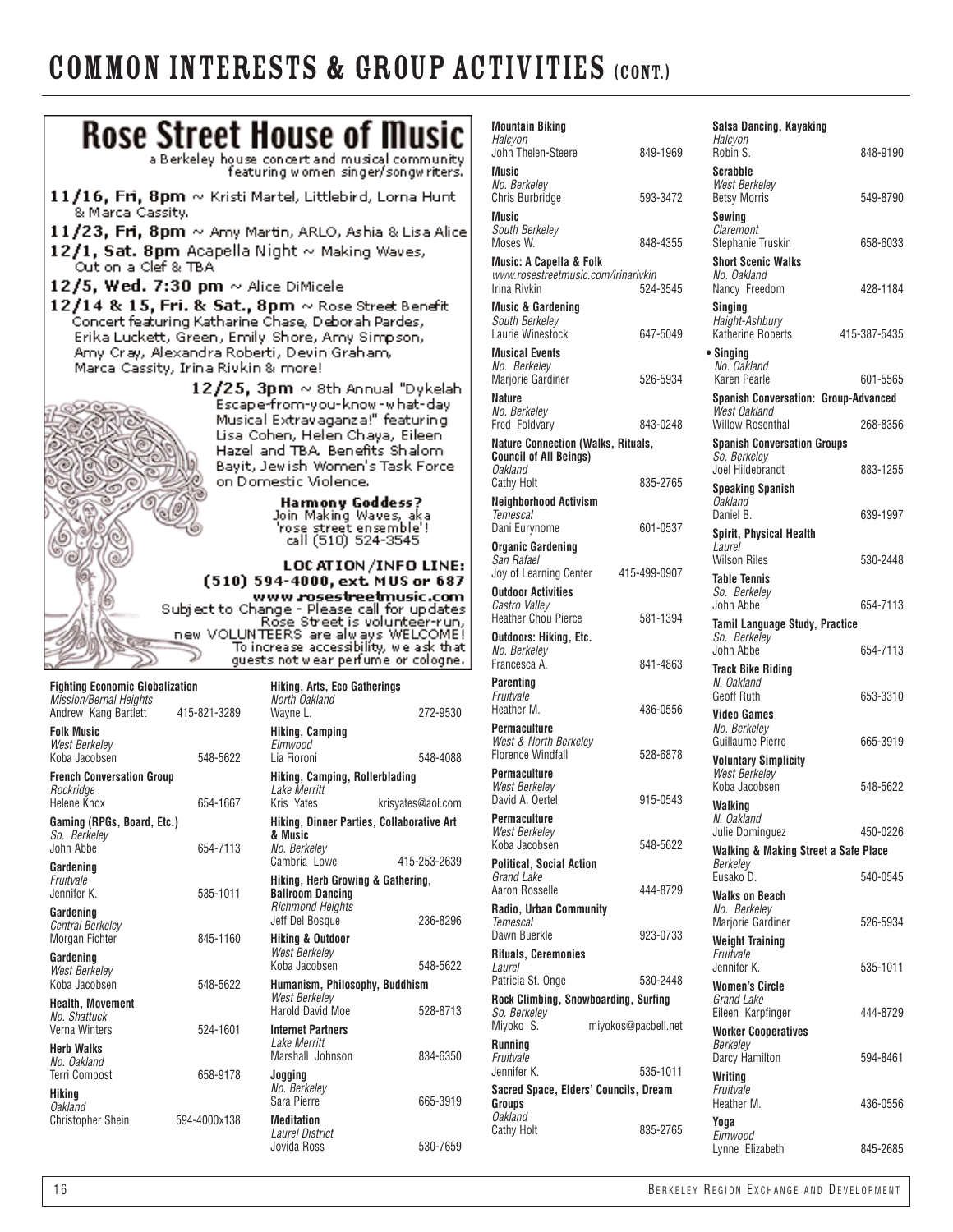### COMMON INTERESTS & GROUP ACTIVITIES (CONT.)

*No. Berkeley*



| <b>Mountain Biking</b><br>Halcyon                                          |                     | Salsa Dancing, Kayaking<br>Halcyon                   |              |
|----------------------------------------------------------------------------|---------------------|------------------------------------------------------|--------------|
| John Thelen-Steere                                                         | 849-1969            | Robin S.                                             | 848-9190     |
| Music                                                                      |                     | Scrabble                                             |              |
| No. Berkeley<br><b>Chris Burbridge</b>                                     | 593-3472            | <b>West Berkeley</b><br><b>Betsy Morris</b>          | 549-8790     |
| Music                                                                      |                     | Sewing                                               |              |
| South Berkelev<br>Moses W.                                                 | 848-4355            | Claremont<br>Stephanie Truskin                       | 658-6033     |
| Music: A Capella & Folk                                                    |                     | <b>Short Scenic Walks</b>                            |              |
| www.rosestreetmusic.com/irinarivkin<br>Irina Rivkin                        | 524-3545            | No. Oakland<br>Nancy Freedom                         | 428-1184     |
| <b>Music &amp; Gardening</b>                                               |                     | Singing                                              |              |
| South Berkeley<br>Laurie Winestock                                         |                     | Haight-Ashbury                                       | 415-387-5435 |
| <b>Musical Events</b>                                                      | 647-5049            | <b>Katherine Roberts</b><br>• Singing                |              |
| No. Berkeley                                                               |                     | No. Oakland                                          |              |
| Marjorie Gardiner<br>Nature                                                | 526-5934            | Karen Pearle                                         | 601-5565     |
| No. Berkeley                                                               |                     | Spanish Conversation: Group-Advanced<br>West Oakland |              |
| Fred Foldvary                                                              | 843-0248            | <b>Willow Rosenthal</b>                              | 268-8356     |
| <b>Nature Connection (Walks, Rituals,</b><br><b>Council of All Beings)</b> |                     | <b>Spanish Conversation Groups</b><br>So. Berkelev   |              |
| <b>Oakland</b><br>Cathy Holt                                               | 835-2765            | Joel Hildebrandt                                     | 883-1255     |
| <b>Neighborhood Activism</b>                                               |                     | Speaking Spanish<br>Oakland                          |              |
| <b>Temescal</b>                                                            | 601-0537            | Daniel B.                                            | 639-1997     |
| Dani Eurynome<br><b>Organic Gardening</b>                                  |                     | Spirit, Physical Health<br>Laurel                    |              |
| San Rafael                                                                 |                     | <b>Wilson Riles</b>                                  | 530-2448     |
| Joy of Learning Center<br><b>Outdoor Activities</b>                        | 415-499-0907        | <b>Table Tennis</b><br>So. Berkelev                  |              |
| Castro Valley                                                              |                     | John Abbe                                            | 654-7113     |
| <b>Heather Chou Pierce</b>                                                 | 581-1394            | Tamil Language Study, Practice                       |              |
| Outdoors: Hiking, Etc.<br>No. Berkelev                                     |                     | So. Berkelev<br>John Abbe                            | 654-7113     |
| Francesca A.                                                               | 841-4863            | <b>Track Bike Riding</b>                             |              |
| <b>Parenting</b><br>Fruitvale                                              |                     | N. Oakland<br>Geoff Ruth                             | 653-3310     |
| Heather M.                                                                 | 436-0556            | <b>Video Games</b>                                   |              |
| <b>Permaculture</b><br>West & North Berkeley                               |                     | No. Berkelev<br>Guillaume Pierre                     | 665-3919     |
| <b>Florence Windfall</b>                                                   | 528-6878            | <b>Voluntary Simplicity</b>                          |              |
| Permaculture<br>West Berkeley                                              |                     | <b>West Berkelev</b><br>Koba Jacobsen                | 548-5622     |
| David A. Oertel                                                            | 915-0543            | Walking                                              |              |
| <b>Permaculture</b><br>West Berkelev                                       |                     | N. Oakland<br>Julie Dominguez                        | 450-0226     |
| Koba Jacobsen                                                              | 548-5622            | Walking & Making Street a Safe Place                 |              |
| Political, Social Action                                                   |                     | Berkeley                                             |              |
| Grand Lake<br>Aaron Rosselle                                               | 444-8729            | Eusako D.<br>Walks on Beach                          | 540-0545     |
| <b>Radio, Urban Community</b>                                              |                     | No. Berkeley                                         |              |
| <b>Temescal</b><br>Dawn Buerkle                                            | 923-0733            | Marjorie Gardiner                                    | 526-5934     |
| <b>Rituals, Ceremonies</b>                                                 |                     | Weight Training<br>Fruitvale                         |              |
| Laurel<br>Patricia St. Onge                                                | 530-2448            | Jennifer K.                                          | 535-1011     |
| Rock Climbing, Snowboarding, Surfing                                       |                     | <b>Women's Circle</b><br>Grand Lake                  |              |
| So. Berkeley<br>Miyoko S.                                                  | miyokos@pacbell.net | Eileen Karpfinger                                    | 444-8729     |
| <b>Running</b>                                                             |                     | <b>Worker Cooperatives</b><br>Berkeley               |              |
| Fruitvale<br>Jennifer K.                                                   | 535-1011            | Darcy Hamilton                                       | 594-8461     |
| Sacred Space, Elders' Councils, Dream                                      |                     | Writing<br>Fruitvale                                 |              |
| Groups                                                                     |                     | Heather M.                                           | 436-0556     |
| <b>Oakland</b><br><b>Cathy Holt</b>                                        | 835-2765            | Yoga<br>Elmwood                                      |              |
|                                                                            |                     | Lynne Elizabeth                                      | 845-2685     |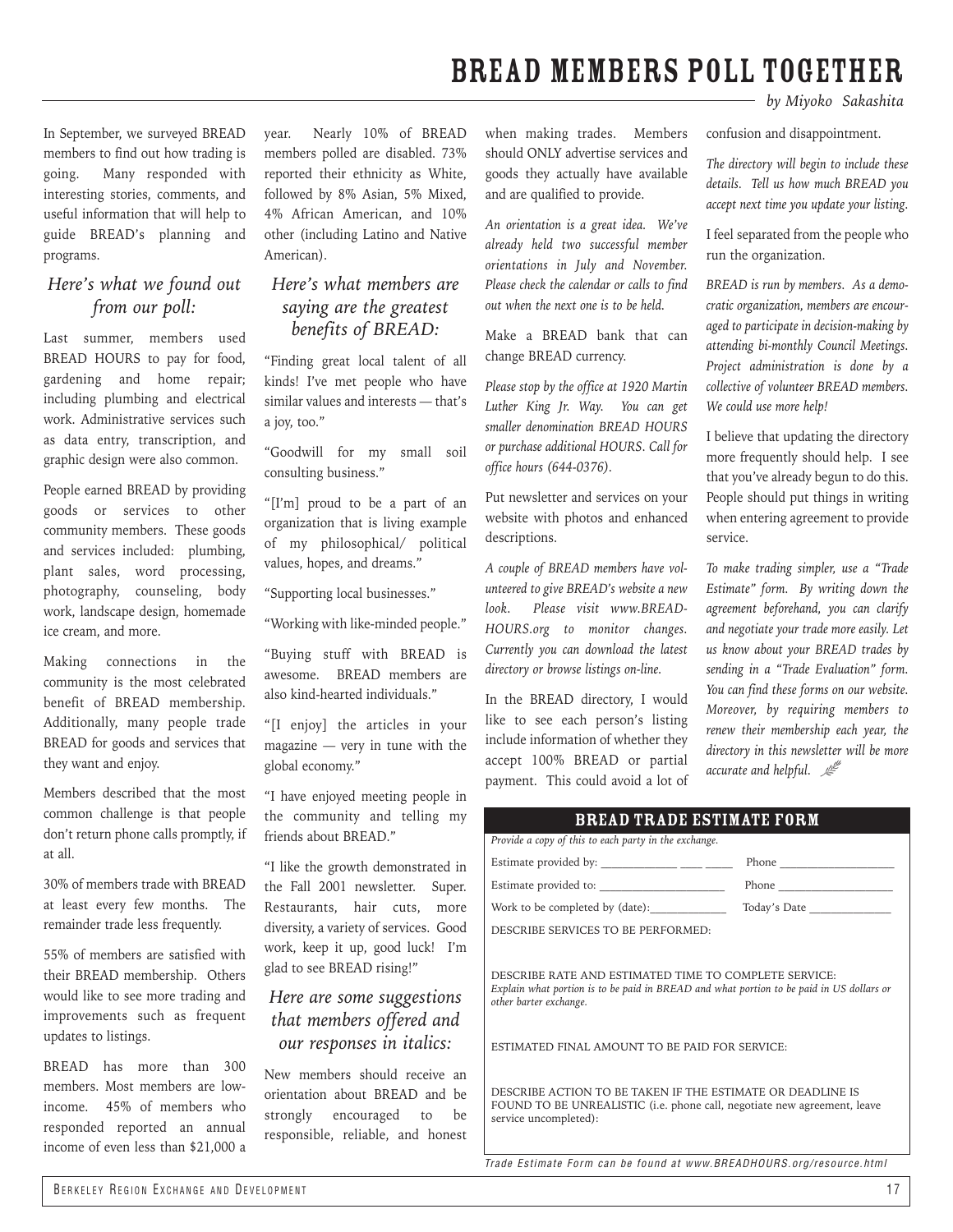### BREAD members poll together

In September, we surveyed BREAD members to find out how trading is going. Many responded with interesting stories, comments, and useful information that will help to guide BREAD's planning and programs.

### *Here's what we found out from our poll:*

Last summer, members used BREAD HOURS to pay for food, gardening and home repair; including plumbing and electrical work. Administrative services such as data entry, transcription, and graphic design were also common.

People earned BREAD by providing goods or services to other community members. These goods and services included: plumbing, plant sales, word processing, photography, counseling, body work, landscape design, homemade ice cream, and more.

Making connections in the community is the most celebrated benefit of BREAD membership. Additionally, many people trade BREAD for goods and services that they want and enjoy.

Members described that the most common challenge is that people don't return phone calls promptly, if at all.

30% of members trade with BREAD at least every few months. The remainder trade less frequently.

55% of members are satisfied with their BREAD membership. Others would like to see more trading and improvements such as frequent updates to listings.

BREAD has more than 300 members. Most members are lowincome. 45% of members who responded reported an annual income of even less than \$21,000 a year. Nearly 10% of BREAD members polled are disabled. 73% reported their ethnicity as White, followed by 8% Asian, 5% Mixed, 4% African American, and 10% other (including Latino and Native American).

### *Here's what members are saying are the greatest benefits of BREAD:*

"Finding great local talent of all kinds! I've met people who have similar values and interests — that's a joy, too."

"Goodwill for my small soil consulting business."

"[I'm] proud to be a part of an organization that is living example of my philosophical/ political values, hopes, and dreams."

"Supporting local businesses."

"Working with like-minded people."

"Buying stuff with BREAD is awesome. BREAD members are also kind-hearted individuals."

"[I enjoy] the articles in your magazine — very in tune with the global economy."

"I have enjoyed meeting people in the community and telling my friends about BREAD."

"I like the growth demonstrated in the Fall 2001 newsletter. Super. Restaurants, hair cuts, more diversity, a variety of services. Good work, keep it up, good luck! I'm glad to see BREAD rising!"

### *Here are some suggestions that members offered and our responses in italics:*

New members should receive an orientation about BREAD and be strongly encouraged to be responsible, reliable, and honest when making trades. Members should ONLY advertise services and goods they actually have available and are qualified to provide.

*An orientation is a great idea. We've already held two successful member orientations in July and November. Please check the calendar or calls to find out when the next one is to be held.* 

Make a BREAD bank that can change BREAD currency.

*Please stop by the office at 1920 Martin Luther King Jr. Way. You can get smaller denomination BREAD HOURS or purchase additional HOURS. Call for office hours (644-0376).*

Put newsletter and services on your website with photos and enhanced descriptions.

*A couple of BREAD members have volunteered to give BREAD's website a new look. Please visit www.BREAD-HOURS.org to monitor changes. Currently you can download the latest directory or browse listings on-line.* 

In the BREAD directory, I would like to see each person's listing include information of whether they accept 100% BREAD or partial payment. This could avoid a lot of *by Miyoko Sakashita*

confusion and disappointment.

*The directory will begin to include these details. Tell us how much BREAD you accept next time you update your listing.*

I feel separated from the people who run the organization.

*BREAD is run by members. As a democratic organization, members are encouraged to participate in decision-making by attending bi-monthly Council Meetings. Project administration is done by a collective of volunteer BREAD members. We could use more help!*

I believe that updating the directory more frequently should help. I see that you've already begun to do this. People should put things in writing when entering agreement to provide service.

*To make trading simpler, use a "Trade Estimate" form. By writing down the agreement beforehand, you can clarify and negotiate your trade more easily. Let us know about your BREAD trades by sending in a "Trade Evaluation" form. You can find these forms on our website. Moreover, by requiring members to renew their membership each year, the directory in this newsletter will be more accurate and helpful.*  $\mathbb{R}^{\mathbb{Z}}$ 

### bread trade estimate form

| Provide a copy of this to each party in the exchange.                                                                                                                                                                         |       |  |
|-------------------------------------------------------------------------------------------------------------------------------------------------------------------------------------------------------------------------------|-------|--|
|                                                                                                                                                                                                                               |       |  |
|                                                                                                                                                                                                                               | Phone |  |
| Work to be completed by (date):                                                                                                                                                                                               |       |  |
| DESCRIBE SERVICES TO BE PERFORMED:                                                                                                                                                                                            |       |  |
| DESCRIBE RATE AND ESTIMATED TIME TO COMPLETE SERVICE:<br>Explain what portion is to be paid in BREAD and what portion to be paid in US dollars or<br>other barter exchange.<br>ESTIMATED FINAL AMOUNT TO BE PAID FOR SERVICE: |       |  |
| DESCRIBE ACTION TO BE TAKEN IF THE ESTIMATE OR DEADLINE IS<br>FOUND TO BE UNREALISTIC (i.e. phone call, negotiate new agreement, leave<br>service uncompleted):                                                               |       |  |

*Trade Estimate Form can be found at www.BREADHOURS.org/resource.html*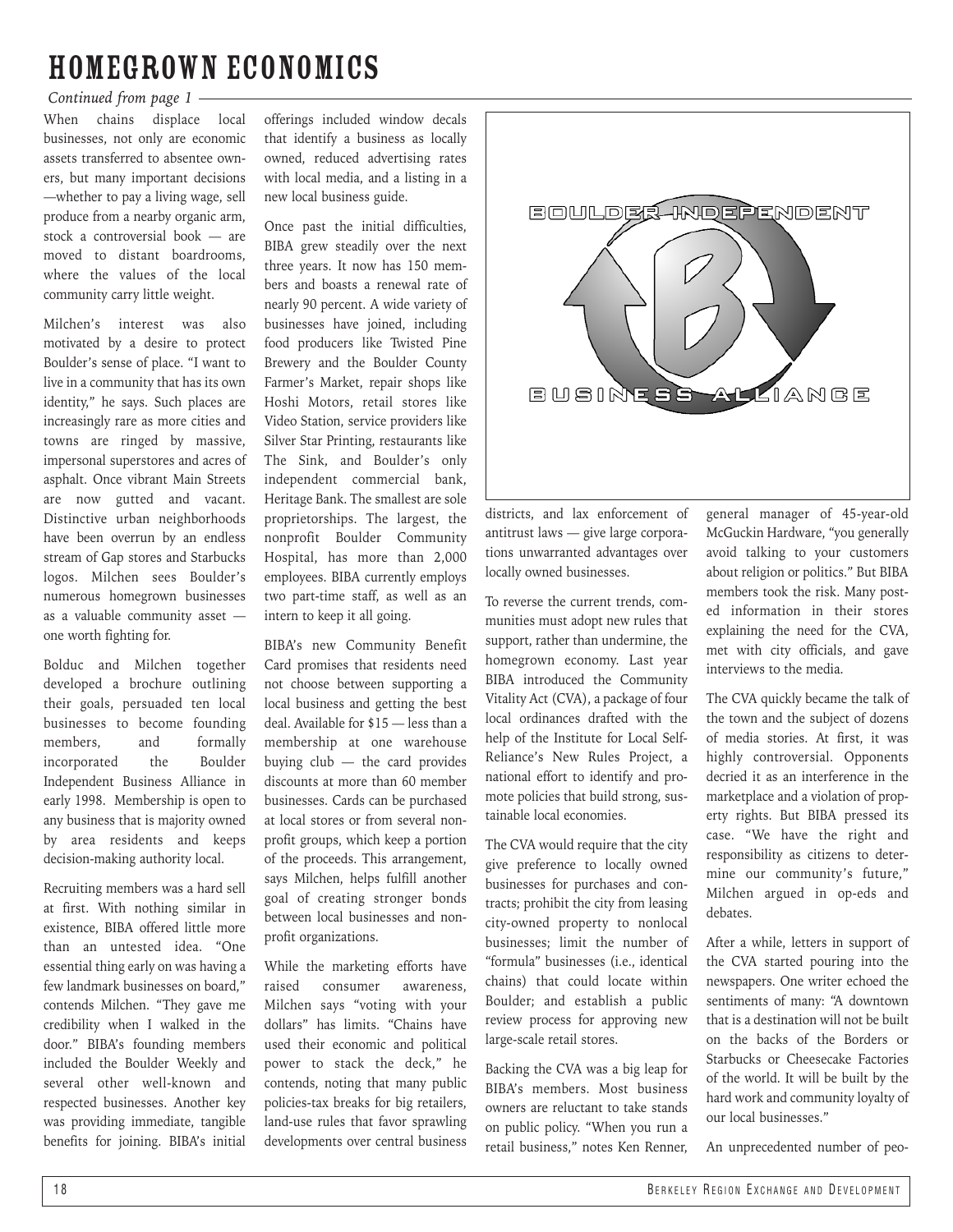### Homegrown economics

### *Continued from page 1*

When chains displace local businesses, not only are economic assets transferred to absentee owners, but many important decisions —whether to pay a living wage, sell produce from a nearby organic arm, stock a controversial book — are moved to distant boardrooms, where the values of the local community carry little weight.

Milchen's interest was also motivated by a desire to protect Boulder's sense of place. "I want to live in a community that has its own identity," he says. Such places are increasingly rare as more cities and towns are ringed by massive, impersonal superstores and acres of asphalt. Once vibrant Main Streets are now gutted and vacant. Distinctive urban neighborhoods have been overrun by an endless stream of Gap stores and Starbucks logos. Milchen sees Boulder's numerous homegrown businesses as a valuable community asset one worth fighting for.

Bolduc and Milchen together developed a brochure outlining their goals, persuaded ten local businesses to become founding members, and formally incorporated the Boulder Independent Business Alliance in early 1998. Membership is open to any business that is majority owned by area residents and keeps decision-making authority local.

Recruiting members was a hard sell at first. With nothing similar in existence, BIBA offered little more than an untested idea. "One essential thing early on was having a few landmark businesses on board," contends Milchen. "They gave me credibility when I walked in the door." BIBA's founding members included the Boulder Weekly and several other well-known and respected businesses. Another key was providing immediate, tangible benefits for joining. BIBA's initial

offerings included window decals that identify a business as locally owned, reduced advertising rates with local media, and a listing in a new local business guide.

Once past the initial difficulties, BIBA grew steadily over the next three years. It now has 150 members and boasts a renewal rate of nearly 90 percent. A wide variety of businesses have joined, including food producers like Twisted Pine Brewery and the Boulder County Farmer's Market, repair shops like Hoshi Motors, retail stores like Video Station, service providers like Silver Star Printing, restaurants like The Sink, and Boulder's only independent commercial bank, Heritage Bank. The smallest are sole proprietorships. The largest, the nonprofit Boulder Community Hospital, has more than 2,000 employees. BIBA currently employs two part-time staff, as well as an intern to keep it all going.

BIBA's new Community Benefit Card promises that residents need not choose between supporting a local business and getting the best deal. Available for \$15 — less than a membership at one warehouse buying club — the card provides discounts at more than 60 member businesses. Cards can be purchased at local stores or from several nonprofit groups, which keep a portion of the proceeds. This arrangement, says Milchen, helps fulfill another goal of creating stronger bonds between local businesses and nonprofit organizations.

While the marketing efforts have raised consumer awareness, Milchen says "voting with your dollars" has limits. "Chains have used their economic and political power to stack the deck," he contends, noting that many public policies-tax breaks for big retailers, land-use rules that favor sprawling developments over central business



districts, and lax enforcement of antitrust laws — give large corporations unwarranted advantages over locally owned businesses.

To reverse the current trends, communities must adopt new rules that support, rather than undermine, the homegrown economy. Last year BIBA introduced the Community Vitality Act (CVA), a package of four local ordinances drafted with the help of the Institute for Local Self-Reliance's New Rules Project, a national effort to identify and promote policies that build strong, sustainable local economies.

The CVA would require that the city give preference to locally owned businesses for purchases and contracts; prohibit the city from leasing city-owned property to nonlocal businesses; limit the number of "formula" businesses (i.e., identical chains) that could locate within Boulder; and establish a public review process for approving new large-scale retail stores.

Backing the CVA was a big leap for BIBA's members. Most business owners are reluctant to take stands on public policy. "When you run a retail business," notes Ken Renner,

general manager of 45-year-old McGuckin Hardware, "you generally avoid talking to your customers about religion or politics." But BIBA members took the risk. Many posted information in their stores explaining the need for the CVA, met with city officials, and gave interviews to the media.

The CVA quickly became the talk of the town and the subject of dozens of media stories. At first, it was highly controversial. Opponents decried it as an interference in the marketplace and a violation of property rights. But BIBA pressed its case. "We have the right and responsibility as citizens to determine our community's future," Milchen argued in op-eds and debates.

After a while, letters in support of the CVA started pouring into the newspapers. One writer echoed the sentiments of many: "A downtown that is a destination will not be built on the backs of the Borders or Starbucks or Cheesecake Factories of the world. It will be built by the hard work and community loyalty of our local businesses."

An unprecedented number of peo-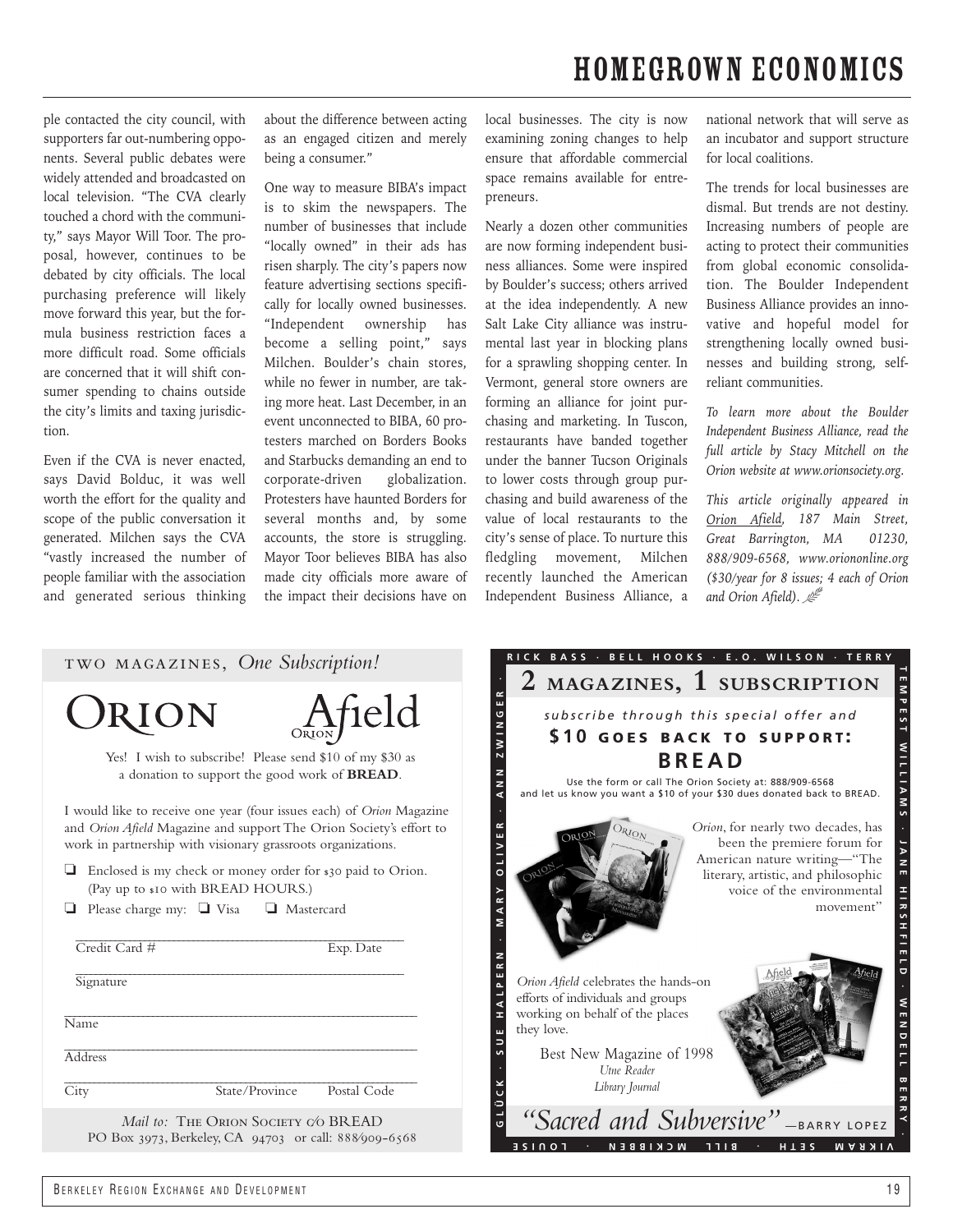## homegrown economics

ple contacted the city council, with supporters far out-numbering opponents. Several public debates were widely attended and broadcasted on local television. "The CVA clearly touched a chord with the community," says Mayor Will Toor. The proposal, however, continues to be debated by city officials. The local purchasing preference will likely move forward this year, but the formula business restriction faces a more difficult road. Some officials are concerned that it will shift consumer spending to chains outside the city's limits and taxing jurisdiction.

Even if the CVA is never enacted, says David Bolduc, it was well worth the effort for the quality and scope of the public conversation it generated. Milchen says the CVA "vastly increased the number of people familiar with the association and generated serious thinking about the difference between acting as an engaged citizen and merely being a consumer."

One way to measure BIBA's impact is to skim the newspapers. The number of businesses that include "locally owned" in their ads has risen sharply. The city's papers now feature advertising sections specifically for locally owned businesses. "Independent ownership has become a selling point," says Milchen. Boulder's chain stores, while no fewer in number, are taking more heat. Last December, in an event unconnected to BIBA, 60 protesters marched on Borders Books and Starbucks demanding an end to corporate-driven globalization. Protesters have haunted Borders for several months and, by some accounts, the store is struggling. Mayor Toor believes BIBA has also made city officials more aware of the impact their decisions have on

local businesses. The city is now examining zoning changes to help ensure that affordable commercial space remains available for entrepreneurs.

Nearly a dozen other communities are now forming independent business alliances. Some were inspired by Boulder's success; others arrived at the idea independently. A new Salt Lake City alliance was instrumental last year in blocking plans for a sprawling shopping center. In Vermont, general store owners are forming an alliance for joint purchasing and marketing. In Tuscon, restaurants have banded together under the banner Tucson Originals to lower costs through group purchasing and build awareness of the value of local restaurants to the city's sense of place. To nurture this fledgling movement, Milchen recently launched the American Independent Business Alliance, a

national network that will serve as an incubator and support structure for local coalitions.

The trends for local businesses are dismal. But trends are not destiny. Increasing numbers of people are acting to protect their communities from global economic consolidation. The Boulder Independent Business Alliance provides an innovative and hopeful model for strengthening locally owned businesses and building strong, selfreliant communities.

*To learn more about the Boulder Independent Business Alliance, read the full article by Stacy Mitchell on the Orion website at www.orionsociety.org.*

*This article originally appeared in Orion Afield, 187 Main Street, Great Barrington, MA 01230, 888/909-6568, www.oriononline.org (\$30/year for 8 issues; 4 each of Orion and Orion Afield).* 

| TWO MAGAZINES, One Subscription!                                                                                                                                                                                    | 2 MAGAZINES, 1 SUBSCRIPTION                                                                                                                                                                                                               |
|---------------------------------------------------------------------------------------------------------------------------------------------------------------------------------------------------------------------|-------------------------------------------------------------------------------------------------------------------------------------------------------------------------------------------------------------------------------------------|
| Afield<br>ORION<br>Yes! I wish to subscribe! Please send \$10 of my \$30 as<br>a donation to support the good work of BREAD.                                                                                        | <b>ن</b><br>subscribe through this special offer and<br>\$10 GOES BACK TO SUPPORT:<br><b>BREAD</b><br>Use the form or call The Orion Society at: 888/909-6568<br>and let us know you want a \$10 of your \$30 dues donated back to BREAD. |
| I would like to receive one year (four issues each) of <i>Orion</i> Magazine<br>and Orion Afield Magazine and support The Orion Society's effort to<br>work in partnership with visionary grassroots organizations. | Orion, for nearly two decades, has<br>DRION<br>been the premiere forum for                                                                                                                                                                |
| Enclosed is my check or money order for \$30 paid to Orion.<br>(Pay up to \$10 with BREAD HOURS.)                                                                                                                   | American nature writing-"The<br>literary, artistic, and philosophic<br>voice of the environmental                                                                                                                                         |
| Please charge my: $\Box$ Visa<br>Mastercard<br>Credit Card #<br>Exp. Date                                                                                                                                           | movement"                                                                                                                                                                                                                                 |
| Signature                                                                                                                                                                                                           | Orion Afield celebrates the hands-on<br>efforts of individuals and groups<br>working on behalf of the places                                                                                                                              |
| Name                                                                                                                                                                                                                | they love.                                                                                                                                                                                                                                |
| Address                                                                                                                                                                                                             | Best New Magazine of 1998<br>Utne Reader                                                                                                                                                                                                  |
| City<br>State/Province<br>Postal Code                                                                                                                                                                               | Library Journal                                                                                                                                                                                                                           |
| Mail to: THE ORION SOCIETY CO BREAD<br>PO Box 3973, Berkeley, CA 94703 or call: 888/909-6568                                                                                                                        | "Sacred and Subversive" -BARRY LOPEZ<br>BILL MCKIBBEN<br>HIJS<br><b>NARAM</b><br>3 S I N O T                                                                                                                                              |